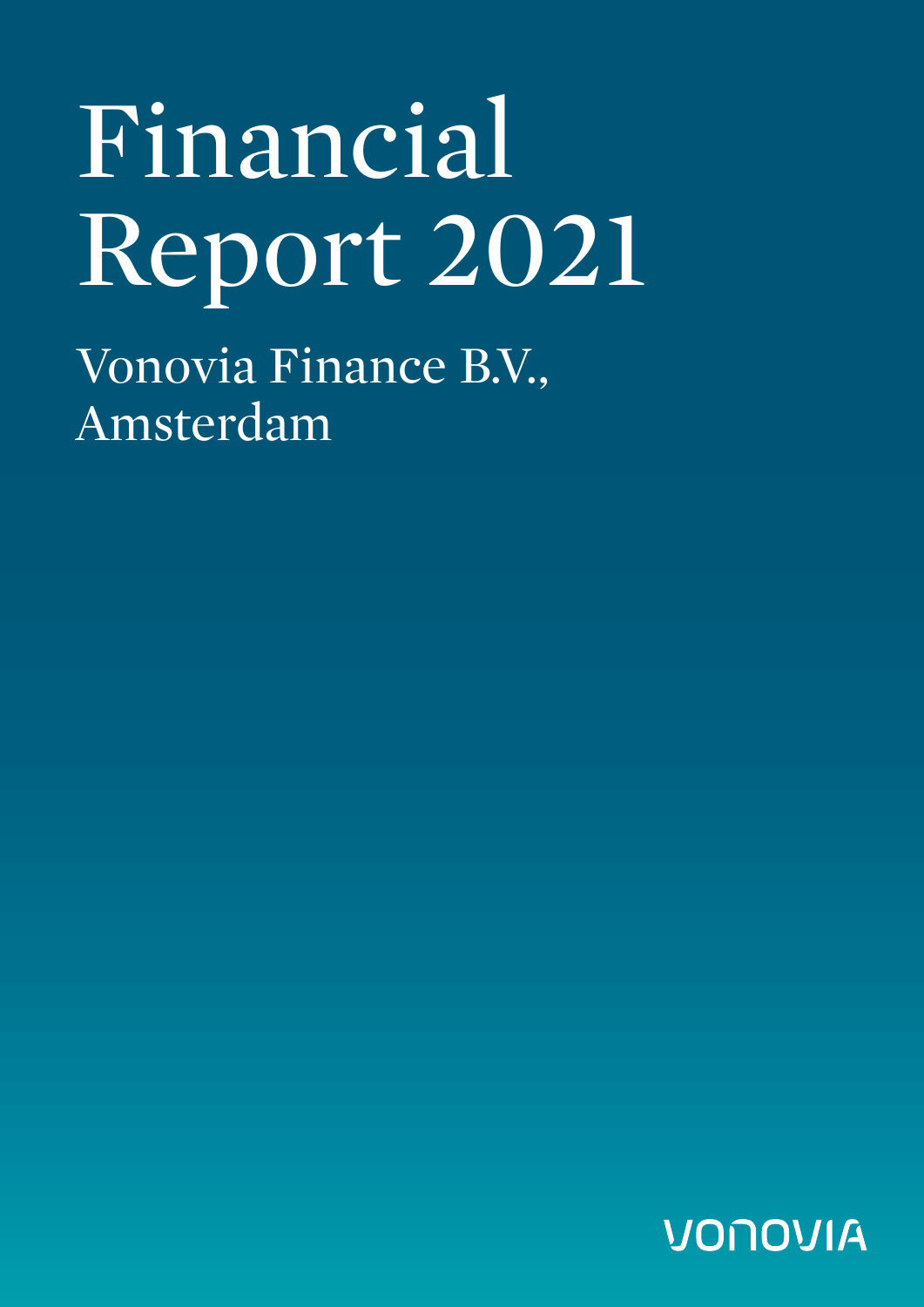# Financial Report 2021

Vonovia Finance B.V., Amsterdam

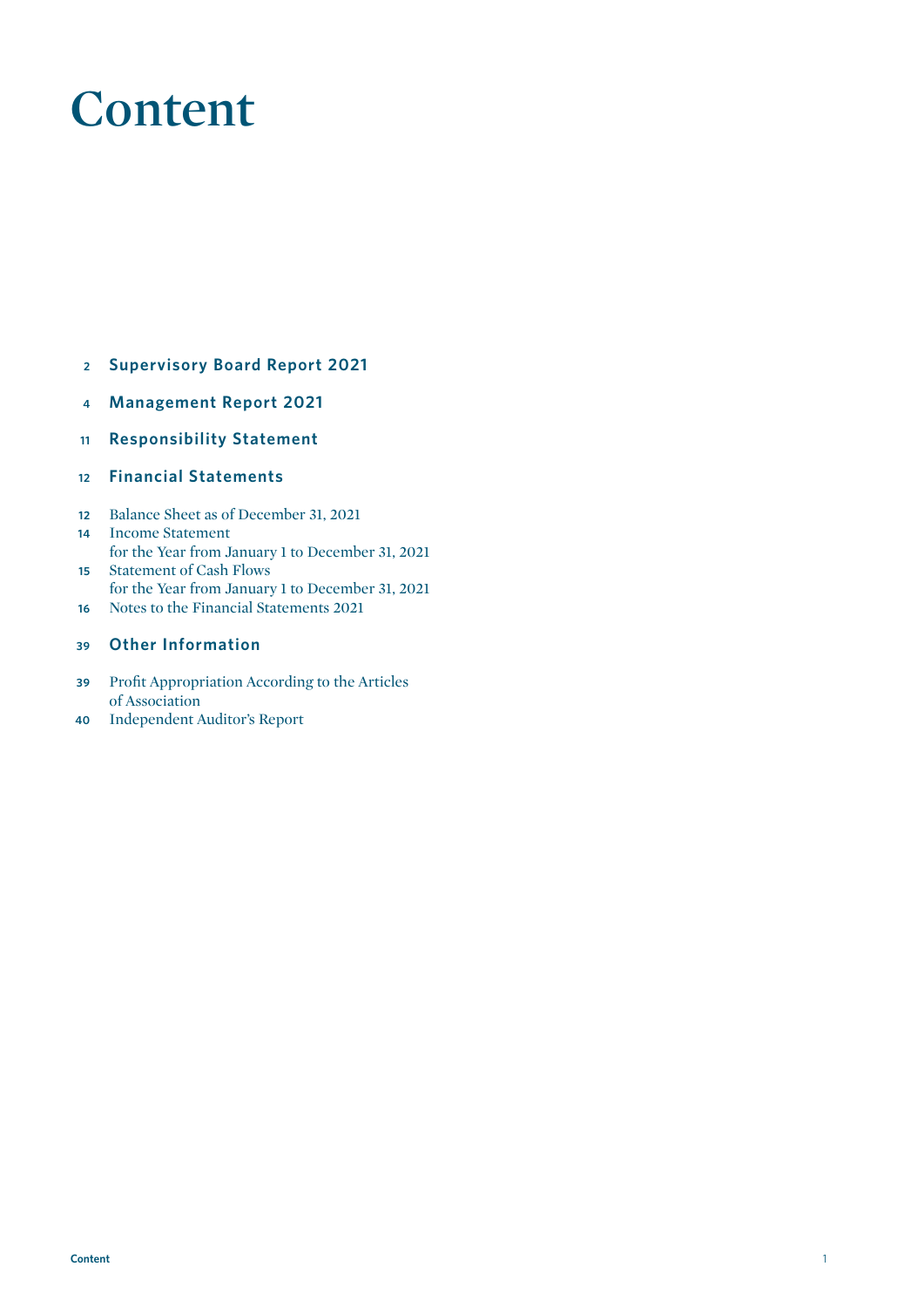# **Content**

- **Supervisory Board Report 2021**
- **4 Management Report 2021**
- **Responsibility Statement**
- **Financial Statements**
- Balance Sheet as of December 31, 2021 Income Statement
- for the Year from January 1 to December 31, 2021
- Statement of Cash Flows for the Year from January 1 to December 31, 2021
- Notes to the Financial Statements 2021

#### **Other Information**

- Profit Appropriation According to the Articles of Association
- Independent Auditor's Report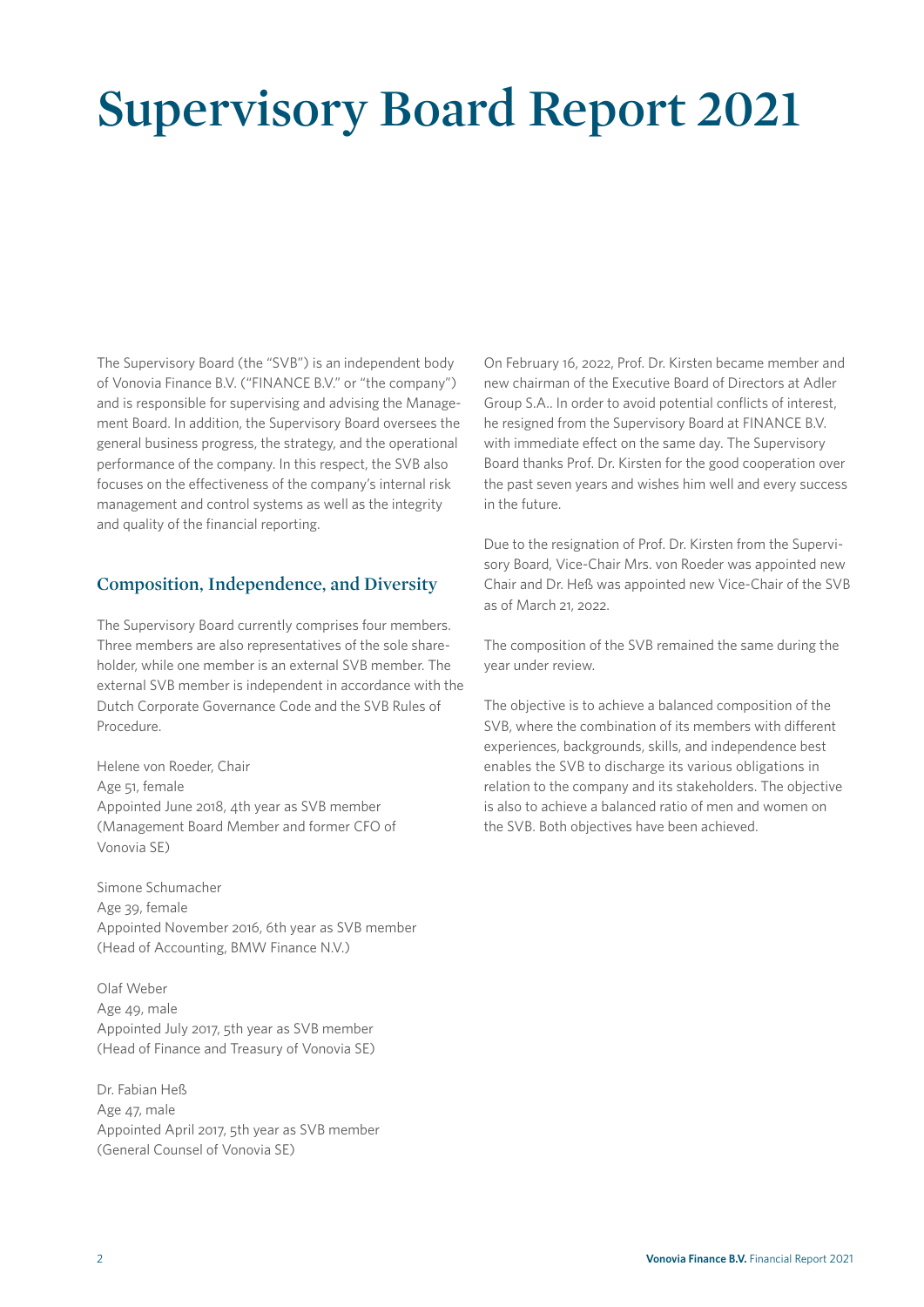# **Supervisory Board Report 2021**

The Supervisory Board (the "SVB") is an independent body of Vonovia Finance B.V. ("FINANCE B.V." or "the company") and is responsible for supervising and advising the Management Board. In addition, the Supervisory Board oversees the general business progress, the strategy, and the operational performance of the company. In this respect, the SVB also focuses on the effectiveness of the company's internal risk management and control systems as well as the integrity and quality of the financial reporting.

### **Composition, Independence, and Diversity**

The Supervisory Board currently comprises four members. Three members are also representatives of the sole shareholder, while one member is an external SVB member. The external SVB member is independent in accordance with the Dutch Corporate Governance Code and the SVB Rules of Procedure.

Helene von Roeder, Chair Age 51, female Appointed June 2018, 4th year as SVB member (Management Board Member and former CFO of Vonovia SE)

Simone Schumacher Age 39, female Appointed November 2016, 6th year as SVB member (Head of Accounting, BMW Finance N.V.)

Olaf Weber Age 49, male Appointed July 2017, 5th year as SVB member (Head of Finance and Treasury of Vonovia SE)

Dr. Fabian Heß Age 47, male Appointed April 2017, 5th year as SVB member (General Counsel of Vonovia SE)

On February 16, 2022, Prof. Dr. Kirsten became member and new chairman of the Executive Board of Directors at Adler Group S.A.. In order to avoid potential conflicts of interest, he resigned from the Supervisory Board at FINANCE B.V. with immediate effect on the same day. The Supervisory Board thanks Prof. Dr. Kirsten for the good cooperation over the past seven years and wishes him well and every success in the future.

Due to the resignation of Prof. Dr. Kirsten from the Supervisory Board, Vice-Chair Mrs. von Roeder was appointed new Chair and Dr. Heß was appointed new Vice-Chair of the SVB as of March 21, 2022.

The composition of the SVB remained the same during the year under review.

The objective is to achieve a balanced composition of the SVB, where the combination of its members with different experiences, backgrounds, skills, and independence best enables the SVB to discharge its various obligations in relation to the company and its stakeholders. The objective is also to achieve a balanced ratio of men and women on the SVB. Both objectives have been achieved.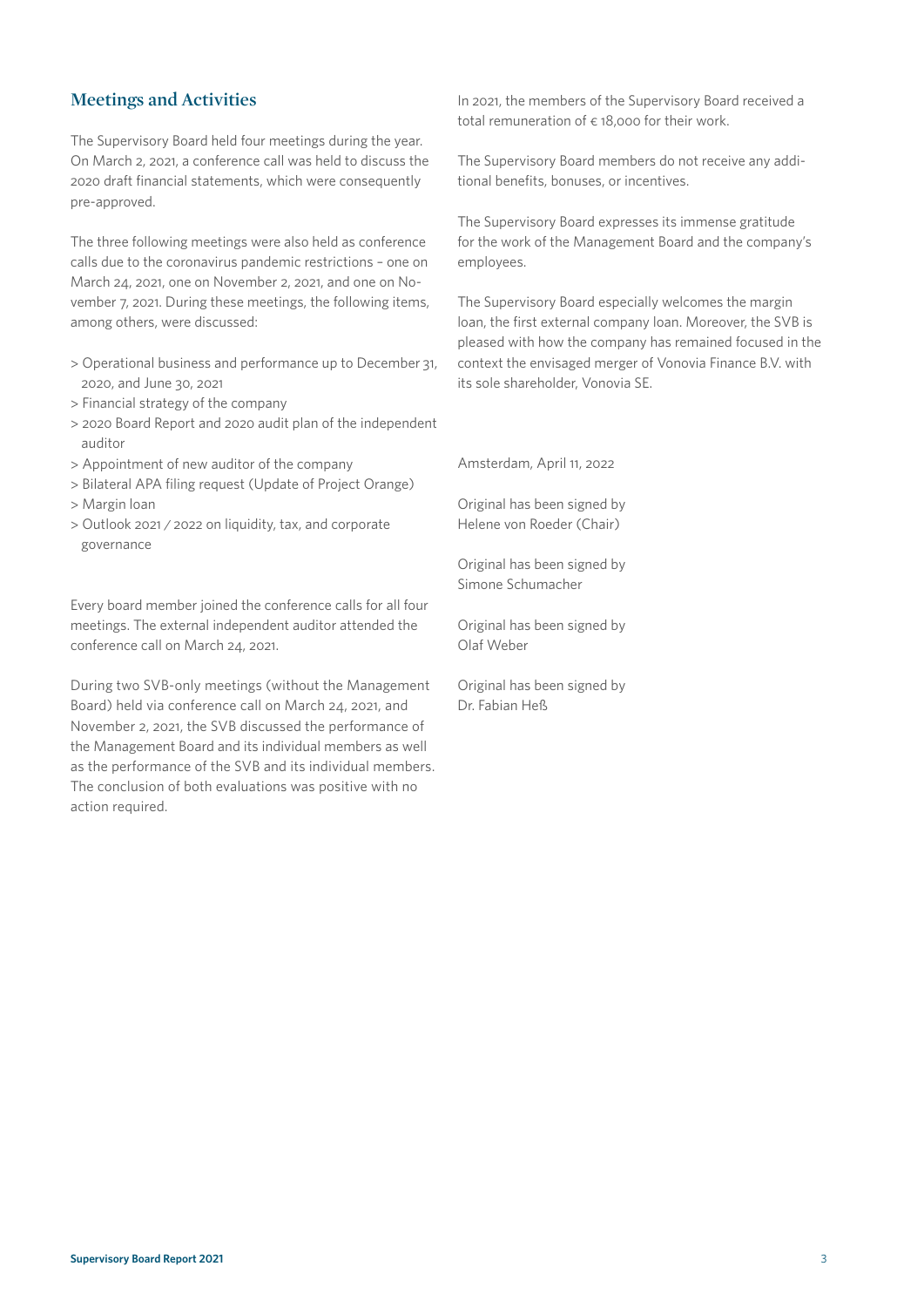# **Meetings and Activities**

The Supervisory Board held four meetings during the year. On March 2, 2021, a conference call was held to discuss the 2020 draft financial statements, which were consequently pre-approved.

The three following meetings were also held as conference calls due to the coronavirus pandemic restrictions – one on March 24, 2021, one on November 2, 2021, and one on November 7, 2021. During these meetings, the following items, among others, were discussed:

- > Operational business and performance up to December 31, 2020, and June 30, 2021
- > Financial strategy of the company
- > 2020 Board Report and 2020 audit plan of the independent auditor
- > Appointment of new auditor of the company
- > Bilateral APA filing request (Update of Project Orange) > Margin loan
- > Outlook 2021 / 2022 on liquidity, tax, and corporate governance

Every board member joined the conference calls for all four meetings. The external independent auditor attended the conference call on March 24, 2021.

During two SVB-only meetings (without the Management Board) held via conference call on March 24, 2021, and November 2, 2021, the SVB discussed the performance of the Management Board and its individual members as well as the performance of the SVB and its individual members. The conclusion of both evaluations was positive with no action required.

In 2021, the members of the Supervisory Board received a total remuneration of  $\epsilon$  18,000 for their work.

The Supervisory Board members do not receive any additional benefits, bonuses, or incentives.

The Supervisory Board expresses its immense gratitude for the work of the Management Board and the company's employees.

The Supervisory Board especially welcomes the margin loan, the first external company loan. Moreover, the SVB is pleased with how the company has remained focused in the context the envisaged merger of Vonovia Finance B.V. with its sole shareholder, Vonovia SE.

Amsterdam, April 11, 2022

Original has been signed by Helene von Roeder (Chair)

Original has been signed by Simone Schumacher

Original has been signed by Olaf Weber

Original has been signed by Dr. Fabian Heß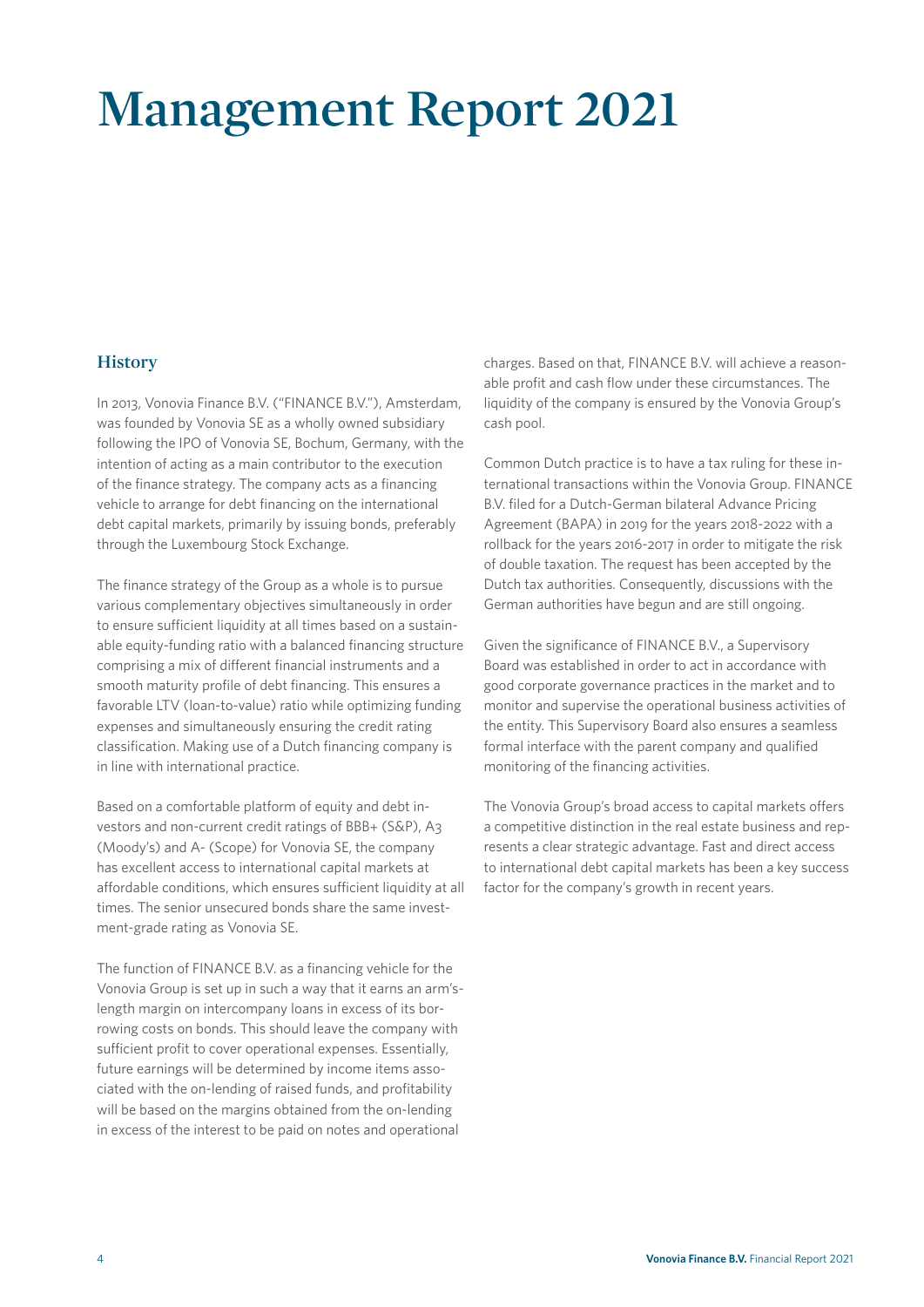# **Management Report 2021**

### **History**

In 2013, Vonovia Finance B.V. ("FINANCE B.V."), Amsterdam, was founded by Vonovia SE as a wholly owned subsidiary following the IPO of Vonovia SE, Bochum, Germany, with the intention of acting as a main contributor to the execution of the finance strategy. The company acts as a financing vehicle to arrange for debt financing on the international debt capital markets, primarily by issuing bonds, preferably through the Luxembourg Stock Exchange.

The finance strategy of the Group as a whole is to pursue various complementary objectives simultaneously in order to ensure sufficient liquidity at all times based on a sustainable equity-funding ratio with a balanced financing structure comprising a mix of different financial instruments and a smooth maturity profile of debt financing. This ensures a favorable LTV (loan-to-value) ratio while optimizing funding expenses and simultaneously ensuring the credit rating classification. Making use of a Dutch financing company is in line with international practice.

Based on a comfortable platform of equity and debt investors and non-current credit ratings of BBB+ (S&P), A3 (Moody's) and A- (Scope) for Vonovia SE, the company has excellent access to international capital markets at affordable conditions, which ensures sufficient liquidity at all times. The senior unsecured bonds share the same investment-grade rating as Vonovia SE.

The function of FINANCE B.V. as a financing vehicle for the Vonovia Group is set up in such a way that it earns an arm'slength margin on intercompany loans in excess of its borrowing costs on bonds. This should leave the company with sufficient profit to cover operational expenses. Essentially, future earnings will be determined by income items associated with the on-lending of raised funds, and profitability will be based on the margins obtained from the on-lending in excess of the interest to be paid on notes and operational

charges. Based on that, FINANCE B.V. will achieve a reasonable profit and cash flow under these circumstances. The liquidity of the company is ensured by the Vonovia Group's cash pool.

Common Dutch practice is to have a tax ruling for these international transactions within the Vonovia Group. FINANCE B.V. filed for a Dutch-German bilateral Advance Pricing Agreement (BAPA) in 2019 for the years 2018-2022 with a rollback for the years 2016-2017 in order to mitigate the risk of double taxation. The request has been accepted by the Dutch tax authorities. Consequently, discussions with the German authorities have begun and are still ongoing.

Given the significance of FINANCE B.V., a Supervisory Board was established in order to act in accordance with good corporate governance practices in the market and to monitor and supervise the operational business activities of the entity. This Supervisory Board also ensures a seamless formal interface with the parent company and qualified monitoring of the financing activities.

The Vonovia Group's broad access to capital markets offers a competitive distinction in the real estate business and represents a clear strategic advantage. Fast and direct access to international debt capital markets has been a key success factor for the company's growth in recent years.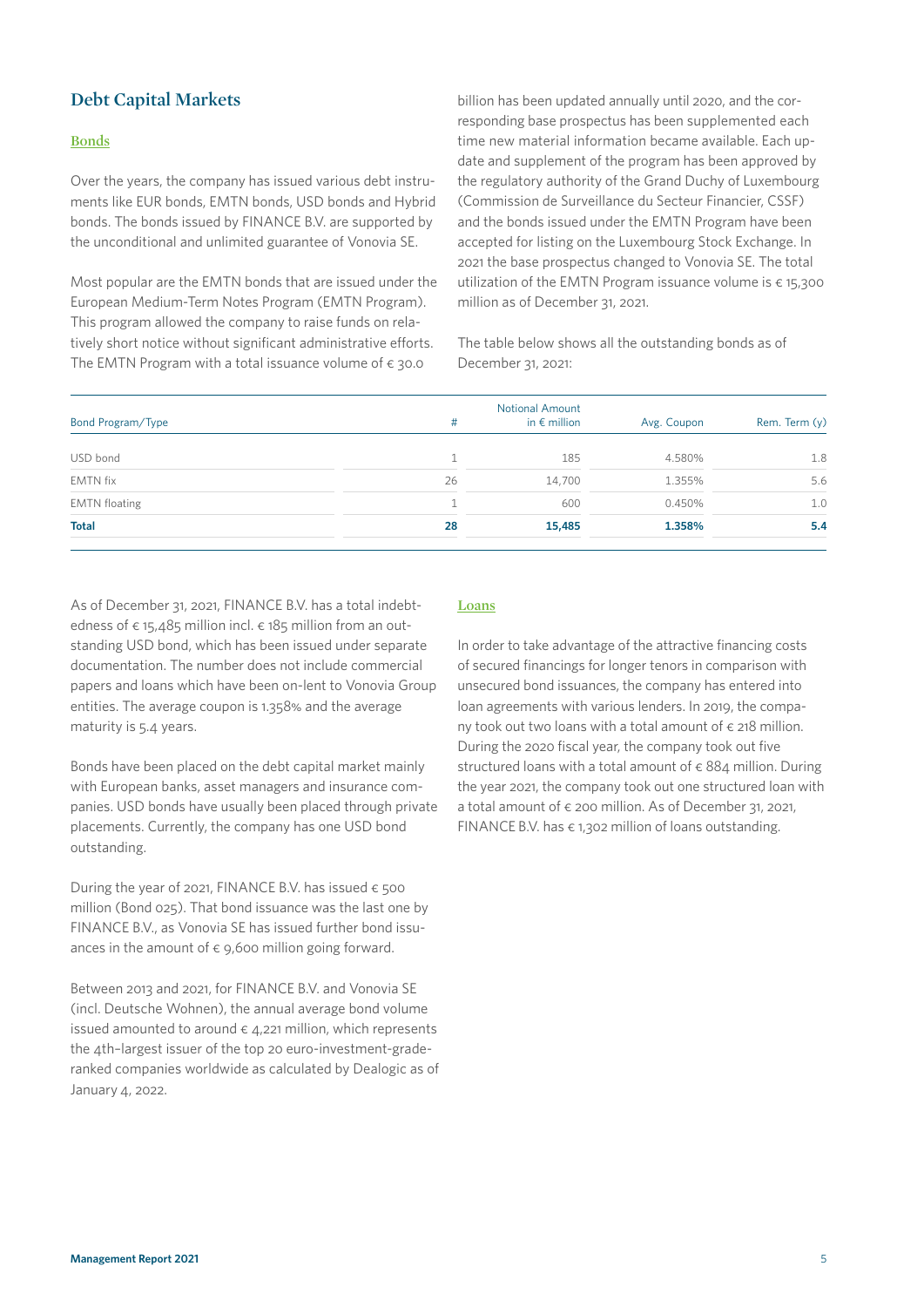# **Debt Capital Markets**

#### **Bonds**

Over the years, the company has issued various debt instruments like EUR bonds, EMTN bonds, USD bonds and Hybrid bonds. The bonds issued by FINANCE B.V. are supported by the unconditional and unlimited guarantee of Vonovia SE.

Most popular are the EMTN bonds that are issued under the European Medium-Term Notes Program (EMTN Program). This program allowed the company to raise funds on relatively short notice without significant administrative efforts. The EMTN Program with a total issuance volume of  $\epsilon$  30.0

billion has been updated annually until 2020, and the corresponding base prospectus has been supplemented each time new material information became available. Each update and supplement of the program has been approved by the regulatory authority of the Grand Duchy of Luxembourg (Commission de Surveillance du Secteur Financier, CSSF) and the bonds issued under the EMTN Program have been accepted for listing on the Luxembourg Stock Exchange. In 2021 the base prospectus changed to Vonovia SE. The total utilization of the EMTN Program issuance volume is  $\epsilon$  15,300 million as of December 31, 2021.

The table below shows all the outstanding bonds as of December 31, 2021:

| #  | <b>Notional Amount</b><br>in $\epsilon$ million | Avg. Coupon | Rem. Term (y) |
|----|-------------------------------------------------|-------------|---------------|
|    | 185                                             | 4.580%      | 1.8           |
| 26 | 14,700                                          | 1.355%      | 5.6           |
|    | 600                                             | 0.450%      | 1.0           |
| 28 | 15,485                                          | 1.358%      | 5.4           |
|    |                                                 |             |               |

As of December 31, 2021, FINANCE B.V. has a total indebtedness of  $\epsilon$  15,485 million incl.  $\epsilon$  185 million from an outstanding USD bond, which has been issued under separate documentation. The number does not include commercial papers and loans which have been on-lent to Vonovia Group entities. The average coupon is 1.358% and the average maturity is 5.4 years.

Bonds have been placed on the debt capital market mainly with European banks, asset managers and insurance companies. USD bonds have usually been placed through private placements. Currently, the company has one USD bond outstanding.

During the year of 2021, FINANCE B.V. has issued  $\epsilon$  500 million (Bond 025). That bond issuance was the last one by FINANCE B.V., as Vonovia SE has issued further bond issuances in the amount of  $\epsilon$  9,600 million going forward.

Between 2013 and 2021, for FINANCE B.V. and Vonovia SE (incl. Deutsche Wohnen), the annual average bond volume issued amounted to around  $\epsilon$  4.221 million, which represents the 4th–largest issuer of the top 20 euro-investment-graderanked companies worldwide as calculated by Dealogic as of January 4, 2022.

#### **Loans**

In order to take advantage of the attractive financing costs of secured financings for longer tenors in comparison with unsecured bond issuances, the company has entered into loan agreements with various lenders. In 2019, the company took out two loans with a total amount of  $\epsilon$  218 million. During the 2020 fiscal year, the company took out five structured loans with a total amount of  $\epsilon$  884 million. During the year 2021, the company took out one structured loan with a total amount of  $\epsilon$  200 million. As of December 31, 2021, FINANCE B.V. has  $\epsilon$  1,302 million of loans outstanding.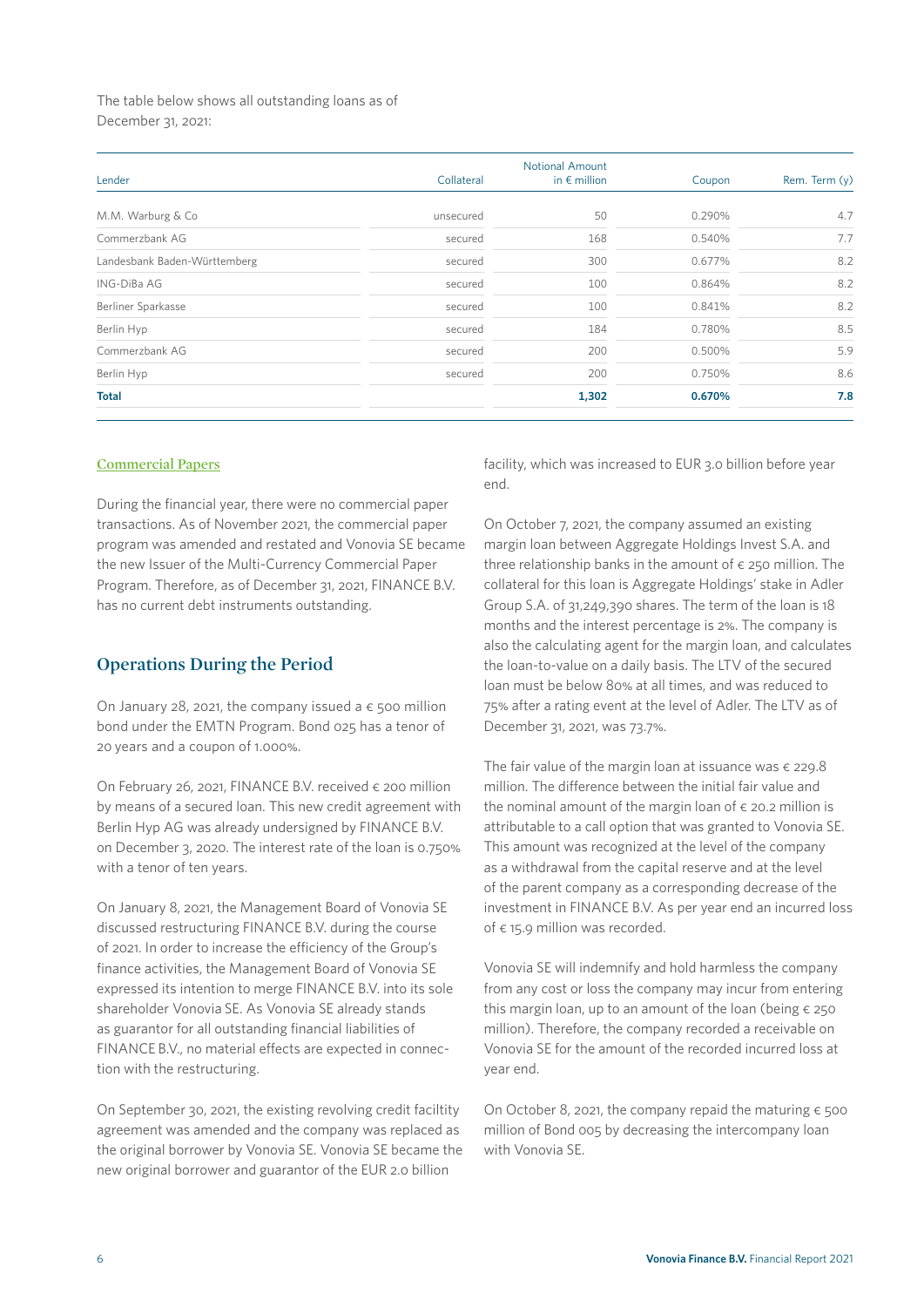The table below shows all outstanding loans as of December 31, 2021:

| Lender                       | Collateral | <b>Notional Amount</b><br>in $\epsilon$ million | Coupon | Rem. Term (y) |
|------------------------------|------------|-------------------------------------------------|--------|---------------|
|                              |            |                                                 |        |               |
| M.M. Warburg & Co            | unsecured  | 50                                              | 0.290% | 4.7           |
| Commerzbank AG               | secured    | 168                                             | 0.540% | 7.7           |
| Landesbank Baden-Württemberg | secured    | 300                                             | 0.677% | 8.2           |
| ING-DiBa AG                  | secured    | 100                                             | 0.864% | 8.2           |
| Berliner Sparkasse           | secured    | 100                                             | 0.841% | 8.2           |
| Berlin Hyp                   | secured    | 184                                             | 0.780% | 8.5           |
| Commerzbank AG               | secured    | 200                                             | 0.500% | 5.9           |
| Berlin Hyp                   | secured    | 200                                             | 0.750% | 8.6           |
| <b>Total</b>                 |            | 1,302                                           | 0.670% | 7.8           |
|                              |            |                                                 |        |               |

#### **Commercial Papers**

During the financial year, there were no commercial paper transactions. As of November 2021, the commercial paper program was amended and restated and Vonovia SE became the new Issuer of the Multi-Currency Commercial Paper Program. Therefore, as of December 31, 2021, FINANCE B.V. has no current debt instruments outstanding.

#### **Operations During the Period**

On January 28, 2021, the company issued a  $\epsilon$  500 million bond under the EMTN Program. Bond 025 has a tenor of 20 years and a coupon of 1.000%.

On February 26, 2021, FINANCE B.V. received € 200 million by means of a secured loan. This new credit agreement with Berlin Hyp AG was already undersigned by FINANCE B.V. on December 3, 2020. The interest rate of the loan is 0.750% with a tenor of ten years.

On January 8, 2021, the Management Board of Vonovia SE discussed restructuring FINANCE B.V. during the course of 2021. In order to increase the efficiency of the Group's finance activities, the Management Board of Vonovia SE expressed its intention to merge FINANCE B.V. into its sole shareholder Vonovia SE. As Vonovia SE already stands as guarantor for all outstanding financial liabilities of FINANCE B.V., no material effects are expected in connection with the restructuring.

On September 30, 2021, the existing revolving credit faciltity agreement was amended and the company was replaced as the original borrower by Vonovia SE. Vonovia SE became the new original borrower and guarantor of the EUR 2.0 billion

facility, which was increased to EUR 3.0 billion before year end.

On October 7, 2021, the company assumed an existing margin loan between Aggregate Holdings Invest S.A. and three relationship banks in the amount of  $\epsilon$  250 million. The collateral for this loan is Aggregate Holdings' stake in Adler Group S.A. of 31,249,390 shares. The term of the loan is 18 months and the interest percentage is 2%. The company is also the calculating agent for the margin loan, and calculates the loan-to-value on a daily basis. The LTV of the secured loan must be below 80% at all times, and was reduced to 75% after a rating event at the level of Adler. The LTV as of December 31, 2021, was 73.7%.

The fair value of the margin loan at issuance was  $\epsilon$  229.8 million. The difference between the initial fair value and the nominal amount of the margin loan of  $\epsilon$  20.2 million is attributable to a call option that was granted to Vonovia SE. This amount was recognized at the level of the company as a withdrawal from the capital reserve and at the level of the parent company as a corresponding decrease of the investment in FINANCE B.V. As per year end an incurred loss of € 15.9 million was recorded.

Vonovia SE will indemnify and hold harmless the company from any cost or loss the company may incur from entering this margin loan, up to an amount of the loan (being  $\epsilon$  250 million). Therefore, the company recorded a receivable on Vonovia SE for the amount of the recorded incurred loss at year end.

On October 8, 2021, the company repaid the maturing  $\epsilon$  500 million of Bond 005 by decreasing the intercompany loan with Vonovia SE.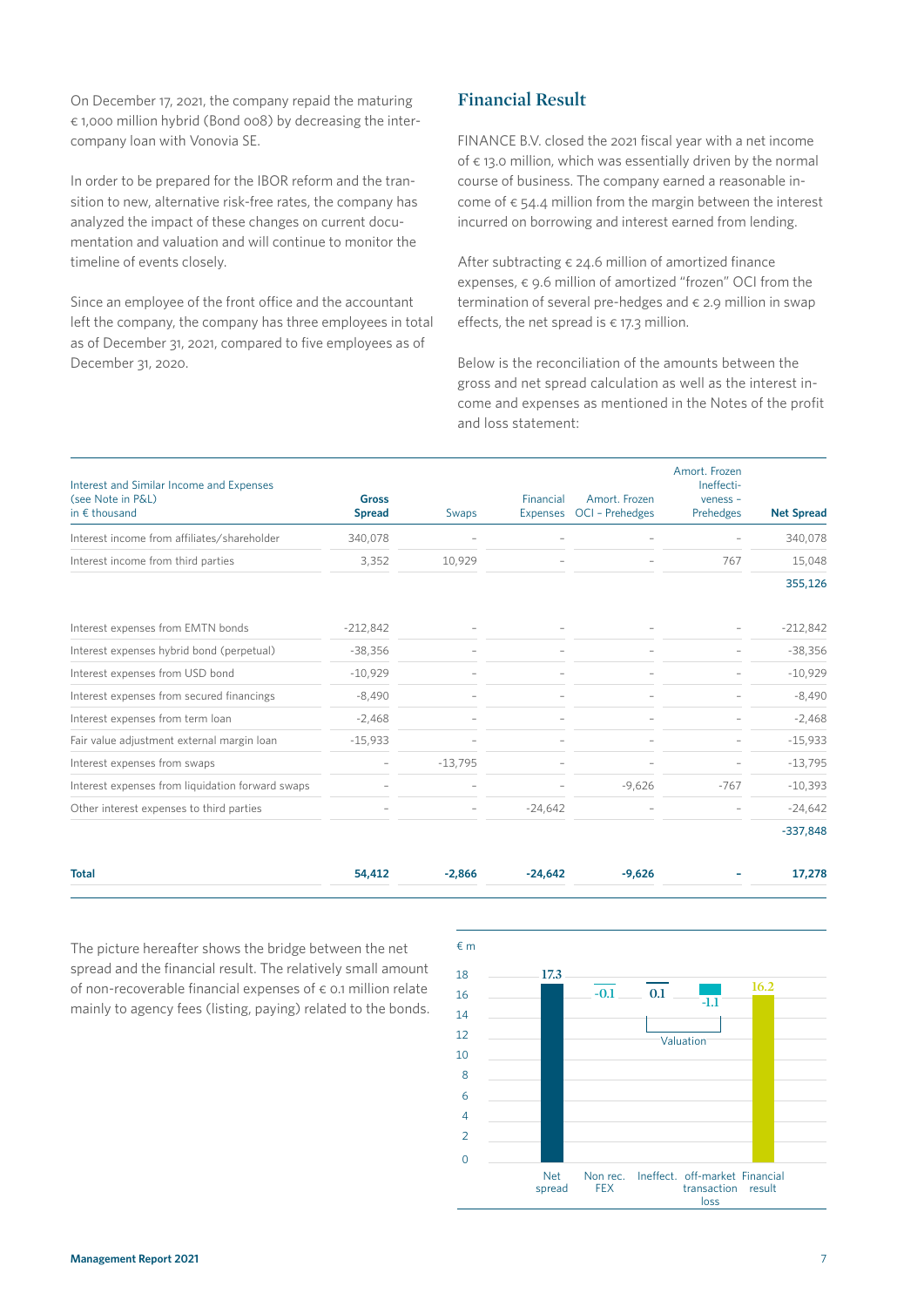On December 17, 2021, the company repaid the maturing € 1,000 million hybrid (Bond 008) by decreasing the intercompany loan with Vonovia SE.

In order to be prepared for the IBOR reform and the transition to new, alternative risk-free rates, the company has analyzed the impact of these changes on current documentation and valuation and will continue to monitor the timeline of events closely.

Since an employee of the front office and the accountant left the company, the company has three employees in total as of December 31, 2021, compared to five employees as of December 31, 2020.

# **Financial Result**

FINANCE B.V. closed the 2021 fiscal year with a net income of  $\epsilon$  13.0 million, which was essentially driven by the normal course of business. The company earned a reasonable income of  $\epsilon$  54.4 million from the margin between the interest incurred on borrowing and interest earned from lending.

After subtracting  $\epsilon$  24.6 million of amortized finance expenses,  $\epsilon$  9.6 million of amortized "frozen" OCI from the termination of several pre-hedges and  $\epsilon$  2.9 million in swap effects, the net spread is  $\epsilon$  17.3 million.

Below is the reconciliation of the amounts between the gross and net spread calculation as well as the interest income and expenses as mentioned in the Notes of the profit and loss statement:

| Interest and Similar Income and Expenses<br>(see Note in P&L)<br>in $\epsilon$ thousand | <b>Gross</b><br><b>Spread</b> | Swaps     | Financial<br>Expenses    | Amort, Frozen<br>OCI - Prehedges | Amort. Frozen<br>Ineffecti-<br>$v$ eness -<br>Prehedges | <b>Net Spread</b> |
|-----------------------------------------------------------------------------------------|-------------------------------|-----------|--------------------------|----------------------------------|---------------------------------------------------------|-------------------|
| Interest income from affiliates/shareholder                                             | 340,078                       |           |                          |                                  |                                                         | 340,078           |
| Interest income from third parties                                                      | 3,352                         | 10,929    |                          |                                  | 767                                                     | 15,048            |
|                                                                                         |                               |           |                          |                                  |                                                         | 355,126           |
| Interest expenses from EMTN bonds                                                       | $-212,842$                    |           |                          |                                  |                                                         | $-212,842$        |
| Interest expenses hybrid bond (perpetual)                                               | $-38,356$                     |           | $\overline{\phantom{a}}$ |                                  |                                                         | $-38,356$         |
| Interest expenses from USD bond                                                         | $-10,929$                     |           |                          |                                  |                                                         | $-10,929$         |
| Interest expenses from secured financings                                               | $-8,490$                      |           |                          |                                  |                                                         | $-8,490$          |
| Interest expenses from term loan                                                        | $-2,468$                      |           |                          |                                  |                                                         | $-2,468$          |
| Fair value adjustment external margin loan                                              | $-15,933$                     |           |                          |                                  |                                                         | $-15,933$         |
| Interest expenses from swaps                                                            |                               | $-13,795$ |                          |                                  |                                                         | $-13,795$         |
| Interest expenses from liquidation forward swaps                                        |                               |           |                          | $-9,626$                         | $-767$                                                  | $-10,393$         |
| Other interest expenses to third parties                                                | $\overline{\phantom{0}}$      |           | $-24,642$                |                                  |                                                         | $-24,642$         |
|                                                                                         |                               |           |                          |                                  |                                                         | $-337,848$        |

| <b>Total</b> | 54,412 | $-2,866$ $-24,642$ | $-9,626$ | 17,278 |
|--------------|--------|--------------------|----------|--------|
|              |        |                    |          |        |

The picture hereafter shows the bridge between the net spread and the financial result. The relatively small amount of non-recoverable financial expenses of  $\epsilon$  0.1 million relate mainly to agency fees (listing, paying) related to the bonds.

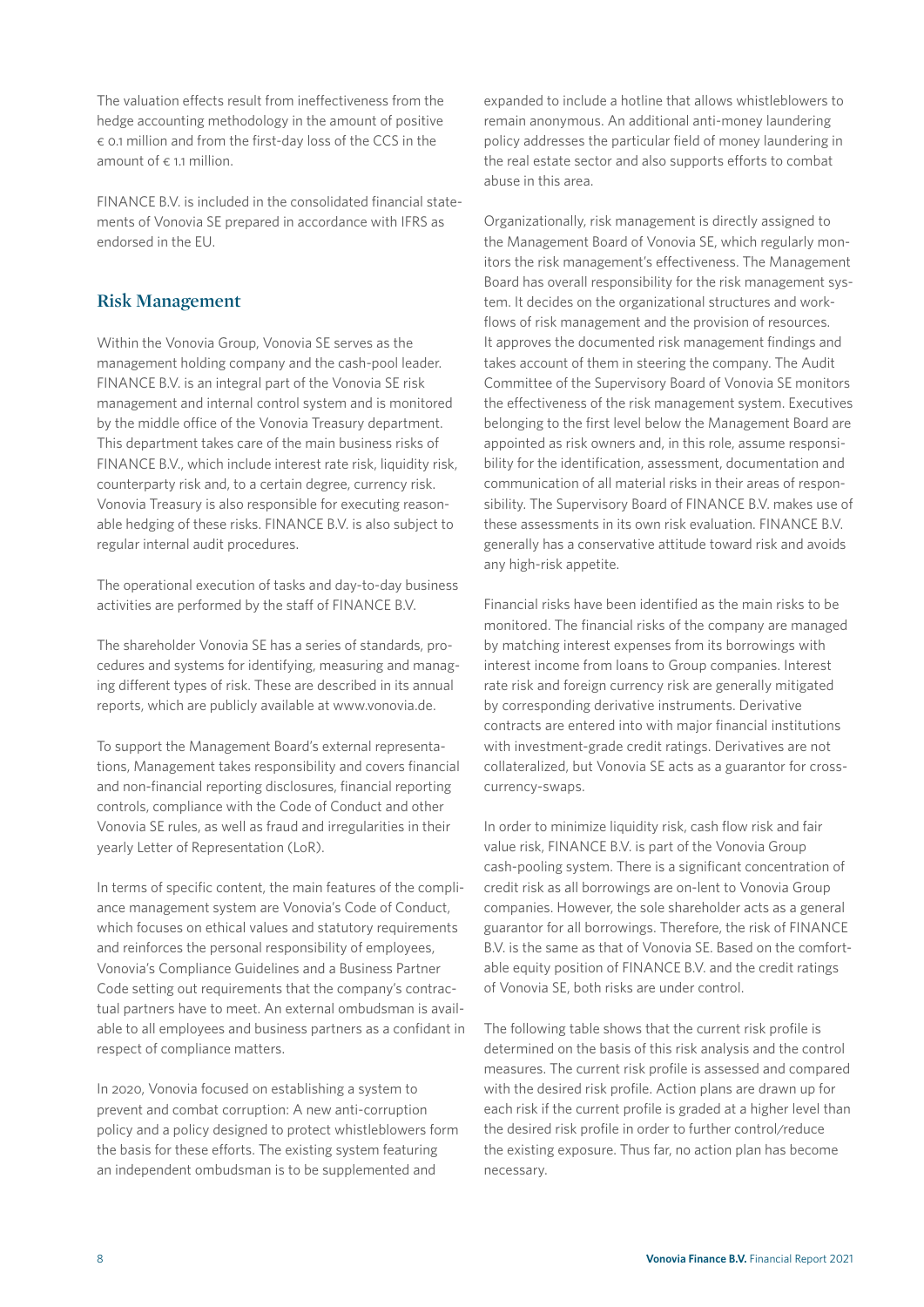The valuation effects result from ineffectiveness from the hedge accounting methodology in the amount of positive € 0.1 million and from the first-day loss of the CCS in the amount of  $\epsilon$  1.1 million.

FINANCE B.V. is included in the consolidated financial statements of Vonovia SE prepared in accordance with IFRS as endorsed in the EU.

# **Risk Management**

Within the Vonovia Group, Vonovia SE serves as the management holding company and the cash-pool leader. FINANCE B.V. is an integral part of the Vonovia SE risk management and internal control system and is monitored by the middle office of the Vonovia Treasury department. This department takes care of the main business risks of FINANCE B.V., which include interest rate risk, liquidity risk, counterparty risk and, to a certain degree, currency risk. Vonovia Treasury is also responsible for executing reasonable hedging of these risks. FINANCE B.V. is also subject to regular internal audit procedures.

The operational execution of tasks and day-to-day business activities are performed by the staff of FINANCE B.V.

The shareholder Vonovia SE has a series of standards, procedures and systems for identifying, measuring and managing different types of risk. These are described in its annual reports, which are publicly available at www.vonovia.de.

To support the Management Board's external representations, Management takes responsibility and covers financial and non-financial reporting disclosures, financial reporting controls, compliance with the Code of Conduct and other Vonovia SE rules, as well as fraud and irregularities in their yearly Letter of Representation (LoR).

In terms of specific content, the main features of the compliance management system are Vonovia's Code of Conduct, which focuses on ethical values and statutory requirements and reinforces the personal responsibility of employees, Vonovia's Compliance Guidelines and a Business Partner Code setting out requirements that the company's contractual partners have to meet. An external ombudsman is available to all employees and business partners as a confidant in respect of compliance matters.

In 2020, Vonovia focused on establishing a system to prevent and combat corruption: A new anti-corruption policy and a policy designed to protect whistleblowers form the basis for these efforts. The existing system featuring an independent ombudsman is to be supplemented and

expanded to include a hotline that allows whistleblowers to remain anonymous. An additional anti-money laundering policy addresses the particular field of money laundering in the real estate sector and also supports efforts to combat abuse in this area.

Organizationally, risk management is directly assigned to the Management Board of Vonovia SE, which regularly monitors the risk management's effectiveness. The Management Board has overall responsibility for the risk management system. It decides on the organizational structures and workflows of risk management and the provision of resources. It approves the documented risk management findings and takes account of them in steering the company. The Audit Committee of the Supervisory Board of Vonovia SE monitors the effectiveness of the risk management system. Executives belonging to the first level below the Management Board are appointed as risk owners and, in this role, assume responsibility for the identification, assessment, documentation and communication of all material risks in their areas of responsibility. The Supervisory Board of FINANCE B.V. makes use of these assessments in its own risk evaluation. FINANCE B.V. generally has a conservative attitude toward risk and avoids any high-risk appetite.

Financial risks have been identified as the main risks to be monitored. The financial risks of the company are managed by matching interest expenses from its borrowings with interest income from loans to Group companies. Interest rate risk and foreign currency risk are generally mitigated by corresponding derivative instruments. Derivative contracts are entered into with major financial institutions with investment-grade credit ratings. Derivatives are not collateralized, but Vonovia SE acts as a guarantor for crosscurrency-swaps.

In order to minimize liquidity risk, cash flow risk and fair value risk, FINANCE B.V. is part of the Vonovia Group cash-pooling system. There is a significant concentration of credit risk as all borrowings are on-lent to Vonovia Group companies. However, the sole shareholder acts as a general guarantor for all borrowings. Therefore, the risk of FINANCE B.V. is the same as that of Vonovia SE. Based on the comfortable equity position of FINANCE B.V. and the credit ratings of Vonovia SE, both risks are under control.

The following table shows that the current risk profile is determined on the basis of this risk analysis and the control measures. The current risk profile is assessed and compared with the desired risk profile. Action plans are drawn up for each risk if the current profile is graded at a higher level than the desired risk profile in order to further control/reduce the existing exposure. Thus far, no action plan has become necessary.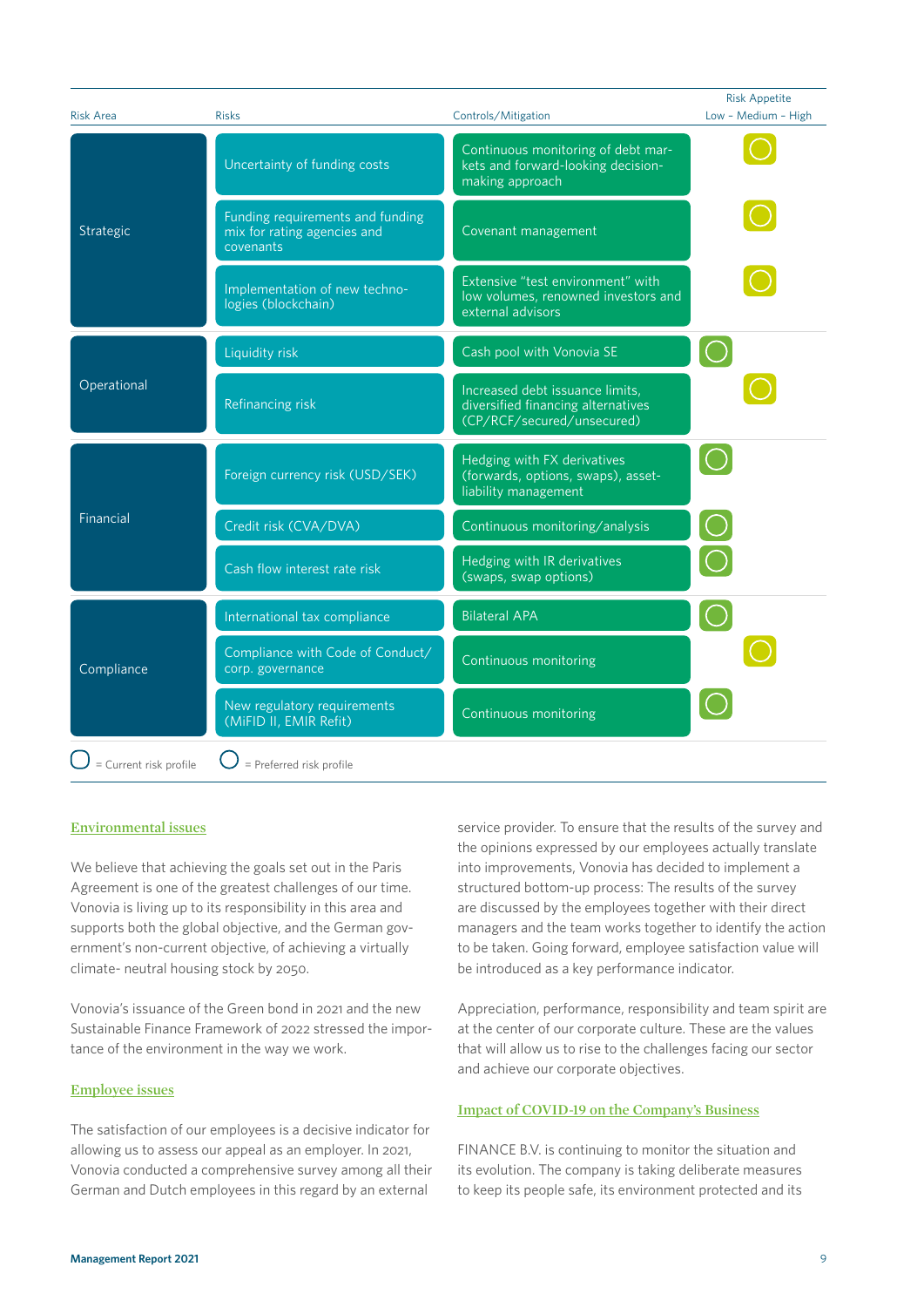| <b>Risk Area</b>       | <b>Risks</b>                                                                 | Controls/Mitigation                                                                                 | <b>Risk Appetite</b><br>Low - Medium - High |
|------------------------|------------------------------------------------------------------------------|-----------------------------------------------------------------------------------------------------|---------------------------------------------|
|                        | Uncertainty of funding costs                                                 | Continuous monitoring of debt mar-<br>kets and forward-looking decision-<br>making approach         |                                             |
| Strategic              | Funding requirements and funding<br>mix for rating agencies and<br>covenants | Covenant management                                                                                 |                                             |
|                        | Implementation of new techno-<br>logies (blockchain)                         | Extensive "test environment" with<br>low volumes, renowned investors and<br>external advisors       |                                             |
|                        | Liquidity risk                                                               | Cash pool with Vonovia SE                                                                           |                                             |
| Operational            | Refinancing risk                                                             | Increased debt issuance limits,<br>diversified financing alternatives<br>(CP/RCF/secured/unsecured) |                                             |
|                        | Foreign currency risk (USD/SEK)                                              | Hedging with FX derivatives<br>(forwards, options, swaps), asset-<br>liability management           |                                             |
| Financial              | Credit risk (CVA/DVA)                                                        | Continuous monitoring/analysis                                                                      |                                             |
|                        | Cash flow interest rate risk                                                 | Hedging with IR derivatives<br>(swaps, swap options)                                                |                                             |
|                        | International tax compliance                                                 | <b>Bilateral APA</b>                                                                                |                                             |
| Compliance             | Compliance with Code of Conduct/<br>corp. governance                         | Continuous monitoring                                                                               |                                             |
|                        | New regulatory requirements<br>(MiFID II, EMIR Refit)                        | Continuous monitoring                                                                               |                                             |
| = Current risk profile | = Preferred risk profile                                                     |                                                                                                     |                                             |

#### **Environmental issues**

We believe that achieving the goals set out in the Paris Agreement is one of the greatest challenges of our time. Vonovia is living up to its responsibility in this area and supports both the global objective, and the German government's non-current objective, of achieving a virtually climate- neutral housing stock by 2050.

Vonovia's issuance of the Green bond in 2021 and the new Sustainable Finance Framework of 2022 stressed the importance of the environment in the way we work.

#### **Employee issues**

The satisfaction of our employees is a decisive indicator for allowing us to assess our appeal as an employer. In 2021, Vonovia conducted a comprehensive survey among all their German and Dutch employees in this regard by an external

service provider. To ensure that the results of the survey and the opinions expressed by our employees actually translate into improvements, Vonovia has decided to implement a structured bottom-up process: The results of the survey are discussed by the employees together with their direct managers and the team works together to identify the action to be taken. Going forward, employee satisfaction value will be introduced as a key performance indicator.

Appreciation, performance, responsibility and team spirit are at the center of our corporate culture. These are the values that will allow us to rise to the challenges facing our sector and achieve our corporate objectives.

#### **Impact of COVID-19 on the Company's Business**

FINANCE B.V. is continuing to monitor the situation and its evolution. The company is taking deliberate measures to keep its people safe, its environment protected and its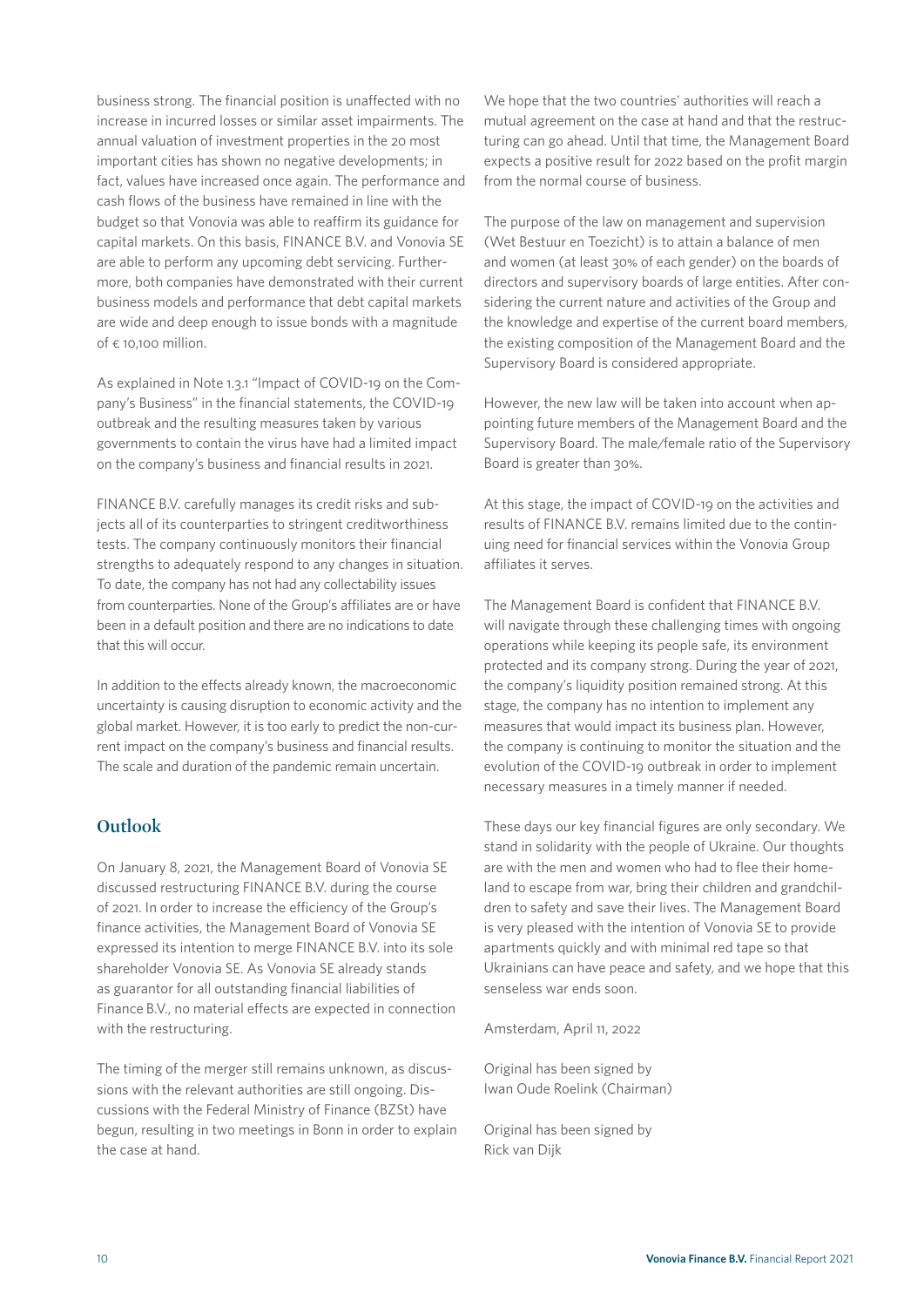business strong. The financial position is unaffected with no increase in incurred losses or similar asset impairments. The annual valuation of investment properties in the 20 most important cities has shown no negative developments; in fact, values have increased once again. The performance and cash flows of the business have remained in line with the budget so that Vonovia was able to reaffirm its guidance for capital markets. On this basis, FINANCE B.V. and Vonovia SE are able to perform any upcoming debt servicing. Furthermore, both companies have demonstrated with their current business models and performance that debt capital markets are wide and deep enough to issue bonds with a magnitude of  $\epsilon$  10,100 million.

As explained in Note 1.3.1 "Impact of COVID-19 on the Company's Business" in the financial statements, the COVID-19 outbreak and the resulting measures taken by various governments to contain the virus have had a limited impact on the company's business and financial results in 2021.

FINANCE B.V. carefully manages its credit risks and subjects all of its counterparties to stringent creditworthiness tests. The company continuously monitors their financial strengths to adequately respond to any changes in situation. To date, the company has not had any collectability issues from counterparties. None of the Group's affiliates are or have been in a default position and there are no indications to date that this will occur.

In addition to the effects already known, the macroeconomic uncertainty is causing disruption to economic activity and the global market. However, it is too early to predict the non-current impact on the company's business and financial results. The scale and duration of the pandemic remain uncertain.

# **Outlook**

On January 8, 2021, the Management Board of Vonovia SE discussed restructuring FINANCE B.V. during the course of 2021. In order to increase the efficiency of the Group's finance activities, the Management Board of Vonovia SE expressed its intention to merge FINANCE B.V. into its sole shareholder Vonovia SE. As Vonovia SE already stands as guarantor for all outstanding financial liabilities of Finance B.V., no material effects are expected in connection with the restructuring.

The timing of the merger still remains unknown, as discussions with the relevant authorities are still ongoing. Discussions with the Federal Ministry of Finance (BZSt) have begun, resulting in two meetings in Bonn in order to explain the case at hand.

We hope that the two countries' authorities will reach a mutual agreement on the case at hand and that the restructuring can go ahead. Until that time, the Management Board expects a positive result for 2022 based on the profit margin from the normal course of business.

The purpose of the law on management and supervision (Wet Bestuur en Toezicht) is to attain a balance of men and women (at least 30% of each gender) on the boards of directors and supervisory boards of large entities. After considering the current nature and activities of the Group and the knowledge and expertise of the current board members, the existing composition of the Management Board and the Supervisory Board is considered appropriate.

However, the new law will be taken into account when appointing future members of the Management Board and the Supervisory Board. The male/female ratio of the Supervisory Board is greater than 30%.

At this stage, the impact of COVID-19 on the activities and results of FINANCE B.V. remains limited due to the continuing need for financial services within the Vonovia Group affiliates it serves.

The Management Board is confident that FINANCE B.V. will navigate through these challenging times with ongoing operations while keeping its people safe, its environment protected and its company strong. During the year of 2021, the company's liquidity position remained strong. At this stage, the company has no intention to implement any measures that would impact its business plan. However, the company is continuing to monitor the situation and the evolution of the COVID-19 outbreak in order to implement necessary measures in a timely manner if needed.

These days our key financial figures are only secondary. We stand in solidarity with the people of Ukraine. Our thoughts are with the men and women who had to flee their homeland to escape from war, bring their children and grandchildren to safety and save their lives. The Management Board is very pleased with the intention of Vonovia SE to provide apartments quickly and with minimal red tape so that Ukrainians can have peace and safety, and we hope that this senseless war ends soon.

Amsterdam, April 11, 2022

Original has been signed by Iwan Oude Roelink (Chairman)

Original has been signed by Rick van Dijk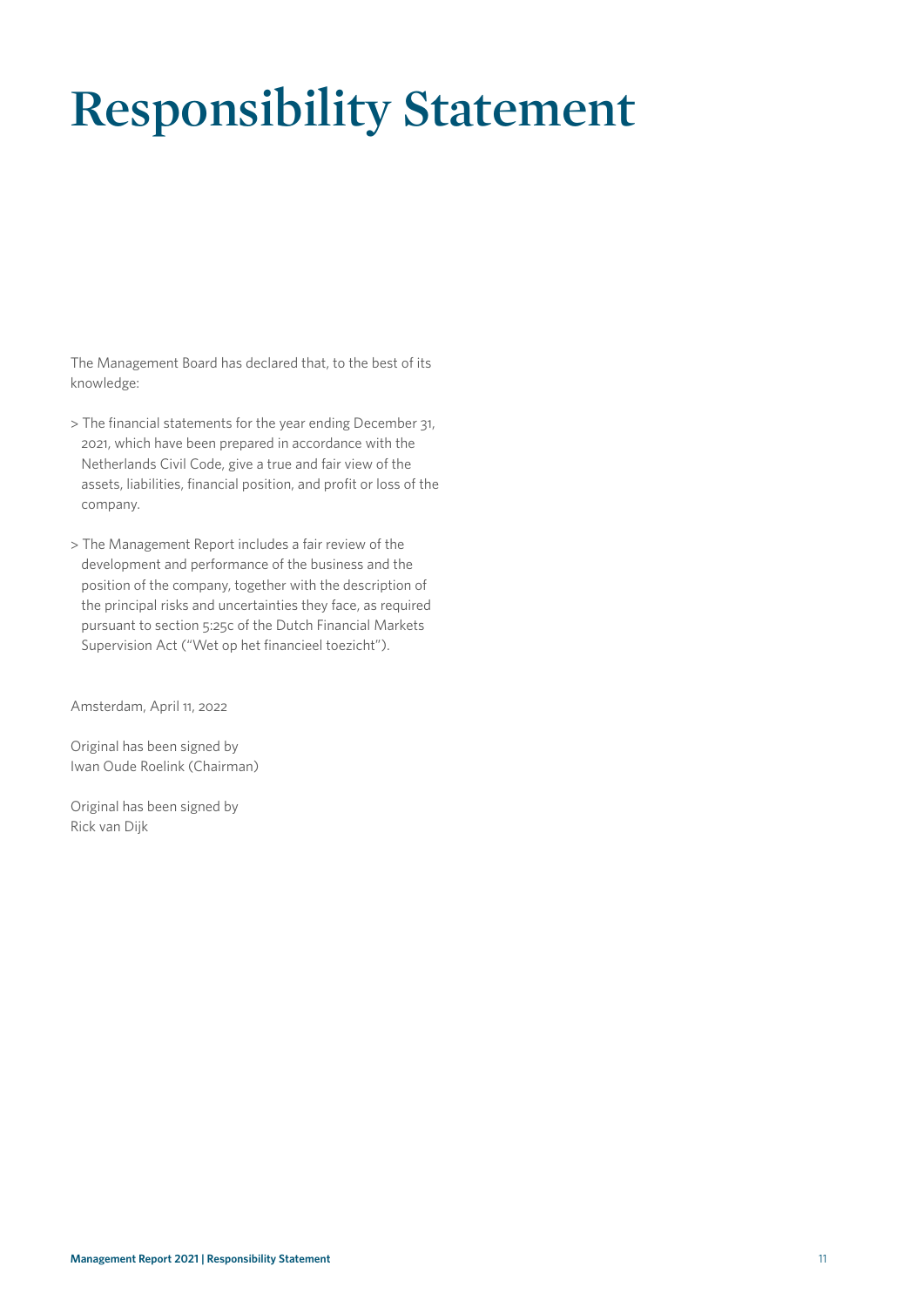# **Responsibility Statement**

The Management Board has declared that, to the best of its knowledge:

- > The financial statements for the year ending December 31, 2021, which have been prepared in accordance with the Netherlands Civil Code, give a true and fair view of the assets, liabilities, financial position, and profit or loss of the company.
- > The Management Report includes a fair review of the development and performance of the business and the position of the company, together with the description of the principal risks and uncertainties they face, as required pursuant to section 5:25c of the Dutch Financial Markets Supervision Act ("Wet op het financieel toezicht").

Amsterdam, April 11, 2022

Original has been signed by Iwan Oude Roelink (Chairman)

Original has been signed by Rick van Dijk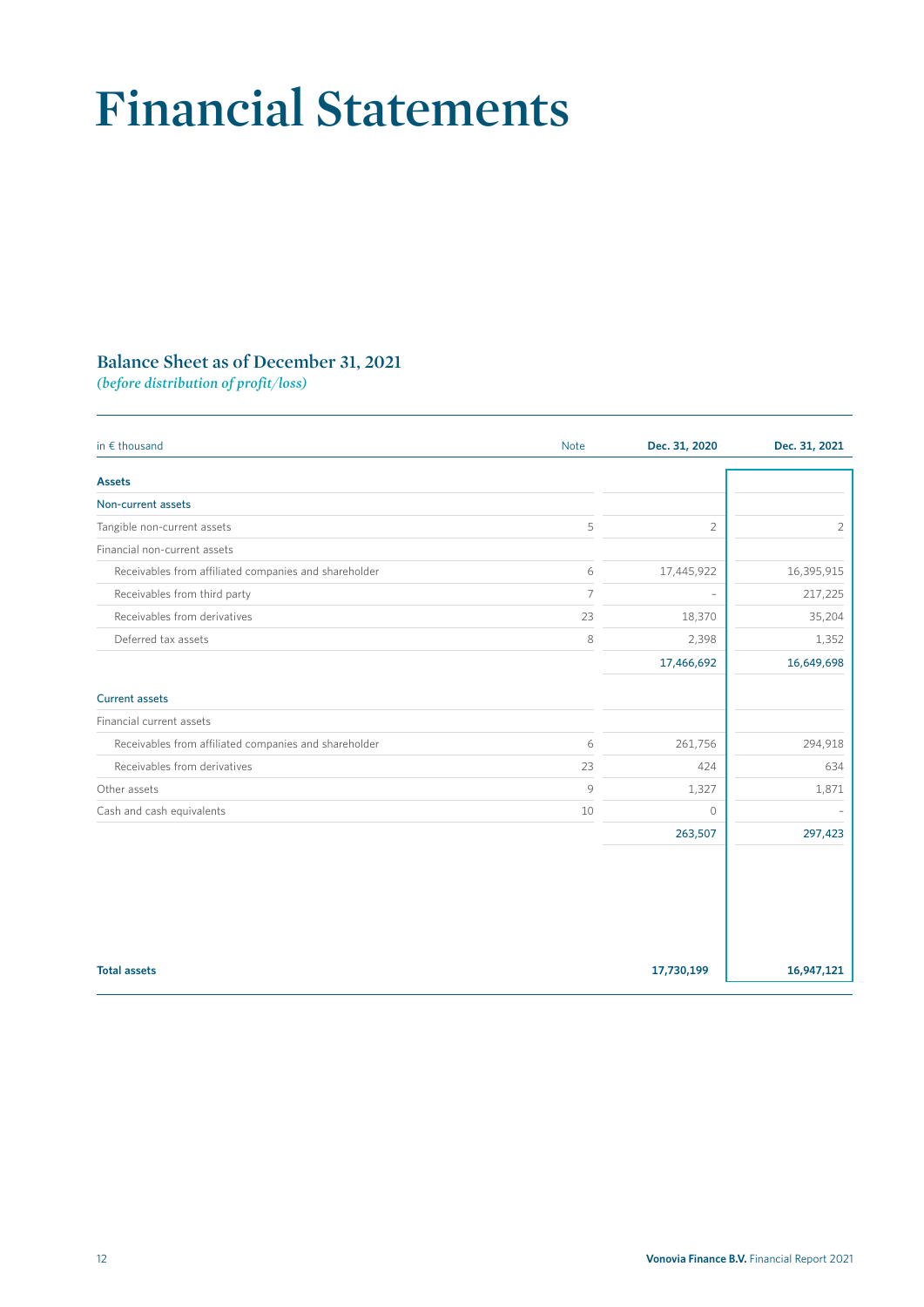# **Financial Statements**

# **Balance Sheet as of December 31, 2021**

*(before distribution of profit/loss)*

| in $\epsilon$ thousand                                | <b>Note</b>    | Dec. 31, 2020 | Dec. 31, 2021 |
|-------------------------------------------------------|----------------|---------------|---------------|
| <b>Assets</b>                                         |                |               |               |
| Non-current assets                                    |                |               |               |
| Tangible non-current assets                           | 5              | 2             | 2             |
| Financial non-current assets                          |                |               |               |
| Receivables from affiliated companies and shareholder | 6              | 17,445,922    | 16,395,915    |
| Receivables from third party                          | $\overline{7}$ |               | 217,225       |
| Receivables from derivatives                          | 23             | 18,370        | 35,204        |
| Deferred tax assets                                   | 8              | 2,398         | 1,352         |
|                                                       |                | 17,466,692    | 16,649,698    |
| <b>Current assets</b>                                 |                |               |               |
| Financial current assets                              |                |               |               |
| Receivables from affiliated companies and shareholder | 6              | 261,756       | 294,918       |
| Receivables from derivatives                          | 23             | 424           | 634           |
| Other assets                                          | 9              | 1,327         | 1,871         |
| Cash and cash equivalents                             | 10             | $\circ$       |               |
|                                                       |                | 263,507       | 297,423       |
|                                                       |                |               |               |
|                                                       |                |               |               |
|                                                       |                |               |               |
|                                                       |                |               |               |
| <b>Total assets</b>                                   |                | 17,730,199    | 16,947,121    |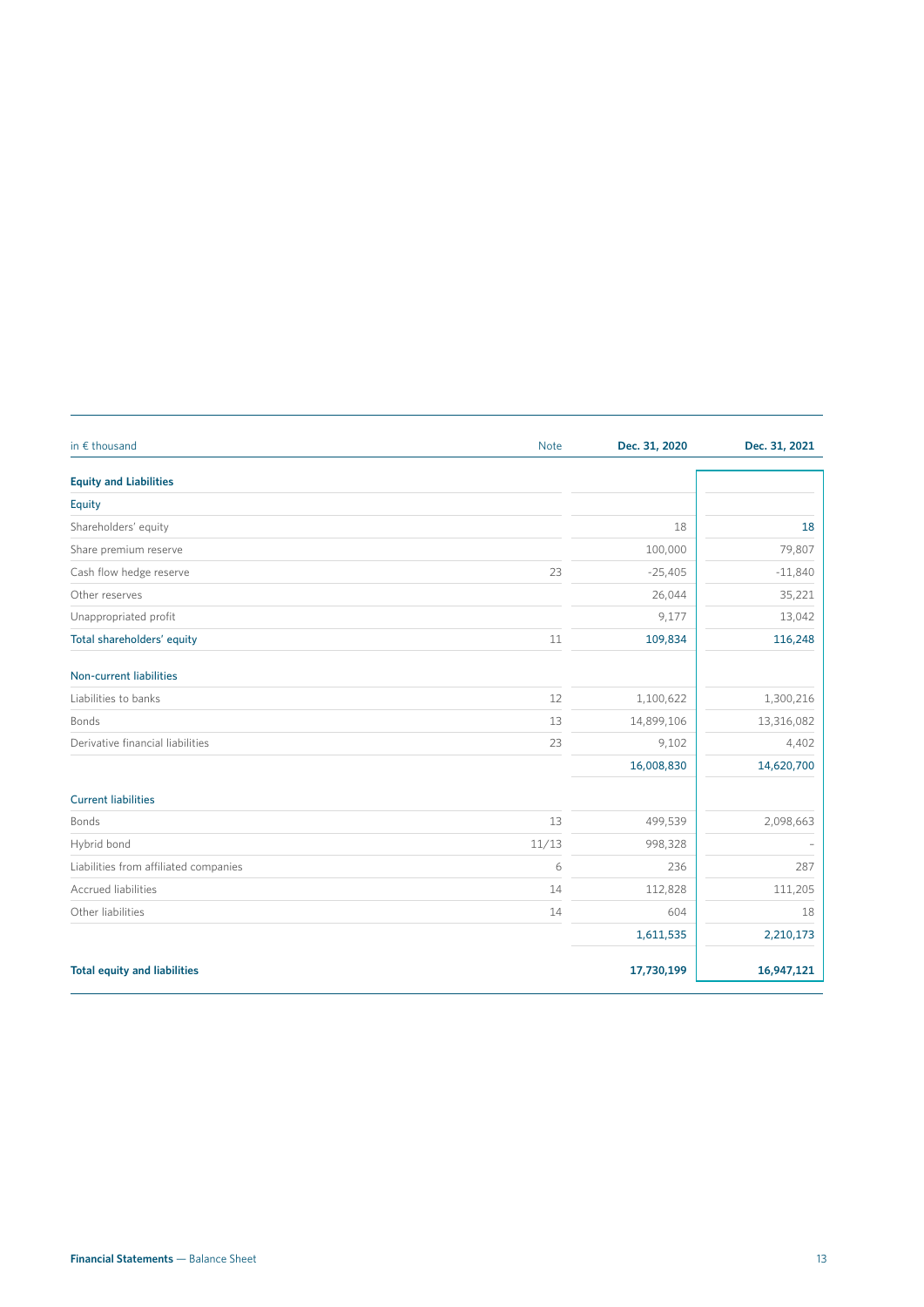| in € thousand                         | <b>Note</b> | Dec. 31, 2020 | Dec. 31, 2021 |
|---------------------------------------|-------------|---------------|---------------|
| <b>Equity and Liabilities</b>         |             |               |               |
| Equity                                |             |               |               |
| Shareholders' equity                  |             | 18            | 18            |
| Share premium reserve                 |             | 100,000       | 79,807        |
| Cash flow hedge reserve               | 23          | $-25,405$     | $-11,840$     |
| Other reserves                        |             | 26,044        | 35,221        |
| Unappropriated profit                 |             | 9,177         | 13,042        |
| Total shareholders' equity            | 11          | 109,834       | 116,248       |
| <b>Non-current liabilities</b>        |             |               |               |
| Liabilities to banks                  | 12          | 1,100,622     | 1,300,216     |
| Bonds                                 | 13          | 14,899,106    | 13,316,082    |
| Derivative financial liabilities      | 23          | 9,102         | 4,402         |
|                                       |             | 16,008,830    | 14,620,700    |
| <b>Current liabilities</b>            |             |               |               |
| Bonds                                 | 13          | 499,539       | 2,098,663     |
| Hybrid bond                           | 11/13       | 998,328       |               |
| Liabilities from affiliated companies | 6           | 236           | 287           |
| <b>Accrued liabilities</b>            | 14          | 112,828       | 111,205       |
| Other liabilities                     | 14          | 604           | 18            |
|                                       |             | 1,611,535     | 2,210,173     |
| <b>Total equity and liabilities</b>   |             | 17,730,199    | 16,947,121    |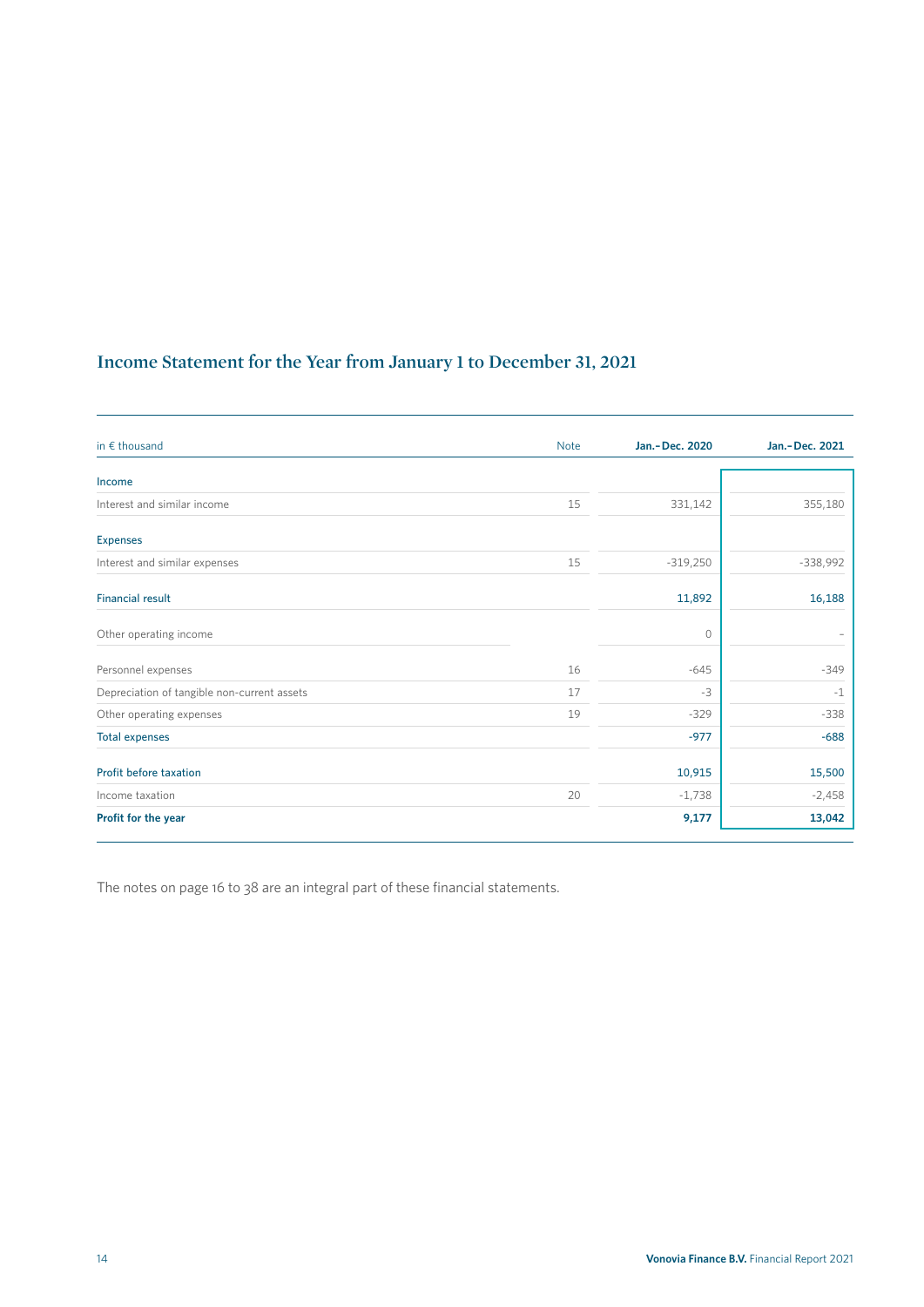# **Income Statement for the Year from January 1 to December 31, 2021**

| in $\epsilon$ thousand                      | <b>Note</b> | Jan.-Dec. 2020 | Jan.-Dec. 2021 |
|---------------------------------------------|-------------|----------------|----------------|
| Income                                      |             |                |                |
| Interest and similar income                 | 15          | 331,142        | 355,180        |
| <b>Expenses</b>                             |             |                |                |
| Interest and similar expenses               | 15          | $-319,250$     | $-338,992$     |
| <b>Financial result</b>                     |             | 11,892         | 16,188         |
| Other operating income                      |             | $\circ$        |                |
| Personnel expenses                          | 16          | $-645$         | $-349$         |
| Depreciation of tangible non-current assets | 17          | $-3$           | $-1$           |
| Other operating expenses                    | 19          | $-329$         | $-338$         |
| <b>Total expenses</b>                       |             | $-977$         | $-688$         |
| Profit before taxation                      |             | 10,915         | 15,500         |
| Income taxation                             | 20          | $-1,738$       | $-2,458$       |
| Profit for the year                         |             | 9,177          | 13,042         |

The notes on page 16 to 38 are an integral part of these financial statements.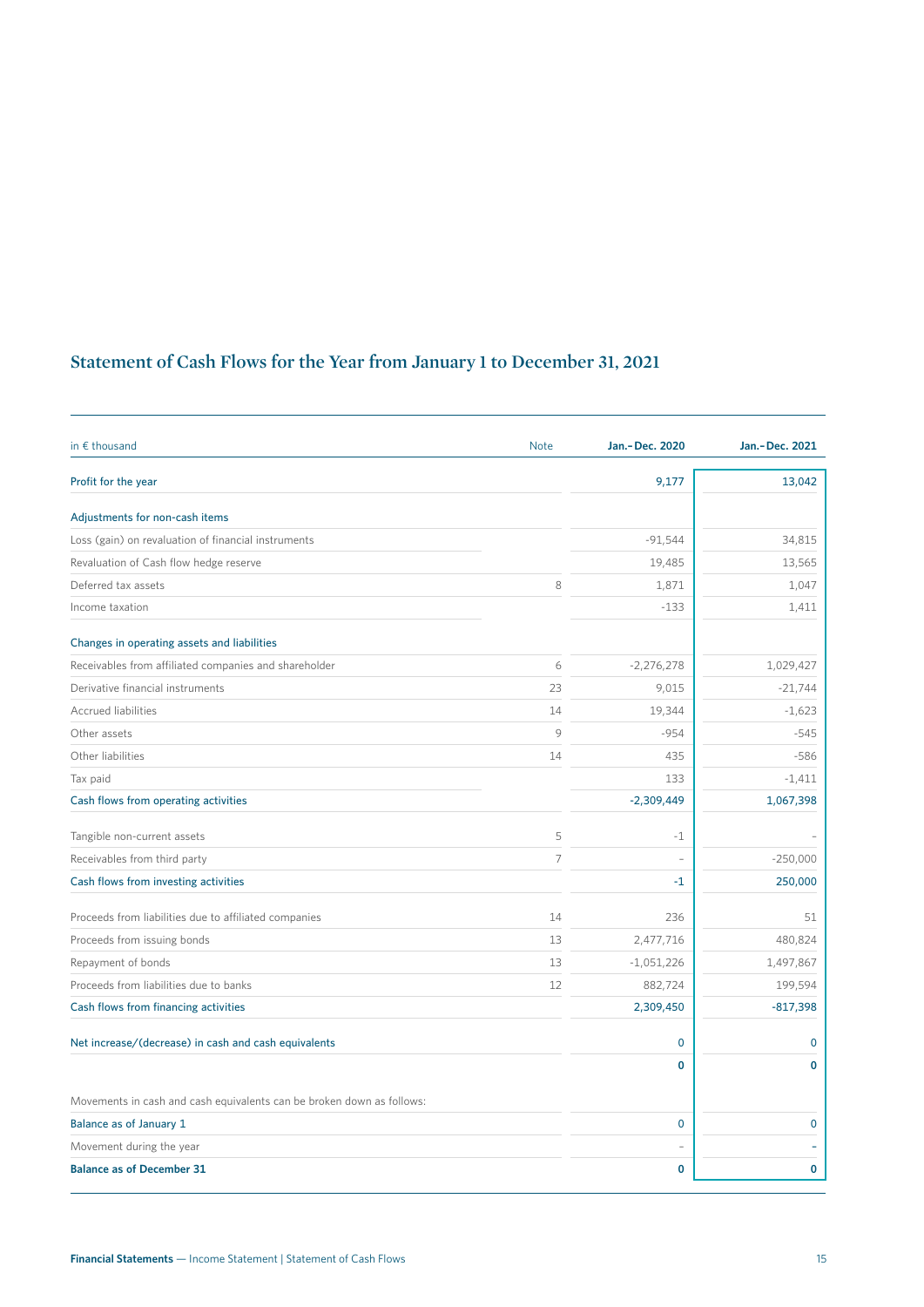# **Statement of Cash Flows for the Year from January 1 to December 31, 2021**

| in $\epsilon$ thousand                                                | <b>Note</b>    | Jan.-Dec. 2020 | Jan.-Dec. 2021 |
|-----------------------------------------------------------------------|----------------|----------------|----------------|
| Profit for the year                                                   |                | 9,177          | 13,042         |
| Adjustments for non-cash items                                        |                |                |                |
| Loss (gain) on revaluation of financial instruments                   |                | $-91,544$      | 34,815         |
| Revaluation of Cash flow hedge reserve                                |                | 19,485         | 13,565         |
| Deferred tax assets                                                   | 8              | 1,871          | 1,047          |
| Income taxation                                                       |                | $-133$         | 1,411          |
| Changes in operating assets and liabilities                           |                |                |                |
| Receivables from affiliated companies and shareholder                 | 6              | $-2,276,278$   | 1,029,427      |
| Derivative financial instruments                                      | 23             | 9,015          | $-21,744$      |
| <b>Accrued liabilities</b>                                            | 14             | 19,344         | $-1,623$       |
| Other assets                                                          | 9              | $-954$         | $-545$         |
| Other liabilities                                                     | 14             | 435            | $-586$         |
| Tax paid                                                              |                | 133            | $-1,411$       |
| Cash flows from operating activities                                  |                | $-2,309,449$   | 1,067,398      |
| Tangible non-current assets                                           | 5              | $-1$           |                |
| Receivables from third party                                          | $\overline{7}$ |                | $-250,000$     |
| Cash flows from investing activities                                  |                | $-1$           | 250,000        |
| Proceeds from liabilities due to affiliated companies                 | 14             | 236            | 51             |
| Proceeds from issuing bonds                                           | 13             | 2,477,716      | 480,824        |
| Repayment of bonds                                                    | 13             | $-1,051,226$   | 1,497,867      |
| Proceeds from liabilities due to banks                                | 12             | 882,724        | 199,594        |
| Cash flows from financing activities                                  |                | 2,309,450      | $-817,398$     |
| Net increase/(decrease) in cash and cash equivalents                  |                | $\mathbf 0$    | $\mathbf 0$    |
|                                                                       |                | 0              | $\mathbf{0}$   |
| Movements in cash and cash equivalents can be broken down as follows: |                |                |                |
| Balance as of January 1                                               |                | $\mathbf 0$    | $\mathbf 0$    |
| Movement during the year                                              |                |                |                |
| <b>Balance as of December 31</b>                                      |                | $\mathbf 0$    | 0              |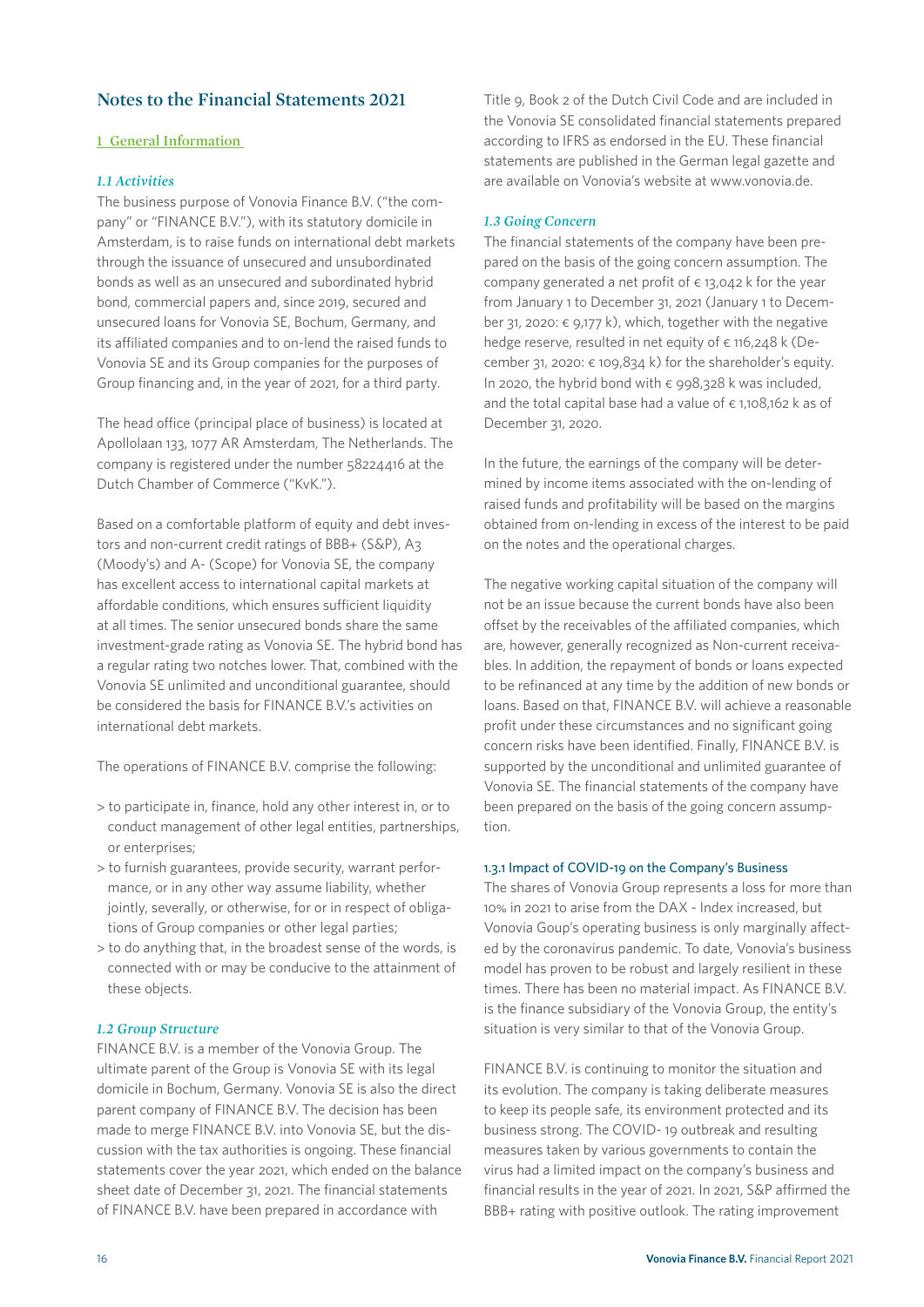# **Notes to the Financial Statements 2021**

#### **1 General Information**

#### *1.1 Activities*

The business purpose of Vonovia Finance B.V. ("the company" or "FINANCE B.V."), with its statutory domicile in Amsterdam, is to raise funds on international debt markets through the issuance of unsecured and unsubordinated bonds as well as an unsecured and subordinated hybrid bond, commercial papers and, since 2019, secured and unsecured loans for Vonovia SE, Bochum, Germany, and its affiliated companies and to on-lend the raised funds to Vonovia SE and its Group companies for the purposes of Group financing and, in the year of 2021, for a third party.

The head office (principal place of business) is located at Apollolaan 133, 1077 AR Amsterdam, The Netherlands. The company is registered under the number 58224416 at the Dutch Chamber of Commerce ("KvK.").

Based on a comfortable platform of equity and debt investors and non-current credit ratings of BBB+ (S&P), A3 (Moody's) and A- (Scope) for Vonovia SE, the company has excellent access to international capital markets at affordable conditions, which ensures sufficient liquidity at all times. The senior unsecured bonds share the same investment-grade rating as Vonovia SE. The hybrid bond has a regular rating two notches lower. That, combined with the Vonovia SE unlimited and unconditional guarantee, should be considered the basis for FINANCE B.V.'s activities on international debt markets.

The operations of FINANCE B.V. comprise the following:

- > to participate in, finance, hold any other interest in, or to conduct management of other legal entities, partnerships, or enterprises;
- > to furnish guarantees, provide security, warrant performance, or in any other way assume liability, whether jointly, severally, or otherwise, for or in respect of obligations of Group companies or other legal parties;
- > to do anything that, in the broadest sense of the words, is connected with or may be conducive to the attainment of these objects.

#### *1.2 Group Structure*

FINANCE B.V. is a member of the Vonovia Group. The ultimate parent of the Group is Vonovia SE with its legal domicile in Bochum, Germany. Vonovia SE is also the direct parent company of FINANCE B.V. The decision has been made to merge FINANCE B.V. into Vonovia SE, but the discussion with the tax authorities is ongoing. These financial statements cover the year 2021, which ended on the balance sheet date of December 31, 2021. The financial statements of FINANCE B.V. have been prepared in accordance with

Title 9, Book 2 of the Dutch Civil Code and are included in the Vonovia SE consolidated financial statements prepared according to IFRS as endorsed in the EU. These financial statements are published in the German legal gazette and are available on Vonovia's website at www.vonovia.de.

#### *1.3 Going Concern*

The financial statements of the company have been prepared on the basis of the going concern assumption. The company generated a net profit of  $\epsilon$  13,042 k for the year from January 1 to December 31, 2021 (January 1 to December 31, 2020:  $\epsilon$  9,177 k), which, together with the negative hedge reserve, resulted in net equity of  $\epsilon$  116,248 k (December 31, 2020:  $\epsilon$  109,834 k) for the shareholder's equity. In 2020, the hybrid bond with  $\epsilon$  998,328 k was included, and the total capital base had a value of  $\epsilon$  1,108,162 k as of December 31, 2020.

In the future, the earnings of the company will be determined by income items associated with the on-lending of raised funds and profitability will be based on the margins obtained from on-lending in excess of the interest to be paid on the notes and the operational charges.

The negative working capital situation of the company will not be an issue because the current bonds have also been offset by the receivables of the affiliated companies, which are, however, generally recognized as Non-current receivables. In addition, the repayment of bonds or loans expected to be refinanced at any time by the addition of new bonds or loans. Based on that, FINANCE B.V. will achieve a reasonable profit under these circumstances and no significant going concern risks have been identified. Finally, FINANCE B.V. is supported by the unconditional and unlimited guarantee of Vonovia SE. The financial statements of the company have been prepared on the basis of the going concern assumption.

#### 1.3.1 Impact of COVID-19 on the Company's Business

The shares of Vonovia Group represents a loss for more than 10% in 2021 to arise from the DAX - Index increased, but Vonovia Goup's operating business is only marginally affected by the coronavirus pandemic. To date, Vonovia's business model has proven to be robust and largely resilient in these times. There has been no material impact. As FINANCE B.V. is the finance subsidiary of the Vonovia Group, the entity's situation is very similar to that of the Vonovia Group.

FINANCE B.V. is continuing to monitor the situation and its evolution. The company is taking deliberate measures to keep its people safe, its environment protected and its business strong. The COVID- 19 outbreak and resulting measures taken by various governments to contain the virus had a limited impact on the company's business and financial results in the year of 2021. In 2021, S&P affirmed the BBB+ rating with positive outlook. The rating improvement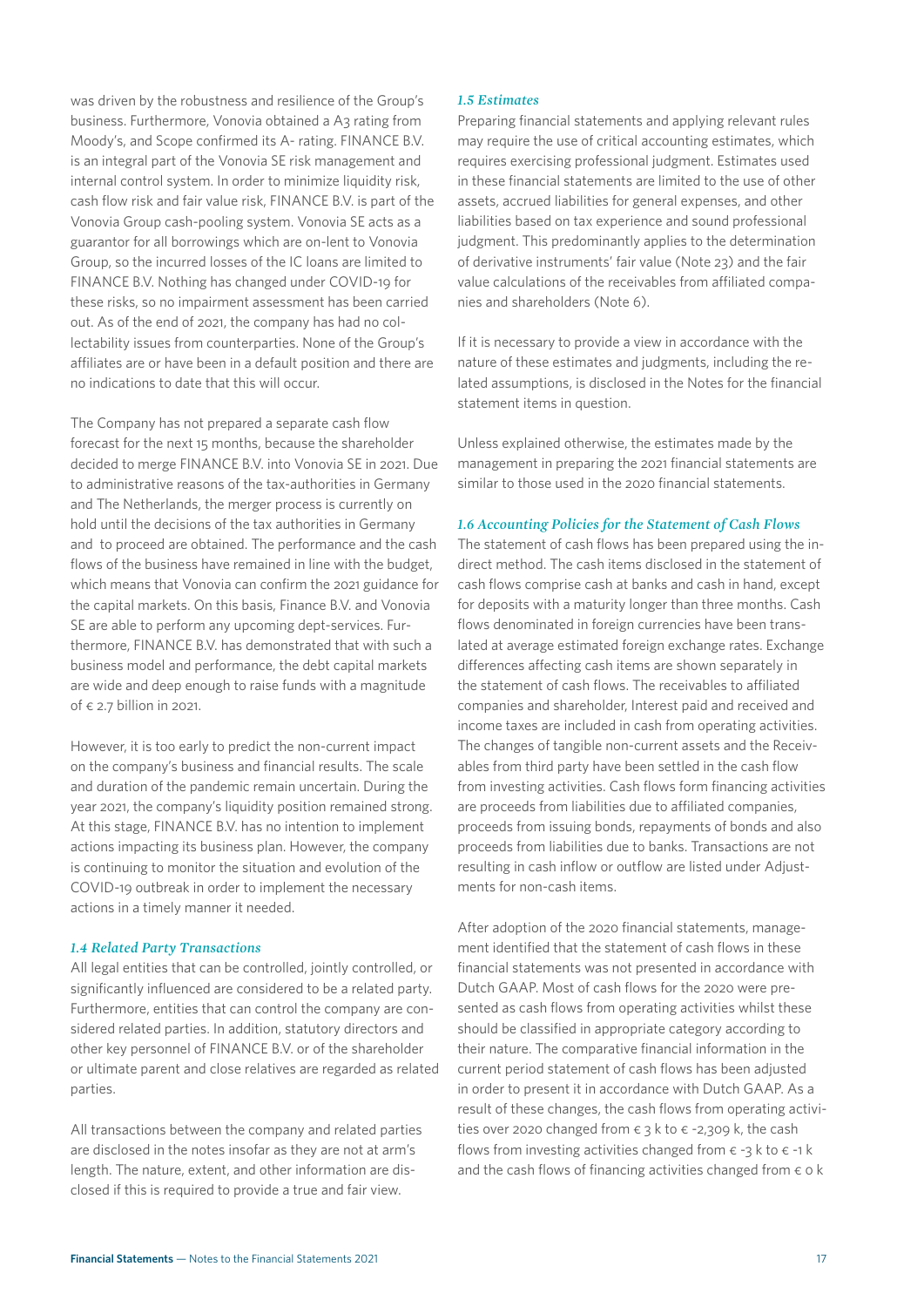was driven by the robustness and resilience of the Group's business. Furthermore, Vonovia obtained a A3 rating from Moody's, and Scope confirmed its A- rating. FINANCE B.V. is an integral part of the Vonovia SE risk management and internal control system. In order to minimize liquidity risk, cash flow risk and fair value risk, FINANCE B.V. is part of the Vonovia Group cash-pooling system. Vonovia SE acts as a guarantor for all borrowings which are on-lent to Vonovia Group, so the incurred losses of the IC loans are limited to FINANCE B.V. Nothing has changed under COVID-19 for these risks, so no impairment assessment has been carried out. As of the end of 2021, the company has had no collectability issues from counterparties. None of the Group's affiliates are or have been in a default position and there are no indications to date that this will occur.

The Company has not prepared a separate cash flow forecast for the next 15 months, because the shareholder decided to merge FINANCE B.V. into Vonovia SE in 2021. Due to administrative reasons of the tax-authorities in Germany and The Netherlands, the merger process is currently on hold until the decisions of the tax authorities in Germany and to proceed are obtained. The performance and the cash flows of the business have remained in line with the budget, which means that Vonovia can confirm the 2021 guidance for the capital markets. On this basis, Finance B.V. and Vonovia SE are able to perform any upcoming dept-services. Furthermore, FINANCE B.V. has demonstrated that with such a business model and performance, the debt capital markets are wide and deep enough to raise funds with a magnitude of  $\epsilon$  2.7 billion in 2021.

However, it is too early to predict the non-current impact on the company's business and financial results. The scale and duration of the pandemic remain uncertain. During the year 2021, the company's liquidity position remained strong. At this stage, FINANCE B.V. has no intention to implement actions impacting its business plan. However, the company is continuing to monitor the situation and evolution of the COVID-19 outbreak in order to implement the necessary actions in a timely manner it needed.

#### *1.4 Related Party Transactions*

All legal entities that can be controlled, jointly controlled, or significantly influenced are considered to be a related party. Furthermore, entities that can control the company are considered related parties. In addition, statutory directors and other key personnel of FINANCE B.V. or of the shareholder or ultimate parent and close relatives are regarded as related parties.

All transactions between the company and related parties are disclosed in the notes insofar as they are not at arm's length. The nature, extent, and other information are disclosed if this is required to provide a true and fair view.

#### *1.5 Estimates*

Preparing financial statements and applying relevant rules may require the use of critical accounting estimates, which requires exercising professional judgment. Estimates used in these financial statements are limited to the use of other assets, accrued liabilities for general expenses, and other liabilities based on tax experience and sound professional judgment. This predominantly applies to the determination of derivative instruments' fair value (Note 23) and the fair value calculations of the receivables from affiliated companies and shareholders (Note 6).

If it is necessary to provide a view in accordance with the nature of these estimates and judgments, including the related assumptions, is disclosed in the Notes for the financial statement items in question.

Unless explained otherwise, the estimates made by the management in preparing the 2021 financial statements are similar to those used in the 2020 financial statements.

#### *1.6 Accounting Policies for the Statement of Cash Flows*

The statement of cash flows has been prepared using the indirect method. The cash items disclosed in the statement of cash flows comprise cash at banks and cash in hand, except for deposits with a maturity longer than three months. Cash flows denominated in foreign currencies have been translated at average estimated foreign exchange rates. Exchange differences affecting cash items are shown separately in the statement of cash flows. The receivables to affiliated companies and shareholder, Interest paid and received and income taxes are included in cash from operating activities. The changes of tangible non-current assets and the Receivables from third party have been settled in the cash flow from investing activities. Cash flows form financing activities are proceeds from liabilities due to affiliated companies, proceeds from issuing bonds, repayments of bonds and also proceeds from liabilities due to banks. Transactions are not resulting in cash inflow or outflow are listed under Adjustments for non-cash items.

After adoption of the 2020 financial statements, management identified that the statement of cash flows in these financial statements was not presented in accordance with Dutch GAAP. Most of cash flows for the 2020 were presented as cash flows from operating activities whilst these should be classified in appropriate category according to their nature. The comparative financial information in the current period statement of cash flows has been adjusted in order to present it in accordance with Dutch GAAP. As a result of these changes, the cash flows from operating activities over 2020 changed from  $\epsilon$  3 k to  $\epsilon$  -2,309 k, the cash flows from investing activities changed from  $\epsilon$  -3 k to  $\epsilon$  -1 k and the cash flows of financing activities changed from  $\epsilon$  o k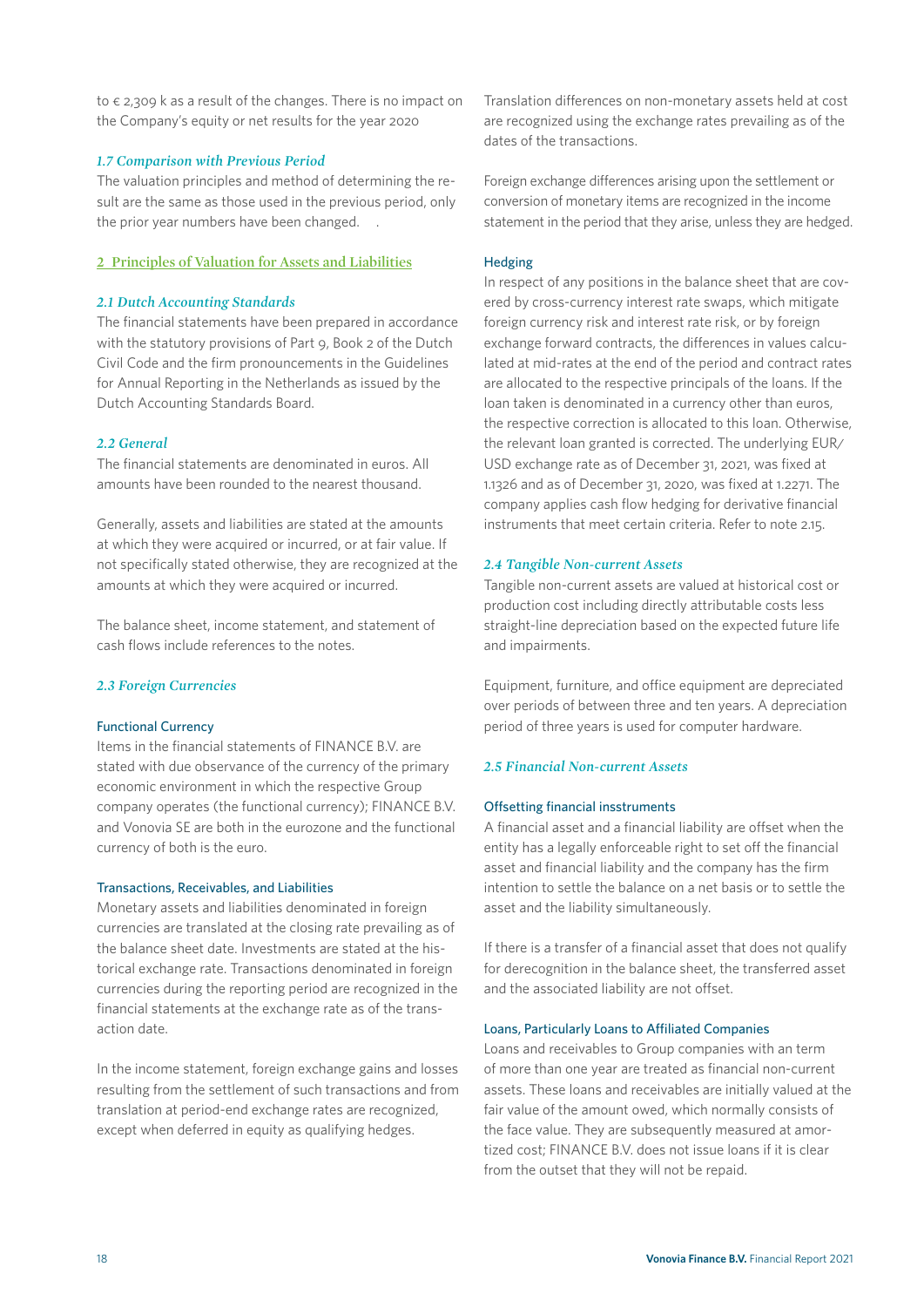to  $\epsilon$  2,309 k as a result of the changes. There is no impact on the Company's equity or net results for the year 2020

#### *1.7 Comparison with Previous Period*

The valuation principles and method of determining the result are the same as those used in the previous period, only the prior year numbers have been changed. .

#### **2 Principles of Valuation for Assets and Liabilities**

#### *2.1 Dutch Accounting Standards*

The financial statements have been prepared in accordance with the statutory provisions of Part 9, Book 2 of the Dutch Civil Code and the firm pronouncements in the Guidelines for Annual Reporting in the Netherlands as issued by the Dutch Accounting Standards Board.

#### *2.2 General*

The financial statements are denominated in euros. All amounts have been rounded to the nearest thousand.

Generally, assets and liabilities are stated at the amounts at which they were acquired or incurred, or at fair value. If not specifically stated otherwise, they are recognized at the amounts at which they were acquired or incurred.

The balance sheet, income statement, and statement of cash flows include references to the notes.

#### *2.3 Foreign Currencies*

#### Functional Currency

Items in the financial statements of FINANCE B.V. are stated with due observance of the currency of the primary economic environment in which the respective Group company operates (the functional currency); FINANCE B.V. and Vonovia SE are both in the eurozone and the functional currency of both is the euro.

#### Transactions, Receivables, and Liabilities

Monetary assets and liabilities denominated in foreign currencies are translated at the closing rate prevailing as of the balance sheet date. Investments are stated at the historical exchange rate. Transactions denominated in foreign currencies during the reporting period are recognized in the financial statements at the exchange rate as of the transaction date.

In the income statement, foreign exchange gains and losses resulting from the settlement of such transactions and from translation at period-end exchange rates are recognized, except when deferred in equity as qualifying hedges.

Translation differences on non-monetary assets held at cost are recognized using the exchange rates prevailing as of the dates of the transactions.

Foreign exchange differences arising upon the settlement or conversion of monetary items are recognized in the income statement in the period that they arise, unless they are hedged.

#### Hedging

In respect of any positions in the balance sheet that are covered by cross-currency interest rate swaps, which mitigate foreign currency risk and interest rate risk, or by foreign exchange forward contracts, the differences in values calculated at mid-rates at the end of the period and contract rates are allocated to the respective principals of the loans. If the loan taken is denominated in a currency other than euros, the respective correction is allocated to this loan. Otherwise, the relevant loan granted is corrected. The underlying EUR/ USD exchange rate as of December 31, 2021, was fixed at 1.1326 and as of December 31, 2020, was fixed at 1.2271. The company applies cash flow hedging for derivative financial instruments that meet certain criteria. Refer to note 2.15.

#### *2.4 Tangible Non-current Assets*

Tangible non-current assets are valued at historical cost or production cost including directly attributable costs less straight-line depreciation based on the expected future life and impairments.

Equipment, furniture, and office equipment are depreciated over periods of between three and ten years. A depreciation period of three years is used for computer hardware.

#### *2.5 Financial Non-current Assets*

#### Offsetting financial insstruments

A financial asset and a financial liability are offset when the entity has a legally enforceable right to set off the financial asset and financial liability and the company has the firm intention to settle the balance on a net basis or to settle the asset and the liability simultaneously.

If there is a transfer of a financial asset that does not qualify for derecognition in the balance sheet, the transferred asset and the associated liability are not offset.

#### Loans, Particularly Loans to Affiliated Companies

Loans and receivables to Group companies with an term of more than one year are treated as financial non-current assets. These loans and receivables are initially valued at the fair value of the amount owed, which normally consists of the face value. They are subsequently measured at amortized cost; FINANCE B.V. does not issue loans if it is clear from the outset that they will not be repaid.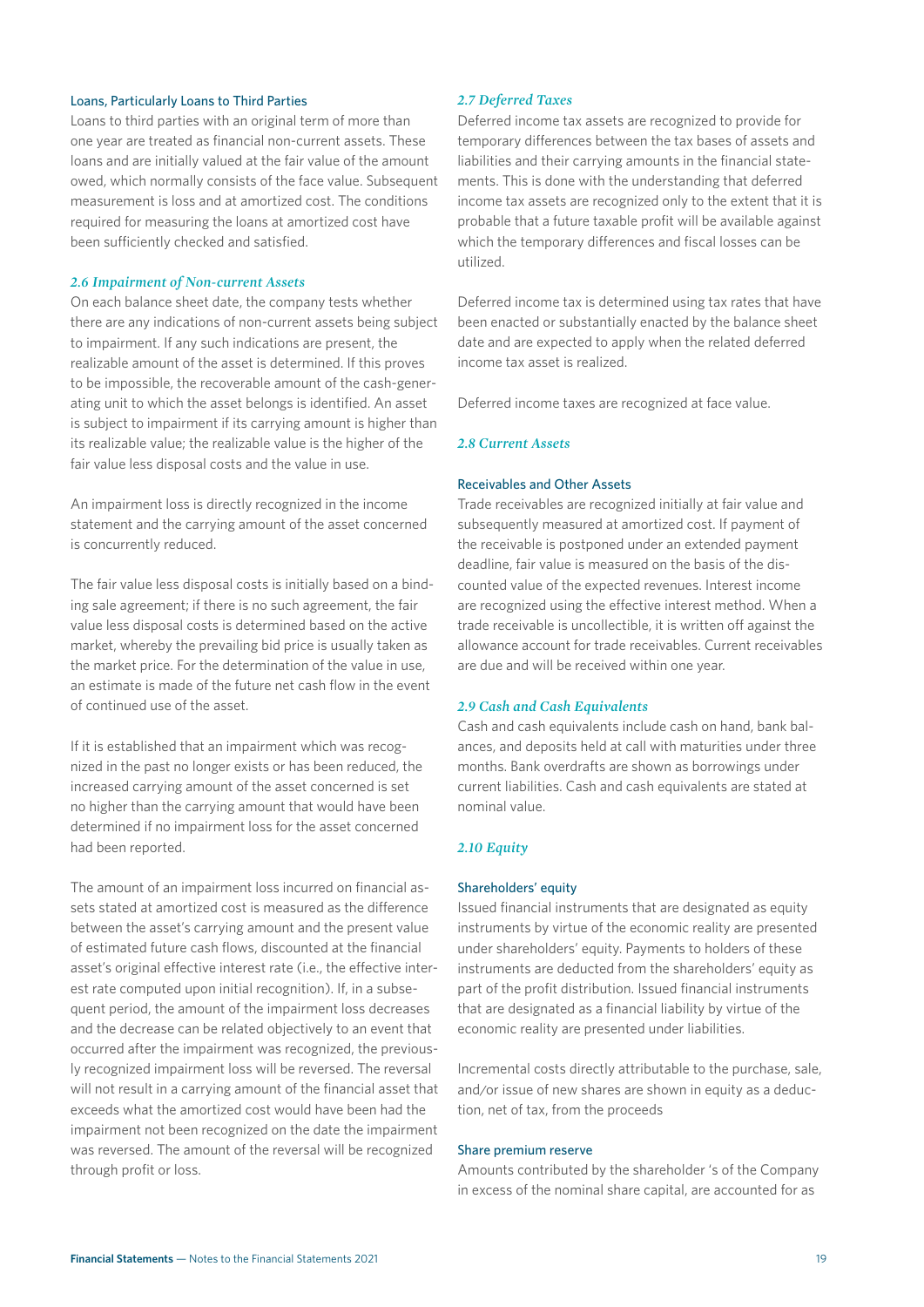#### Loans, Particularly Loans to Third Parties

Loans to third parties with an original term of more than one year are treated as financial non-current assets. These loans and are initially valued at the fair value of the amount owed, which normally consists of the face value. Subsequent measurement is loss and at amortized cost. The conditions required for measuring the loans at amortized cost have been sufficiently checked and satisfied.

#### *2.6 Impairment of Non-current Assets*

On each balance sheet date, the company tests whether there are any indications of non-current assets being subject to impairment. If any such indications are present, the realizable amount of the asset is determined. If this proves to be impossible, the recoverable amount of the cash-generating unit to which the asset belongs is identified. An asset is subject to impairment if its carrying amount is higher than its realizable value; the realizable value is the higher of the fair value less disposal costs and the value in use.

An impairment loss is directly recognized in the income statement and the carrying amount of the asset concerned is concurrently reduced.

The fair value less disposal costs is initially based on a binding sale agreement; if there is no such agreement, the fair value less disposal costs is determined based on the active market, whereby the prevailing bid price is usually taken as the market price. For the determination of the value in use, an estimate is made of the future net cash flow in the event of continued use of the asset.

If it is established that an impairment which was recognized in the past no longer exists or has been reduced, the increased carrying amount of the asset concerned is set no higher than the carrying amount that would have been determined if no impairment loss for the asset concerned had been reported.

The amount of an impairment loss incurred on financial assets stated at amortized cost is measured as the difference between the asset's carrying amount and the present value of estimated future cash flows, discounted at the financial asset's original effective interest rate (i.e., the effective interest rate computed upon initial recognition). If, in a subsequent period, the amount of the impairment loss decreases and the decrease can be related objectively to an event that occurred after the impairment was recognized, the previously recognized impairment loss will be reversed. The reversal will not result in a carrying amount of the financial asset that exceeds what the amortized cost would have been had the impairment not been recognized on the date the impairment was reversed. The amount of the reversal will be recognized through profit or loss.

#### *2.7 Deferred Taxes*

Deferred income tax assets are recognized to provide for temporary differences between the tax bases of assets and liabilities and their carrying amounts in the financial statements. This is done with the understanding that deferred income tax assets are recognized only to the extent that it is probable that a future taxable profit will be available against which the temporary differences and fiscal losses can be utilized.

Deferred income tax is determined using tax rates that have been enacted or substantially enacted by the balance sheet date and are expected to apply when the related deferred income tax asset is realized.

Deferred income taxes are recognized at face value.

#### *2.8 Current Assets*

#### Receivables and Other Assets

Trade receivables are recognized initially at fair value and subsequently measured at amortized cost. If payment of the receivable is postponed under an extended payment deadline, fair value is measured on the basis of the discounted value of the expected revenues. Interest income are recognized using the effective interest method. When a trade receivable is uncollectible, it is written off against the allowance account for trade receivables. Current receivables are due and will be received within one year.

#### *2.9 Cash and Cash Equivalents*

Cash and cash equivalents include cash on hand, bank balances, and deposits held at call with maturities under three months. Bank overdrafts are shown as borrowings under current liabilities. Cash and cash equivalents are stated at nominal value.

#### *2.10 Equity*

#### Shareholders' equity

Issued financial instruments that are designated as equity instruments by virtue of the economic reality are presented under shareholders' equity. Payments to holders of these instruments are deducted from the shareholders' equity as part of the profit distribution. Issued financial instruments that are designated as a financial liability by virtue of the economic reality are presented under liabilities.

Incremental costs directly attributable to the purchase, sale, and/or issue of new shares are shown in equity as a deduction, net of tax, from the proceeds

#### Share premium reserve

Amounts contributed by the shareholder 's of the Company in excess of the nominal share capital, are accounted for as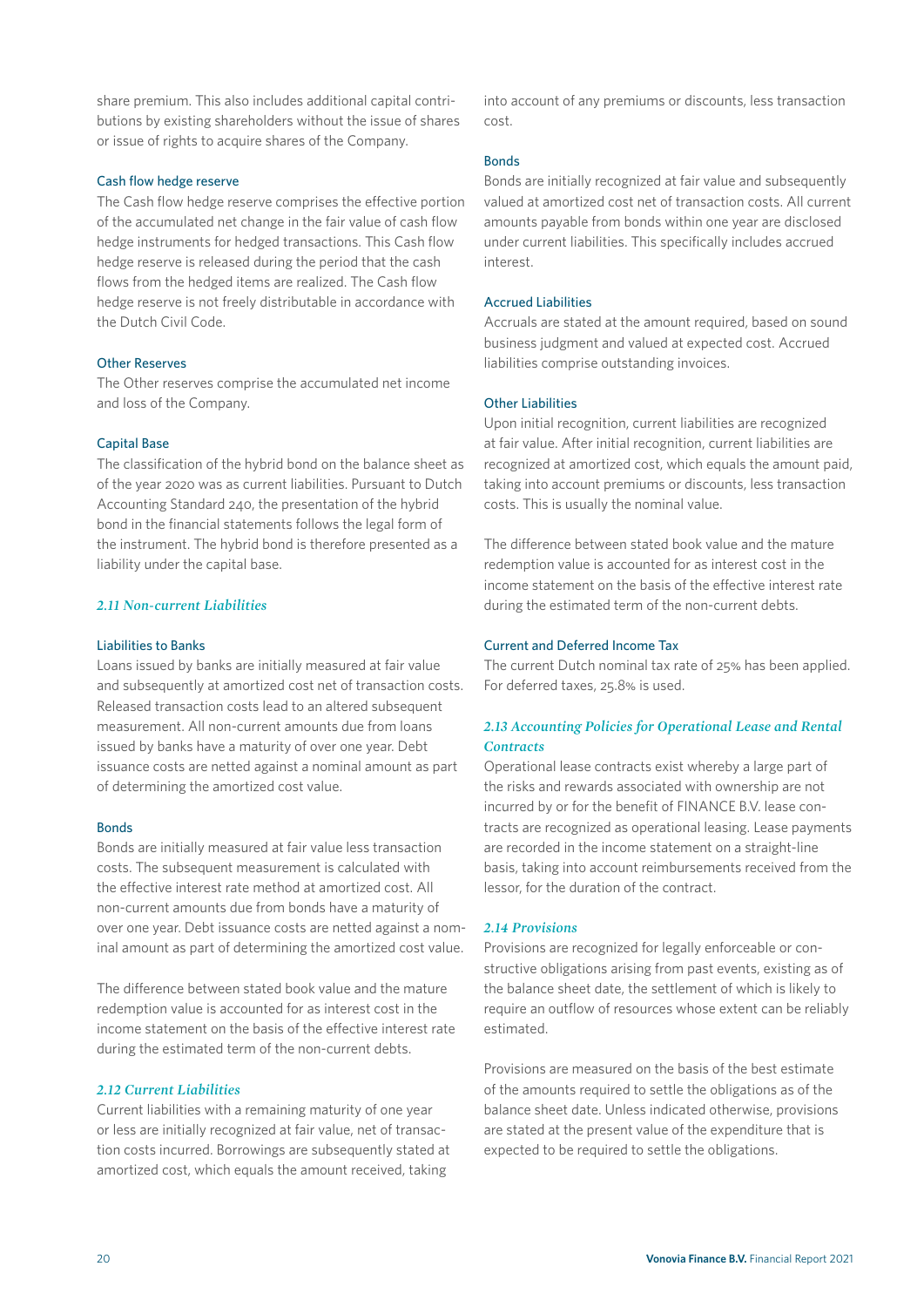share premium. This also includes additional capital contributions by existing shareholders without the issue of shares or issue of rights to acquire shares of the Company.

#### Cash flow hedge reserve

The Cash flow hedge reserve comprises the effective portion of the accumulated net change in the fair value of cash flow hedge instruments for hedged transactions. This Cash flow hedge reserve is released during the period that the cash flows from the hedged items are realized. The Cash flow hedge reserve is not freely distributable in accordance with the Dutch Civil Code.

#### Other Reserves

The Other reserves comprise the accumulated net income and loss of the Company.

#### Capital Base

The classification of the hybrid bond on the balance sheet as of the year 2020 was as current liabilities. Pursuant to Dutch Accounting Standard 240, the presentation of the hybrid bond in the financial statements follows the legal form of the instrument. The hybrid bond is therefore presented as a liability under the capital base.

#### *2.11 Non-current Liabilities*

#### Liabilities to Banks

Loans issued by banks are initially measured at fair value and subsequently at amortized cost net of transaction costs. Released transaction costs lead to an altered subsequent measurement. All non-current amounts due from loans issued by banks have a maturity of over one year. Debt issuance costs are netted against a nominal amount as part of determining the amortized cost value.

#### Bonds

Bonds are initially measured at fair value less transaction costs. The subsequent measurement is calculated with the effective interest rate method at amortized cost. All non-current amounts due from bonds have a maturity of over one year. Debt issuance costs are netted against a nominal amount as part of determining the amortized cost value.

The difference between stated book value and the mature redemption value is accounted for as interest cost in the income statement on the basis of the effective interest rate during the estimated term of the non-current debts.

#### *2.12 Current Liabilities*

Current liabilities with a remaining maturity of one year or less are initially recognized at fair value, net of transaction costs incurred. Borrowings are subsequently stated at amortized cost, which equals the amount received, taking

into account of any premiums or discounts, less transaction cost.

#### Bonds

Bonds are initially recognized at fair value and subsequently valued at amortized cost net of transaction costs. All current amounts payable from bonds within one year are disclosed under current liabilities. This specifically includes accrued interest.

#### Accrued Liabilities

Accruals are stated at the amount required, based on sound business judgment and valued at expected cost. Accrued liabilities comprise outstanding invoices.

#### Other Liabilities

Upon initial recognition, current liabilities are recognized at fair value. After initial recognition, current liabilities are recognized at amortized cost, which equals the amount paid, taking into account premiums or discounts, less transaction costs. This is usually the nominal value.

The difference between stated book value and the mature redemption value is accounted for as interest cost in the income statement on the basis of the effective interest rate during the estimated term of the non-current debts.

#### Current and Deferred Income Tax

The current Dutch nominal tax rate of 25% has been applied. For deferred taxes, 25.8% is used.

#### *2.13 Accounting Policies for Operational Lease and Rental Contracts*

Operational lease contracts exist whereby a large part of the risks and rewards associated with ownership are not incurred by or for the benefit of FINANCE B.V. lease contracts are recognized as operational leasing. Lease payments are recorded in the income statement on a straight-line basis, taking into account reimbursements received from the lessor, for the duration of the contract.

#### *2.14 Provisions*

Provisions are recognized for legally enforceable or constructive obligations arising from past events, existing as of the balance sheet date, the settlement of which is likely to require an outflow of resources whose extent can be reliably estimated.

Provisions are measured on the basis of the best estimate of the amounts required to settle the obligations as of the balance sheet date. Unless indicated otherwise, provisions are stated at the present value of the expenditure that is expected to be required to settle the obligations.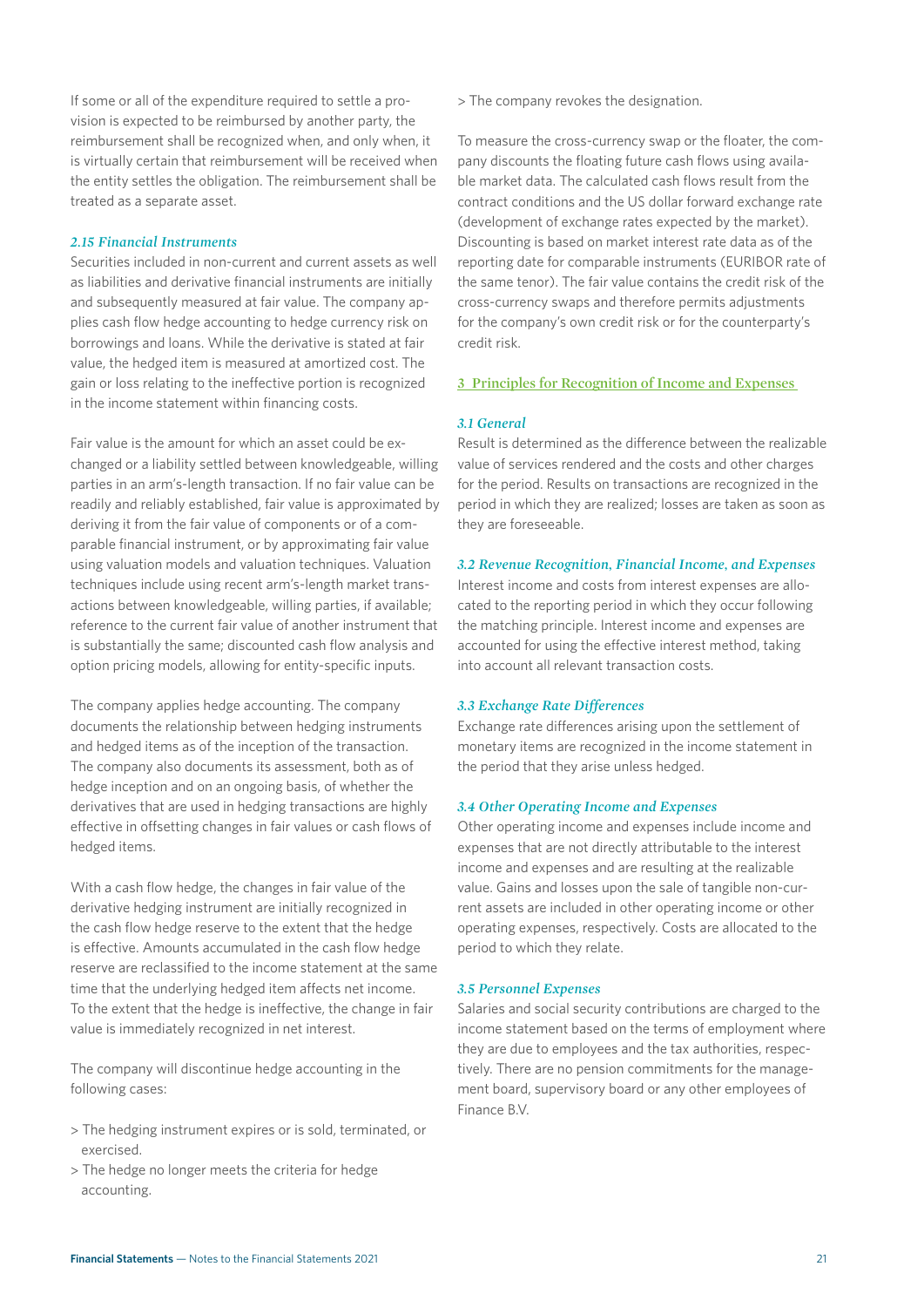If some or all of the expenditure required to settle a provision is expected to be reimbursed by another party, the reimbursement shall be recognized when, and only when, it is virtually certain that reimbursement will be received when the entity settles the obligation. The reimbursement shall be treated as a separate asset.

#### *2.15 Financial Instruments*

Securities included in non-current and current assets as well as liabilities and derivative financial instruments are initially and subsequently measured at fair value. The company applies cash flow hedge accounting to hedge currency risk on borrowings and loans. While the derivative is stated at fair value, the hedged item is measured at amortized cost. The gain or loss relating to the ineffective portion is recognized in the income statement within financing costs.

Fair value is the amount for which an asset could be exchanged or a liability settled between knowledgeable, willing parties in an arm's-length transaction. If no fair value can be readily and reliably established, fair value is approximated by deriving it from the fair value of components or of a comparable financial instrument, or by approximating fair value using valuation models and valuation techniques. Valuation techniques include using recent arm's-length market transactions between knowledgeable, willing parties, if available; reference to the current fair value of another instrument that is substantially the same; discounted cash flow analysis and option pricing models, allowing for entity-specific inputs.

The company applies hedge accounting. The company documents the relationship between hedging instruments and hedged items as of the inception of the transaction. The company also documents its assessment, both as of hedge inception and on an ongoing basis, of whether the derivatives that are used in hedging transactions are highly effective in offsetting changes in fair values or cash flows of hedged items.

With a cash flow hedge, the changes in fair value of the derivative hedging instrument are initially recognized in the cash flow hedge reserve to the extent that the hedge is effective. Amounts accumulated in the cash flow hedge reserve are reclassified to the income statement at the same time that the underlying hedged item affects net income. To the extent that the hedge is ineffective, the change in fair value is immediately recognized in net interest.

The company will discontinue hedge accounting in the following cases:

- > The hedging instrument expires or is sold, terminated, or exercised.
- > The hedge no longer meets the criteria for hedge accounting.

> The company revokes the designation.

To measure the cross-currency swap or the floater, the company discounts the floating future cash flows using available market data. The calculated cash flows result from the contract conditions and the US dollar forward exchange rate (development of exchange rates expected by the market). Discounting is based on market interest rate data as of the reporting date for comparable instruments (EURIBOR rate of the same tenor). The fair value contains the credit risk of the cross-currency swaps and therefore permits adjustments for the company's own credit risk or for the counterparty's credit risk.

#### **3 Principles for Recognition of Income and Expenses**

#### *3.1 General*

Result is determined as the difference between the realizable value of services rendered and the costs and other charges for the period. Results on transactions are recognized in the period in which they are realized; losses are taken as soon as they are foreseeable.

#### *3.2 Revenue Recognition, Financial Income, and Expenses*

Interest income and costs from interest expenses are allocated to the reporting period in which they occur following the matching principle. Interest income and expenses are accounted for using the effective interest method, taking into account all relevant transaction costs.

#### *3.3 Exchange Rate Differences*

Exchange rate differences arising upon the settlement of monetary items are recognized in the income statement in the period that they arise unless hedged.

#### *3.4 Other Operating Income and Expenses*

Other operating income and expenses include income and expenses that are not directly attributable to the interest income and expenses and are resulting at the realizable value. Gains and losses upon the sale of tangible non-current assets are included in other operating income or other operating expenses, respectively. Costs are allocated to the period to which they relate.

#### *3.5 Personnel Expenses*

Salaries and social security contributions are charged to the income statement based on the terms of employment where they are due to employees and the tax authorities, respectively. There are no pension commitments for the management board, supervisory board or any other employees of Finance B.V.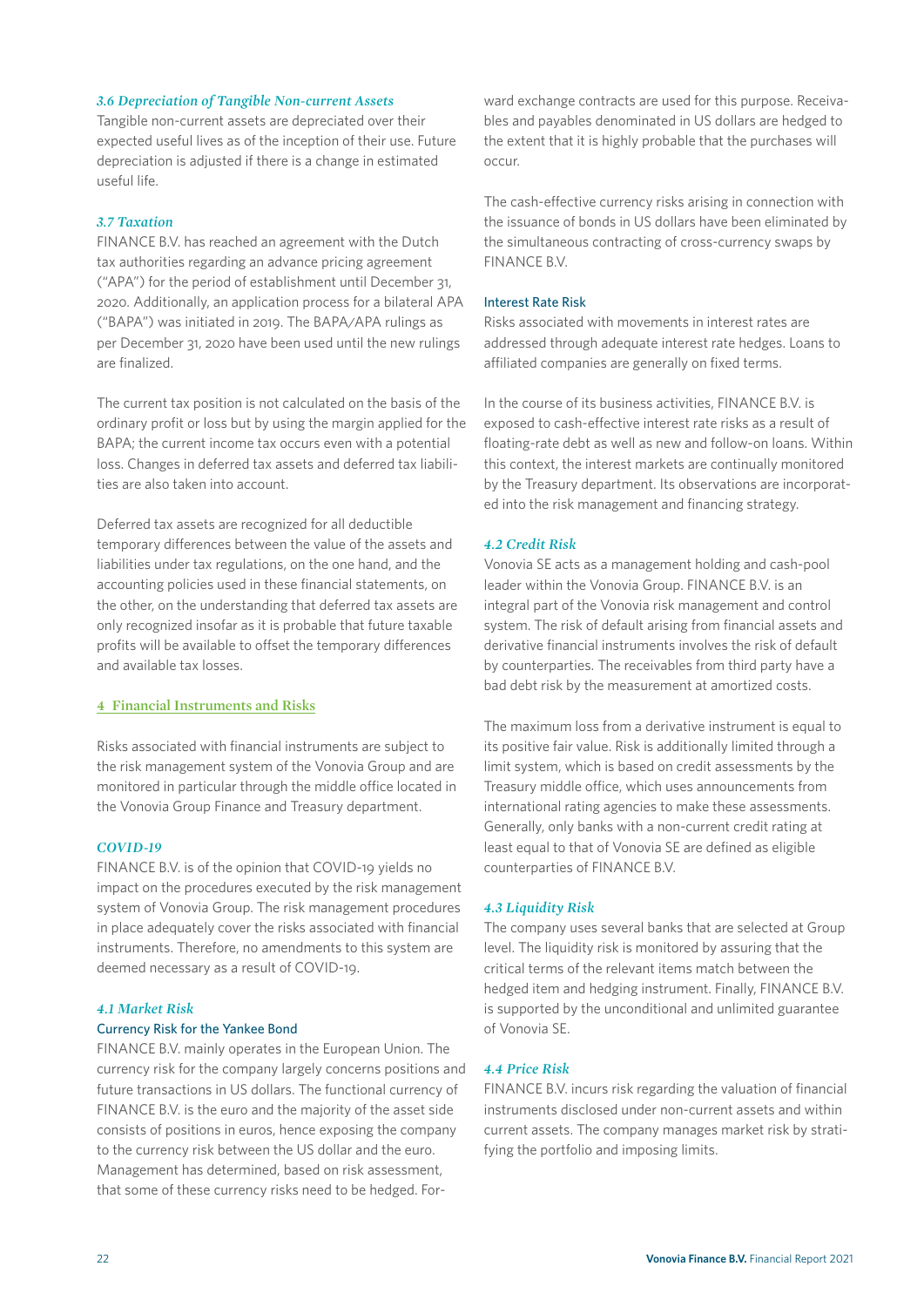#### *3.6 Depreciation of Tangible Non-current Assets*

Tangible non-current assets are depreciated over their expected useful lives as of the inception of their use. Future depreciation is adjusted if there is a change in estimated useful life.

#### *3.7 Taxation*

FINANCE B.V. has reached an agreement with the Dutch tax authorities regarding an advance pricing agreement ("APA") for the period of establishment until December 31, 2020. Additionally, an application process for a bilateral APA ("BAPA") was initiated in 2019. The BAPA/APA rulings as per December 31, 2020 have been used until the new rulings are finalized.

The current tax position is not calculated on the basis of the ordinary profit or loss but by using the margin applied for the BAPA; the current income tax occurs even with a potential loss. Changes in deferred tax assets and deferred tax liabilities are also taken into account.

Deferred tax assets are recognized for all deductible temporary differences between the value of the assets and liabilities under tax regulations, on the one hand, and the accounting policies used in these financial statements, on the other, on the understanding that deferred tax assets are only recognized insofar as it is probable that future taxable profits will be available to offset the temporary differences and available tax losses.

#### **4 Financial Instruments and Risks**

Risks associated with financial instruments are subject to the risk management system of the Vonovia Group and are monitored in particular through the middle office located in the Vonovia Group Finance and Treasury department.

#### *COVID-19*

FINANCE B.V. is of the opinion that COVID-19 yields no impact on the procedures executed by the risk management system of Vonovia Group. The risk management procedures in place adequately cover the risks associated with financial instruments. Therefore, no amendments to this system are deemed necessary as a result of COVID-19.

#### *4.1 Market Risk*

#### Currency Risk for the Yankee Bond

FINANCE B.V. mainly operates in the European Union. The currency risk for the company largely concerns positions and future transactions in US dollars. The functional currency of FINANCE B.V. is the euro and the majority of the asset side consists of positions in euros, hence exposing the company to the currency risk between the US dollar and the euro. Management has determined, based on risk assessment, that some of these currency risks need to be hedged. Forward exchange contracts are used for this purpose. Receivables and payables denominated in US dollars are hedged to the extent that it is highly probable that the purchases will occur.

The cash-effective currency risks arising in connection with the issuance of bonds in US dollars have been eliminated by the simultaneous contracting of cross-currency swaps by FINANCE B.V.

#### Interest Rate Risk

Risks associated with movements in interest rates are addressed through adequate interest rate hedges. Loans to affiliated companies are generally on fixed terms.

In the course of its business activities, FINANCE B.V. is exposed to cash-effective interest rate risks as a result of floating-rate debt as well as new and follow-on loans. Within this context, the interest markets are continually monitored by the Treasury department. Its observations are incorporated into the risk management and financing strategy.

#### *4.2 Credit Risk*

Vonovia SE acts as a management holding and cash-pool leader within the Vonovia Group. FINANCE B.V. is an integral part of the Vonovia risk management and control system. The risk of default arising from financial assets and derivative financial instruments involves the risk of default by counterparties. The receivables from third party have a bad debt risk by the measurement at amortized costs.

The maximum loss from a derivative instrument is equal to its positive fair value. Risk is additionally limited through a limit system, which is based on credit assessments by the Treasury middle office, which uses announcements from international rating agencies to make these assessments. Generally, only banks with a non-current credit rating at least equal to that of Vonovia SE are defined as eligible counterparties of FINANCE B.V.

#### *4.3 Liquidity Risk*

The company uses several banks that are selected at Group level. The liquidity risk is monitored by assuring that the critical terms of the relevant items match between the hedged item and hedging instrument. Finally, FINANCE B.V. is supported by the unconditional and unlimited guarantee of Vonovia SE.

#### *4.4 Price Risk*

FINANCE B.V. incurs risk regarding the valuation of financial instruments disclosed under non-current assets and within current assets. The company manages market risk by stratifying the portfolio and imposing limits.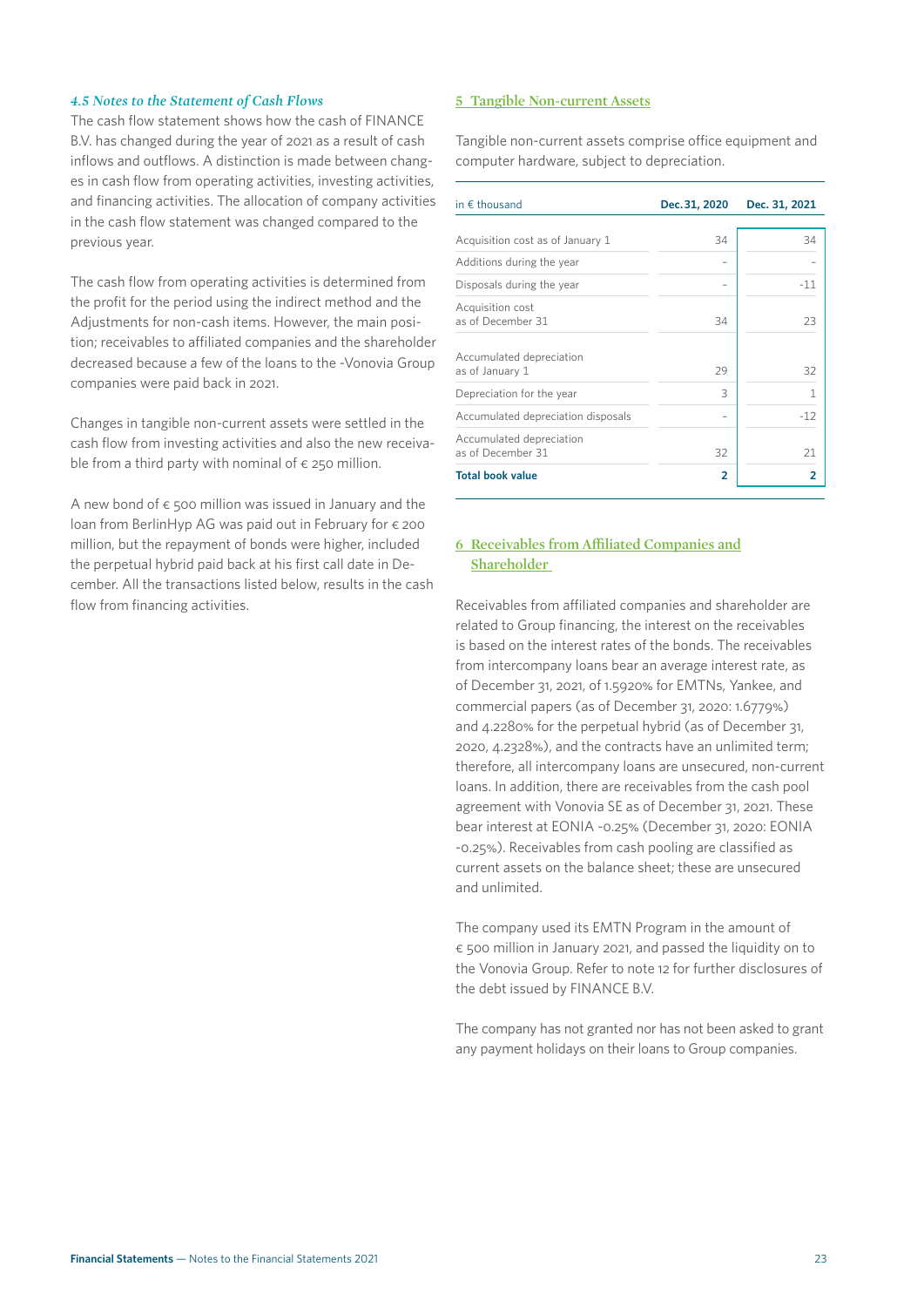#### *4.5 Notes to the Statement of Cash Flows*

The cash flow statement shows how the cash of FINANCE B.V. has changed during the year of 2021 as a result of cash inflows and outflows. A distinction is made between changes in cash flow from operating activities, investing activities, and financing activities. The allocation of company activities in the cash flow statement was changed compared to the previous year.

The cash flow from operating activities is determined from the profit for the period using the indirect method and the Adjustments for non-cash items. However, the main position; receivables to affiliated companies and the shareholder decreased because a few of the loans to the -Vonovia Group companies were paid back in 2021.

Changes in tangible non-current assets were settled in the cash flow from investing activities and also the new receivable from a third party with nominal of  $\epsilon$  250 million.

A new bond of  $\epsilon$  500 million was issued in January and the loan from BerlinHyp AG was paid out in February for € 200 million, but the repayment of bonds were higher, included the perpetual hybrid paid back at his first call date in December. All the transactions listed below, results in the cash flow from financing activities.

#### **5 Tangible Non-current Assets**

Tangible non-current assets comprise office equipment and computer hardware, subject to depreciation.

| in $\epsilon$ thousand                        | Dec. 31, 2020 | Dec. 31, 2021 |
|-----------------------------------------------|---------------|---------------|
|                                               |               |               |
| Acquisition cost as of January 1              | 34            | 34            |
| Additions during the year                     |               |               |
| Disposals during the year                     |               | $-11$         |
| Acquisition cost<br>as of December 31         | 34            | 23            |
| Accumulated depreciation<br>as of January 1   | 29            | 32            |
| Depreciation for the year                     | 3             | 1             |
| Accumulated depreciation disposals            |               | $-12$         |
| Accumulated depreciation<br>as of December 31 | 32            | 21            |
| <b>Total book value</b>                       | 2             | 2             |

#### **6 Receivables from Affiliated Companies and Shareholder**

Receivables from affiliated companies and shareholder are related to Group financing, the interest on the receivables is based on the interest rates of the bonds. The receivables from intercompany loans bear an average interest rate, as of December 31, 2021, of 1.5920% for EMTNs, Yankee, and commercial papers (as of December 31, 2020: 1.6779%) and 4.2280% for the perpetual hybrid (as of December 31, 2020, 4.2328%), and the contracts have an unlimited term; therefore, all intercompany loans are unsecured, non-current loans. In addition, there are receivables from the cash pool agreement with Vonovia SE as of December 31, 2021. These bear interest at EONIA -0.25% (December 31, 2020: EONIA -0.25%). Receivables from cash pooling are classified as current assets on the balance sheet; these are unsecured and unlimited.

The company used its EMTN Program in the amount of € 500 million in January 2021, and passed the liquidity on to the Vonovia Group. Refer to note 12 for further disclosures of the debt issued by FINANCE B.V.

The company has not granted nor has not been asked to grant any payment holidays on their loans to Group companies.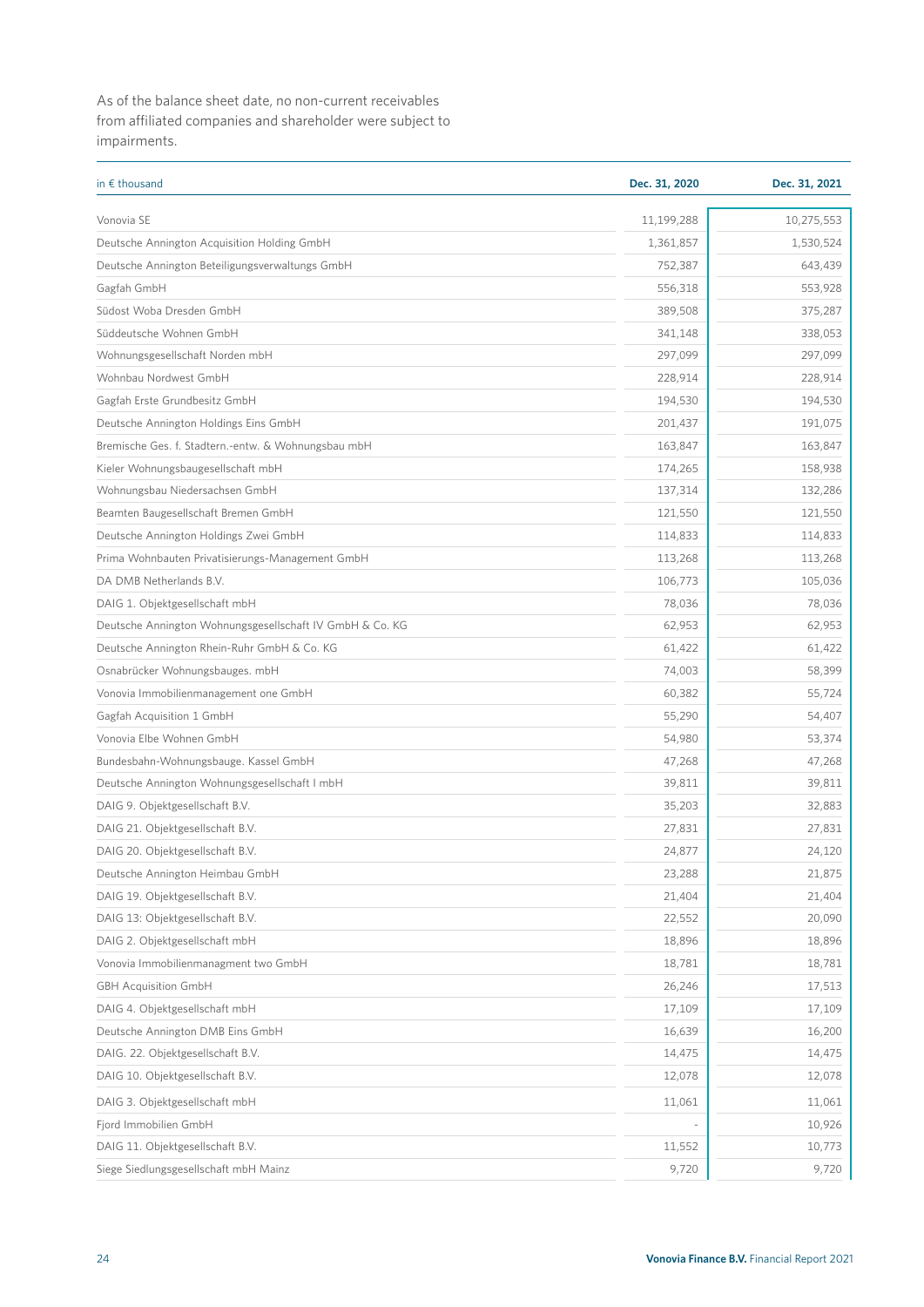As of the balance sheet date, no non-current receivables from affiliated companies and shareholder were subject to impairments.

| in $\epsilon$ thousand                                   | Dec. 31, 2020 | Dec. 31, 2021 |
|----------------------------------------------------------|---------------|---------------|
| Vonovia SE                                               | 11,199,288    | 10,275,553    |
| Deutsche Annington Acquisition Holding GmbH              | 1,361,857     | 1,530,524     |
| Deutsche Annington Beteiligungsverwaltungs GmbH          | 752,387       | 643,439       |
| Gagfah GmbH                                              | 556,318       | 553,928       |
| Südost Woba Dresden GmbH                                 | 389,508       | 375,287       |
| Süddeutsche Wohnen GmbH                                  | 341,148       | 338,053       |
| Wohnungsgesellschaft Norden mbH                          | 297,099       | 297,099       |
| Wohnbau Nordwest GmbH                                    | 228,914       | 228,914       |
| Gagfah Erste Grundbesitz GmbH                            | 194,530       | 194,530       |
| Deutsche Annington Holdings Eins GmbH                    | 201,437       | 191,075       |
| Bremische Ges. f. Stadtern.-entw. & Wohnungsbau mbH      | 163,847       | 163,847       |
| Kieler Wohnungsbaugesellschaft mbH                       | 174,265       | 158,938       |
| Wohnungsbau Niedersachsen GmbH                           | 137,314       | 132,286       |
| Beamten Baugesellschaft Bremen GmbH                      | 121,550       | 121,550       |
| Deutsche Annington Holdings Zwei GmbH                    | 114,833       | 114,833       |
| Prima Wohnbauten Privatisierungs-Management GmbH         | 113,268       | 113,268       |
| DA DMB Netherlands B.V.                                  | 106,773       | 105,036       |
| DAIG 1. Objektgesellschaft mbH                           | 78,036        | 78,036        |
| Deutsche Annington Wohnungsgesellschaft IV GmbH & Co. KG | 62,953        | 62,953        |
| Deutsche Annington Rhein-Ruhr GmbH & Co. KG              | 61,422        | 61,422        |
| Osnabrücker Wohnungsbauges. mbH                          | 74,003        | 58,399        |
| Vonovia Immobilienmanagement one GmbH                    | 60,382        | 55,724        |
| Gagfah Acquisition 1 GmbH                                | 55,290        | 54,407        |
| Vonovia Elbe Wohnen GmbH                                 | 54,980        | 53,374        |
| Bundesbahn-Wohnungsbauge. Kassel GmbH                    | 47,268        | 47,268        |
| Deutsche Annington Wohnungsgesellschaft I mbH            | 39,811        | 39,811        |
| DAIG 9. Objektgesellschaft B.V.                          | 35,203        | 32,883        |
| DAIG 21. Objektgesellschaft B.V.                         | 27,831        | 27,831        |
| DAIG 20. Objektgesellschaft B.V.                         | 24,877        | 24,120        |
| Deutsche Annington Heimbau GmbH                          | 23,288        | 21,875        |
| DAIG 19. Objektgesellschaft B.V.                         | 21,404        | 21,404        |
| DAIG 13: Objektgesellschaft B.V.                         | 22,552        | 20,090        |
| DAIG 2. Objektgesellschaft mbH                           | 18,896        | 18,896        |
| Vonovia Immobilienmanagment two GmbH                     | 18,781        | 18,781        |
| <b>GBH Acquisition GmbH</b>                              | 26,246        | 17,513        |
| DAIG 4. Objektgesellschaft mbH                           | 17,109        | 17,109        |
| Deutsche Annington DMB Eins GmbH                         | 16,639        | 16,200        |
| DAIG. 22. Objektgesellschaft B.V.                        | 14,475        | 14,475        |
| DAIG 10. Objektgesellschaft B.V.                         | 12,078        | 12,078        |
| DAIG 3. Objektgesellschaft mbH                           | 11,061        | 11,061        |
| Fjord Immobilien GmbH                                    |               | 10,926        |
| DAIG 11. Objektgesellschaft B.V.                         | 11,552        | 10,773        |
| Siege Siedlungsgesellschaft mbH Mainz                    | 9,720         | 9,720         |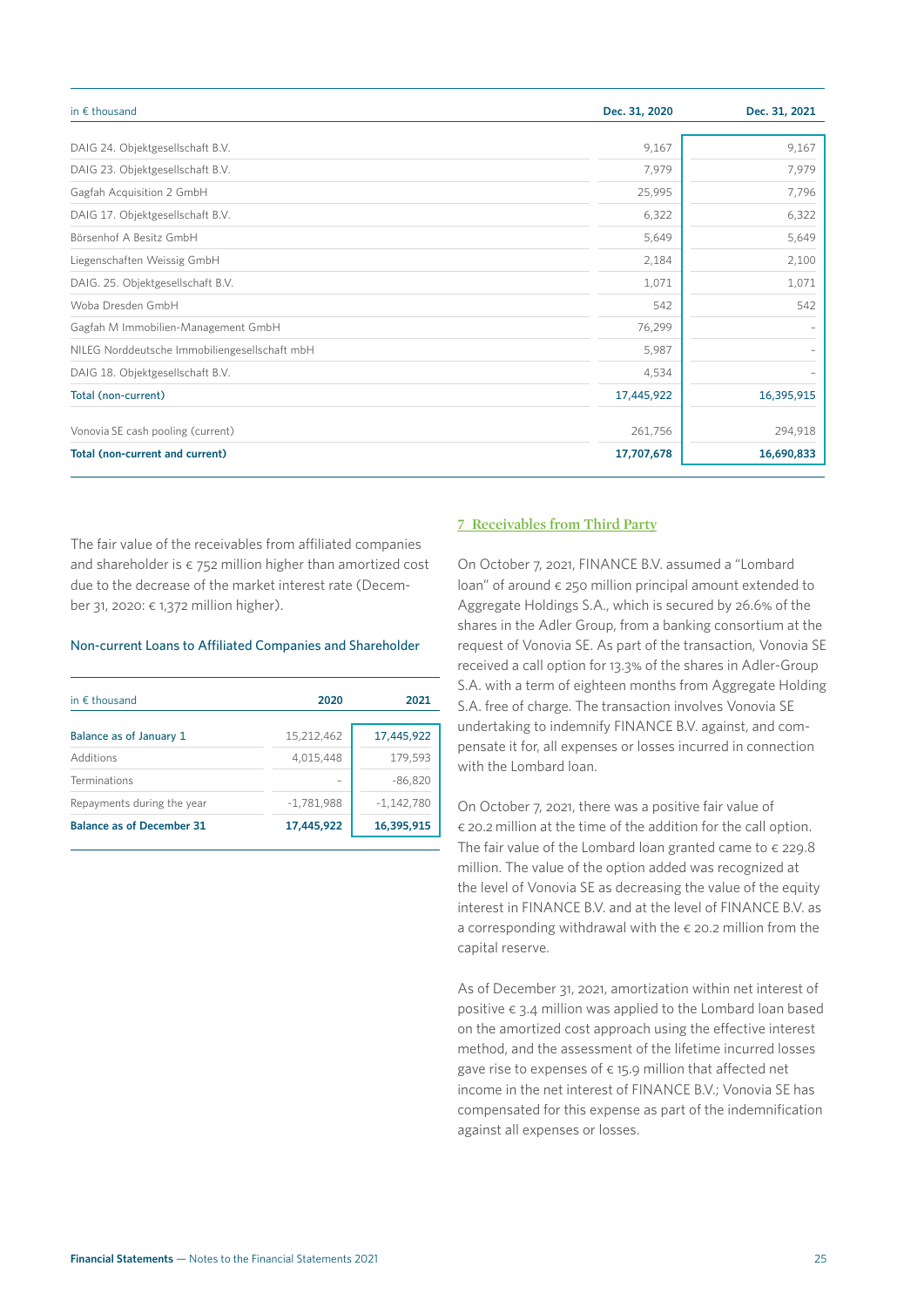| in $\epsilon$ thousand                        | Dec. 31, 2020 | Dec. 31, 2021 |  |
|-----------------------------------------------|---------------|---------------|--|
| DAIG 24. Objektgesellschaft B.V.              | 9,167         | 9,167         |  |
| DAIG 23. Objektgesellschaft B.V.              | 7,979         | 7,979         |  |
| Gagfah Acquisition 2 GmbH                     | 25,995        | 7,796         |  |
| DAIG 17. Objektgesellschaft B.V.              | 6,322         | 6,322         |  |
| Börsenhof A Besitz GmbH                       | 5,649         | 5,649         |  |
| Liegenschaften Weissig GmbH                   | 2,184         | 2,100         |  |
| DAIG. 25. Objektgesellschaft B.V.             | 1,071         | 1,071         |  |
| Woba Dresden GmbH                             | 542           | 542           |  |
| Gagfah M Immobilien-Management GmbH           | 76,299        |               |  |
| NILEG Norddeutsche Immobiliengesellschaft mbH | 5,987         |               |  |
| DAIG 18. Objektgesellschaft B.V.              | 4,534         |               |  |
| Total (non-current)                           | 17,445,922    | 16,395,915    |  |
| Vonovia SE cash pooling (current)             | 261,756       | 294,918       |  |
| Total (non-current and current)               | 17,707,678    | 16,690,833    |  |

The fair value of the receivables from affiliated companies and shareholder is  $\epsilon$  752 million higher than amortized cost due to the decrease of the market interest rate (December 31, 2020: € 1,372 million higher).

#### Non-current Loans to Affiliated Companies and Shareholder

| in $\epsilon$ thousand           | 2020         | 2021         |
|----------------------------------|--------------|--------------|
| Balance as of January 1          | 15,212,462   | 17,445,922   |
| Additions                        | 4,015,448    | 179,593      |
| Terminations                     |              | $-86,820$    |
| Repayments during the year       | $-1,781,988$ | $-1,142,780$ |
| <b>Balance as of December 31</b> | 17,445,922   | 16,395,915   |

#### **7 Receivables from Third Party**

On October 7, 2021, FINANCE B.V. assumed a "Lombard loan" of around  $\epsilon$  250 million principal amount extended to Aggregate Holdings S.A., which is secured by 26.6% of the shares in the Adler Group, from a banking consortium at the request of Vonovia SE. As part of the transaction, Vonovia SE received a call option for 13.3% of the shares in Adler-Group S.A. with a term of eighteen months from Aggregate Holding S.A. free of charge. The transaction involves Vonovia SE undertaking to indemnify FINANCE B.V. against, and compensate it for, all expenses or losses incurred in connection with the Lombard loan.

On October 7, 2021, there was a positive fair value of € 20.2 million at the time of the addition for the call option. The fair value of the Lombard loan granted came to  $\epsilon$  229.8 million. The value of the option added was recognized at the level of Vonovia SE as decreasing the value of the equity interest in FINANCE B.V. and at the level of FINANCE B.V. as a corresponding withdrawal with the  $\epsilon$  20.2 million from the capital reserve.

As of December 31, 2021, amortization within net interest of positive  $\epsilon$  3.4 million was applied to the Lombard loan based on the amortized cost approach using the effective interest method, and the assessment of the lifetime incurred losses gave rise to expenses of  $\epsilon$  15.9 million that affected net income in the net interest of FINANCE B.V.; Vonovia SE has compensated for this expense as part of the indemnification against all expenses or losses.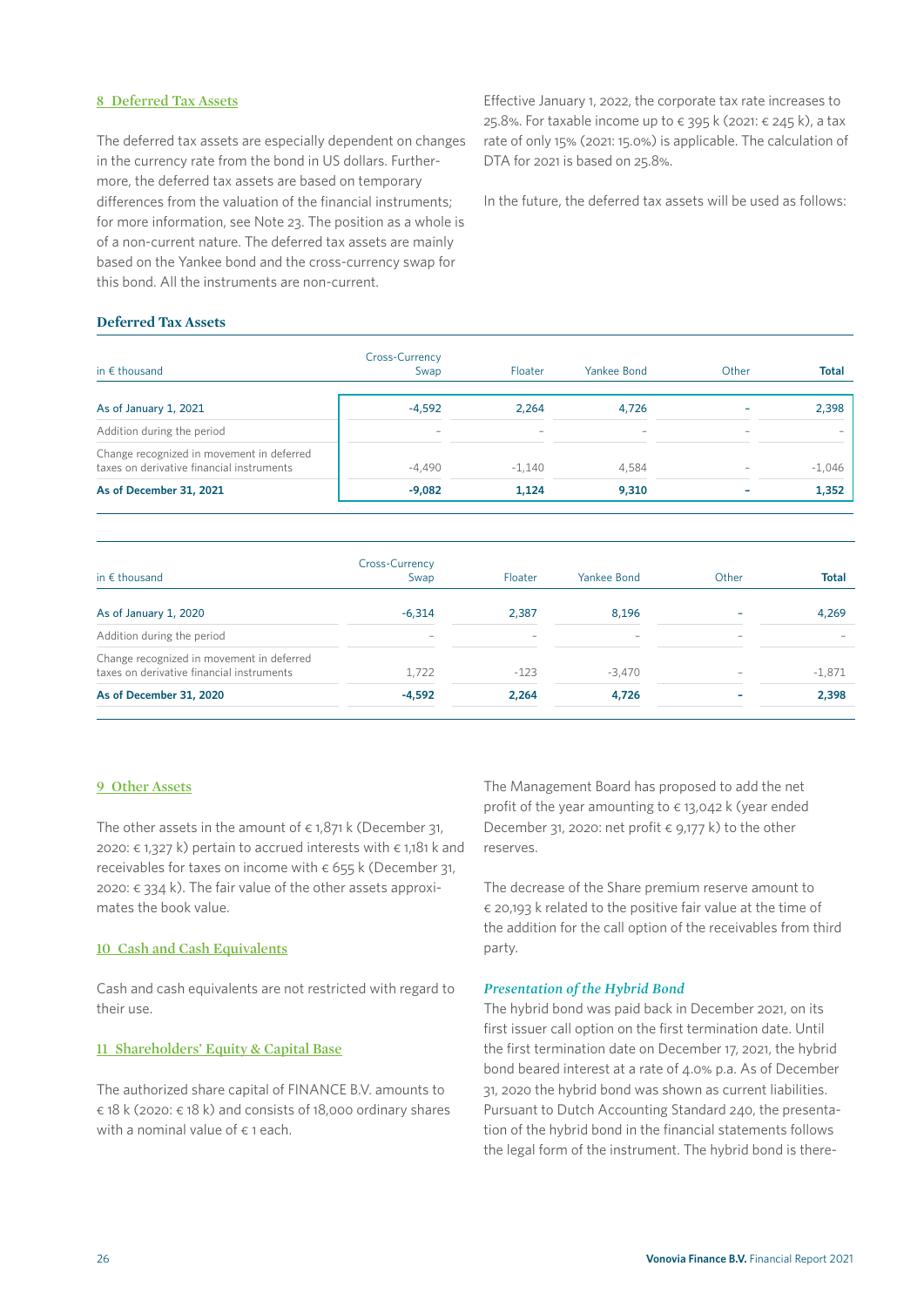#### **8 Deferred Tax Assets**

The deferred tax assets are especially dependent on changes in the currency rate from the bond in US dollars. Furthermore, the deferred tax assets are based on temporary differences from the valuation of the financial instruments; for more information, see Note 23. The position as a whole is of a non-current nature. The deferred tax assets are mainly based on the Yankee bond and the cross-currency swap for this bond. All the instruments are non-current.

Effective January 1, 2022, the corporate tax rate increases to 25.8%. For taxable income up to  $∈$  395 k (2021:  $∈$  245 k), a tax rate of only 15% (2021: 15.0%) is applicable. The calculation of DTA for 2021 is based on 25.8%.

In the future, the deferred tax assets will be used as follows:

#### **Deferred Tax Assets**

| in $\epsilon$ thousand                                                                 | Cross-Currency<br>Swap   | Floater                  | Yankee Bond              | Other                    | <b>Total</b> |
|----------------------------------------------------------------------------------------|--------------------------|--------------------------|--------------------------|--------------------------|--------------|
| As of January 1, 2021                                                                  | $-4.592$                 | 2.264                    | 4.726                    |                          | 2,398        |
| Addition during the period                                                             | $\overline{\phantom{0}}$ | $\overline{\phantom{0}}$ | $\overline{\phantom{a}}$ | $\overline{\phantom{0}}$ |              |
| Change recognized in movement in deferred<br>taxes on derivative financial instruments | $-4.490$                 | $-1.140$                 | 4.584                    | $\overline{\phantom{a}}$ | $-1,046$     |
| As of December 31, 2021                                                                | $-9,082$                 | 1.124                    | 9,310                    |                          | 1,352        |

| in $\epsilon$ thousand                                                                 | Cross-Currency<br>Swap   | Floater                  | Yankee Bond     | Other                    | <b>Total</b> |
|----------------------------------------------------------------------------------------|--------------------------|--------------------------|-----------------|--------------------------|--------------|
| As of January 1, 2020                                                                  | $-6.314$                 | 2,387                    | 8.196           |                          | 4.269        |
| Addition during the period                                                             | $\overline{\phantom{a}}$ | $\overline{\phantom{0}}$ | $\qquad \qquad$ | $\overline{\phantom{0}}$ |              |
| Change recognized in movement in deferred<br>taxes on derivative financial instruments | 1.722                    | $-123$                   | $-3.470$        |                          | $-1,871$     |
| As of December 31, 2020                                                                | $-4.592$                 | 2.264                    | 4.726           |                          | 2,398        |

#### **9 Other Assets**

The other assets in the amount of  $\epsilon$  1,871 k (December 31, 2020: € 1,327 k) pertain to accrued interests with € 1,181 k and receivables for taxes on income with  $\epsilon$  655 k (December 31, 2020: € 334 k). The fair value of the other assets approximates the book value.

#### **10 Cash and Cash Equivalents**

Cash and cash equivalents are not restricted with regard to their use.

#### **11 Shareholders' Equity & Capital Base**

The authorized share capital of FINANCE B.V. amounts to € 18 k (2020: € 18 k) and consists of 18,000 ordinary shares with a nominal value of  $\epsilon$  1 each.

The Management Board has proposed to add the net profit of the year amounting to  $\epsilon$  13,042 k (year ended December 31, 2020: net profit  $\epsilon$  9,177 k) to the other reserves.

The decrease of the Share premium reserve amount to € 20,193 k related to the positive fair value at the time of the addition for the call option of the receivables from third party.

#### *Presentation of the Hybrid Bond*

The hybrid bond was paid back in December 2021, on its first issuer call option on the first termination date. Until the first termination date on December 17, 2021, the hybrid bond beared interest at a rate of 4.0% p.a. As of December 31, 2020 the hybrid bond was shown as current liabilities. Pursuant to Dutch Accounting Standard 240, the presentation of the hybrid bond in the financial statements follows the legal form of the instrument. The hybrid bond is there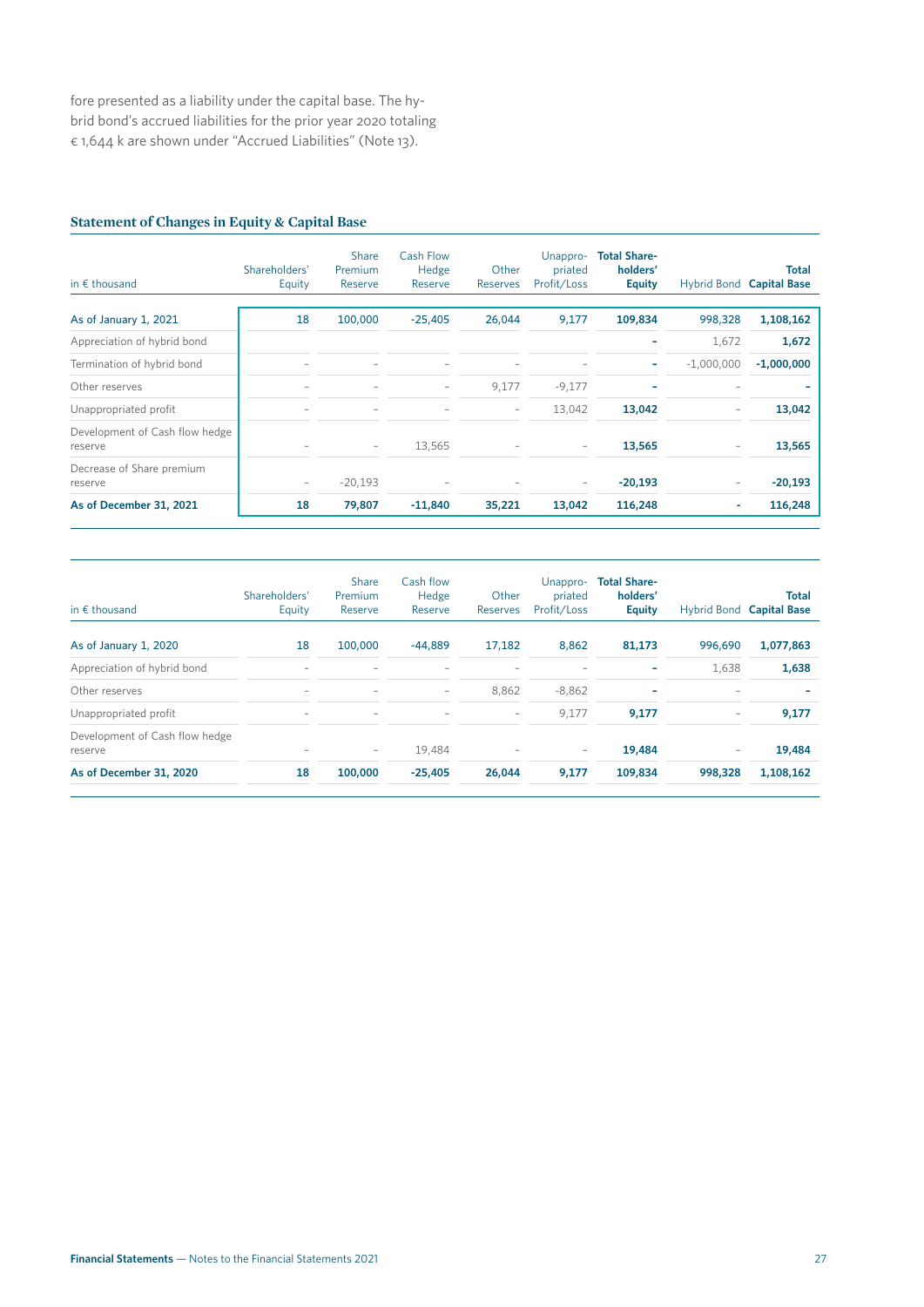fore presented as a liability under the capital base. The hybrid bond's accrued liabilities for the prior year 2020 totaling € 1,644 k are shown under "Accrued Liabilities" (Note 13).

### **Statement of Changes in Equity & Capital Base**

| in $f$ thousand                           | Shareholders'<br>Equity  | <b>Share</b><br>Premium<br>Reserve | <b>Cash Flow</b><br>Hedge<br>Reserve | Other<br>Reserves        | Unappro-<br>priated<br>Profit/Loss | <b>Total Share-</b><br>holders'<br><b>Equity</b> |              | <b>Total</b><br>Hybrid Bond Capital Base |
|-------------------------------------------|--------------------------|------------------------------------|--------------------------------------|--------------------------|------------------------------------|--------------------------------------------------|--------------|------------------------------------------|
| As of January 1, 2021                     | 18                       | 100,000                            | $-25,405$                            | 26,044                   | 9,177                              | 109,834                                          | 998,328      | 1,108,162                                |
| Appreciation of hybrid bond               |                          |                                    |                                      |                          |                                    |                                                  | 1,672        | 1,672                                    |
| Termination of hybrid bond                |                          |                                    |                                      |                          |                                    | ۰                                                | $-1,000,000$ | $-1,000,000$                             |
| Other reserves                            |                          |                                    |                                      | 9,177                    | $-9,177$                           |                                                  |              |                                          |
| Unappropriated profit                     |                          |                                    |                                      | $\overline{\phantom{m}}$ | 13,042                             | 13,042                                           |              | 13,042                                   |
| Development of Cash flow hedge<br>reserve |                          | $\overline{\phantom{m}}$           | 13,565                               |                          | $\overline{\phantom{a}}$           | 13,565                                           |              | 13,565                                   |
| Decrease of Share premium<br>reserve      | $\overline{\phantom{m}}$ | $-20,193$                          |                                      |                          | $\overline{\phantom{a}}$           | $-20,193$                                        |              | $-20,193$                                |
| As of December 31, 2021                   | 18                       | 79,807                             | $-11,840$                            | 35,221                   | 13,042                             | 116,248                                          | ٠            | 116,248                                  |

| in $\epsilon$ thousand                    | Shareholders'<br>Equity  | Share<br>Premium<br>Reserve | Cash flow<br>Hedge<br>Reserve | Other<br>Reserves        | Unappro-<br>priated<br>Profit/Loss | <b>Total Share-</b><br>holders'<br><b>Equity</b> |                          | <b>Total</b><br>Hybrid Bond Capital Base |
|-------------------------------------------|--------------------------|-----------------------------|-------------------------------|--------------------------|------------------------------------|--------------------------------------------------|--------------------------|------------------------------------------|
| As of January 1, 2020                     | 18                       | 100,000                     | $-44.889$                     | 17.182                   | 8.862                              | 81,173                                           | 996.690                  | 1,077,863                                |
| Appreciation of hybrid bond               |                          |                             |                               |                          |                                    | ۰                                                | 1,638                    | 1,638                                    |
| Other reserves                            | $\overline{\phantom{0}}$ | $\overline{\phantom{0}}$    | $\qquad \qquad -$             | 8.862                    | $-8.862$                           | ۰                                                | $\overline{\phantom{a}}$ |                                          |
| Unappropriated profit                     | $\overline{\phantom{0}}$ | $\overline{\phantom{0}}$    | $\overline{\phantom{0}}$      | $\overline{\phantom{0}}$ | 9,177                              | 9,177                                            | $\overline{\phantom{m}}$ | 9,177                                    |
| Development of Cash flow hedge<br>reserve |                          | $\qquad \qquad -$           | 19,484                        |                          | $\overline{\phantom{a}}$           | 19,484                                           | $\overline{\phantom{m}}$ | 19,484                                   |
| As of December 31, 2020                   | 18                       | 100,000                     | $-25.405$                     | 26,044                   | 9,177                              | 109,834                                          | 998.328                  | 1,108,162                                |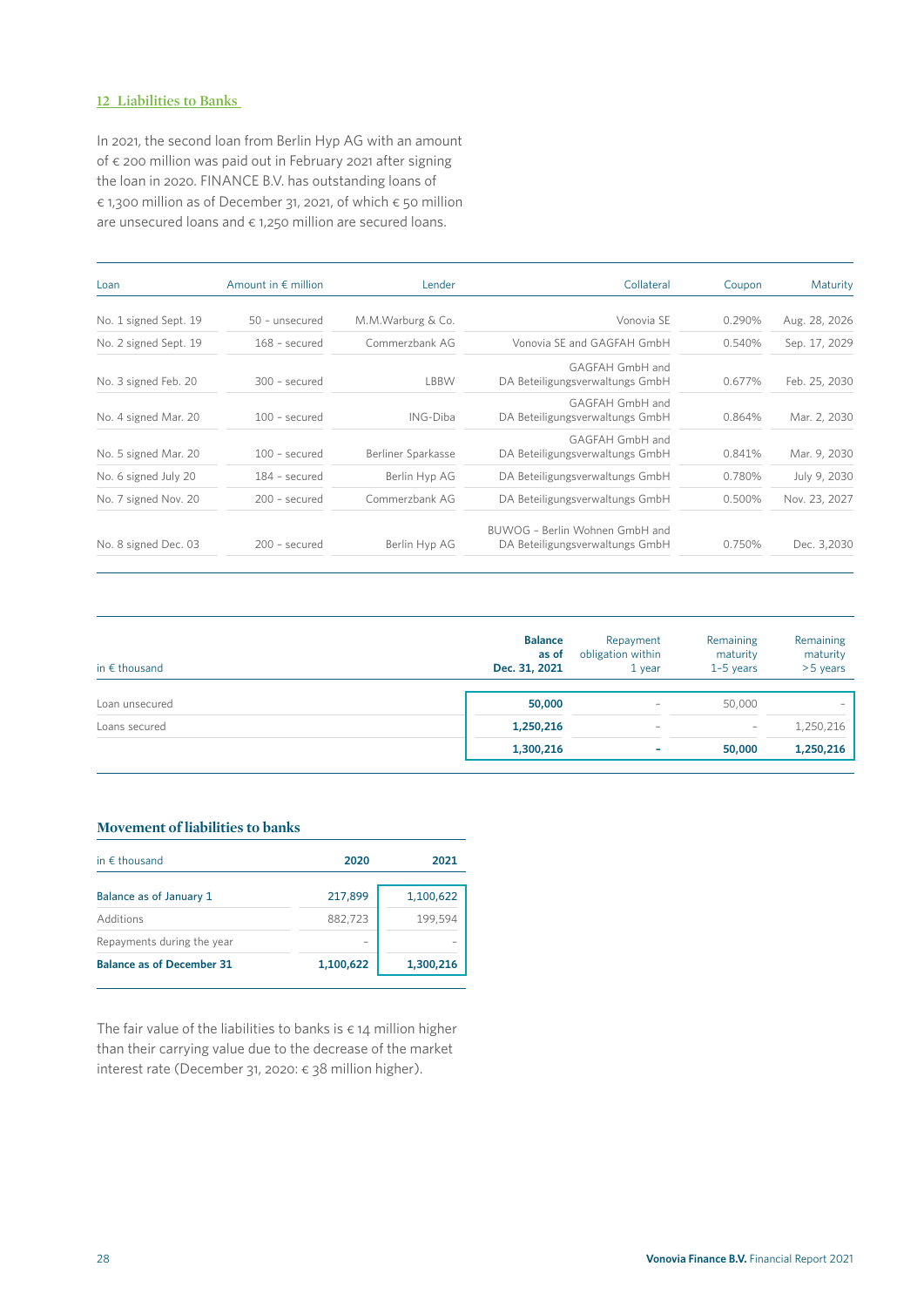#### **12 Liabilities to Banks**

In 2021, the second loan from Berlin Hyp AG with an amount of € 200 million was paid out in February 2021 after signing the loan in 2020. FINANCE B.V. has outstanding loans of € 1,300 million as of December 31, 2021, of which € 50 million are unsecured loans and  $\epsilon$  1,250 million are secured loans.

| Loan                  | Amount in $\epsilon$ million | Lender             | Collateral                                                        | Coupon | Maturity      |
|-----------------------|------------------------------|--------------------|-------------------------------------------------------------------|--------|---------------|
| No. 1 signed Sept. 19 | 50 - unsecured               | M.M.Warburg & Co.  | Vonovia SE                                                        | 0.290% | Aug. 28, 2026 |
| No. 2 signed Sept. 19 | 168 - secured                | Commerzbank AG     | Vonovia SE and GAGFAH GmbH                                        | 0.540% | Sep. 17, 2029 |
| No. 3 signed Feb. 20  | 300 - secured                | LBBW               | GAGFAH GmbH and<br>DA Beteiligungsverwaltungs GmbH                | 0.677% | Feb. 25, 2030 |
| No. 4 signed Mar. 20  | $100$ - secured              | ING-Diba           | GAGFAH GmbH and<br>DA Beteiligungsverwaltungs GmbH                | 0.864% | Mar. 2, 2030  |
| No. 5 signed Mar. 20  | $100$ - secured              | Berliner Sparkasse | GAGFAH GmbH and<br>DA Beteiligungsverwaltungs GmbH                | 0.841% | Mar. 9, 2030  |
| No. 6 signed July 20  | 184 - secured                | Berlin Hyp AG      | DA Beteiligungsverwaltungs GmbH                                   | 0.780% | July 9, 2030  |
| No. 7 signed Nov. 20  | 200 - secured                | Commerzbank AG     | DA Beteiligungsverwaltungs GmbH                                   | 0.500% | Nov. 23, 2027 |
| No. 8 signed Dec. 03  | 200 - secured                | Berlin Hyp AG      | BUWOG - Berlin Wohnen GmbH and<br>DA Beteiligungsverwaltungs GmbH | 0.750% | Dec. 3,2030   |

| in $\epsilon$ thousand | <b>Balance</b><br>as of<br>Dec. 31, 2021 | Repayment<br>obligation within<br>$1$ year | Remaining<br>maturity<br>$1-5$ years | Remaining<br>maturity<br>>5 years |
|------------------------|------------------------------------------|--------------------------------------------|--------------------------------------|-----------------------------------|
| Loan unsecured         | 50,000                                   | $\hspace{0.1mm}-\hspace{0.1mm}$            | 50,000                               |                                   |
| Loans secured          | 1,250,216                                | $\overline{\phantom{a}}$                   |                                      | 1,250,216                         |
|                        | 1,300,216                                | ۰                                          | 50,000                               | 1,250,216                         |

#### **Movement of liabilities to banks**

| in $\epsilon$ thousand           | 2020      | 2021      |
|----------------------------------|-----------|-----------|
| Balance as of January 1          | 217,899   | 1,100,622 |
| Additions                        | 882,723   | 199,594   |
| Repayments during the year       |           |           |
| <b>Balance as of December 31</b> | 1,100,622 | 1,300,216 |

The fair value of the liabilities to banks is  $\epsilon$  14 million higher than their carrying value due to the decrease of the market interest rate (December 31, 2020: € 38 million higher).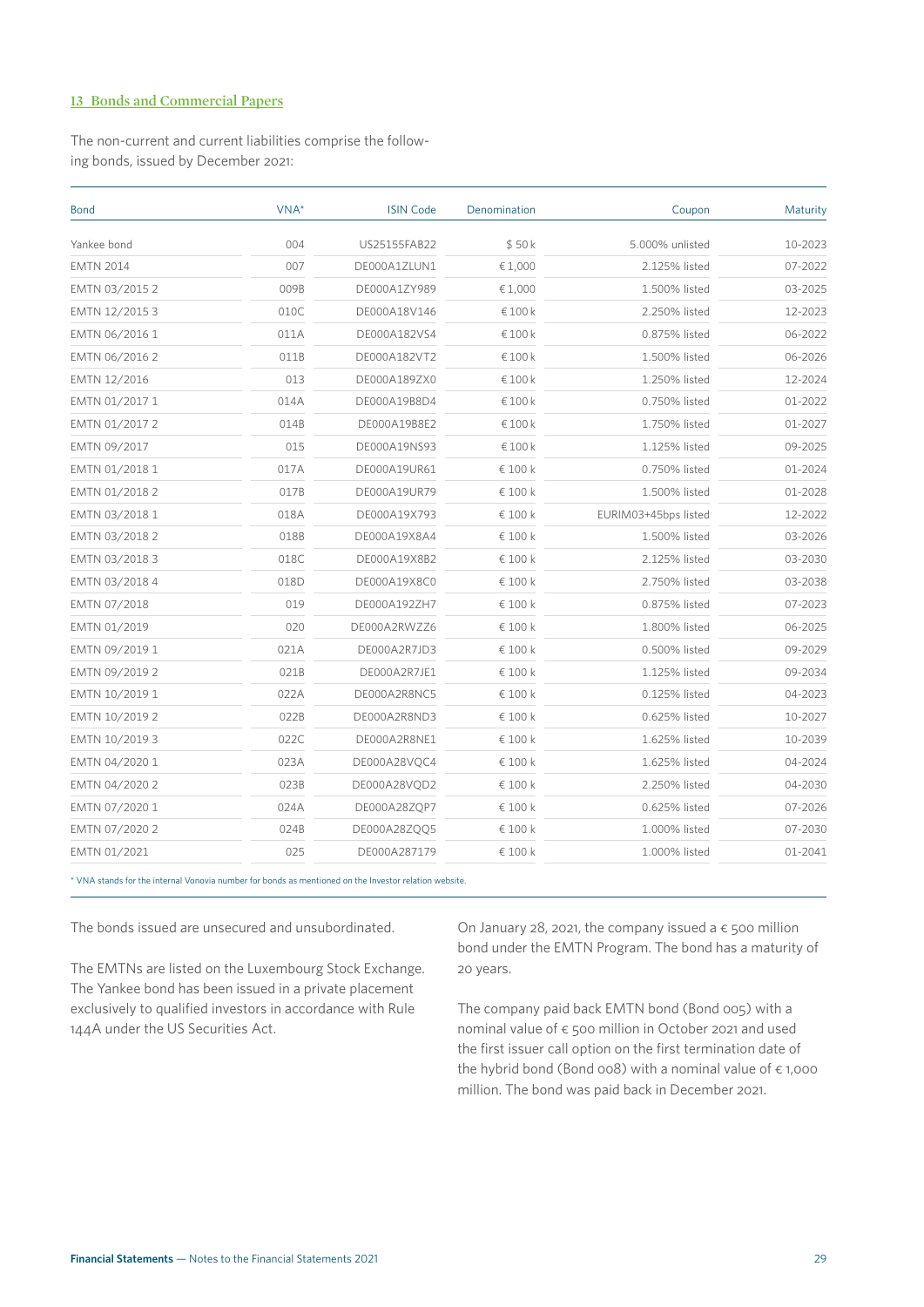#### **13 Bonds and Commercial Papers**

The non-current and current liabilities comprise the following bonds, issued by December 2021:

| VNA*<br><b>Bond</b> |      | <b>ISIN Code</b> | Denomination | Coupon               | Maturity |  |
|---------------------|------|------------------|--------------|----------------------|----------|--|
| Yankee bond         | 004  | US25155FAB22     | \$50k        | 5.000% unlisted      | 10-2023  |  |
| <b>EMTN 2014</b>    | 007  | DE000A1ZLUN1     | € 1,000      | 2.125% listed        | 07-2022  |  |
| EMTN 03/2015 2      | 009B | DE000A1ZY989     | € 1,000      | 1.500% listed        | 03-2025  |  |
| EMTN 12/2015 3      | 010C | DE000A18V146     | €100k        | 2.250% listed        | 12-2023  |  |
| EMTN 06/2016 1      | 011A | DE000A182VS4     | €100k        | 0.875% listed        | 06-2022  |  |
| EMTN 06/2016 2      | 011B | DE000A182VT2     | €100k        | 1.500% listed        | 06-2026  |  |
| EMTN 12/2016        | 013  | DE000A189ZX0     | €100k        | 1.250% listed        | 12-2024  |  |
| EMTN 01/2017 1      | 014A | DE000A19B8D4     | €100k        | 0.750% listed        | 01-2022  |  |
| EMTN 01/2017 2      | 014B | DE000A19B8E2     | €100k        | 1.750% listed        | 01-2027  |  |
| EMTN 09/2017        | 015  | DE000A19NS93     | €100 $k$     | 1.125% listed        | 09-2025  |  |
| EMTN 01/2018 1      | 017A | DE000A19UR61     | € 100 k      | 0.750% listed        | 01-2024  |  |
| EMTN 01/2018 2      | 017B | DE000A19UR79     | € 100 k      | 1.500% listed        | 01-2028  |  |
| EMTN 03/2018 1      | 018A | DE000A19X793     | € 100 k      | EURIM03+45bps listed | 12-2022  |  |
| EMTN 03/2018 2      | 018B | DE000A19X8A4     | € 100 k      | 1.500% listed        | 03-2026  |  |
| EMTN 03/2018 3      | 018C | DE000A19X8B2     | € 100 k      | 2.125% listed        | 03-2030  |  |
| EMTN 03/2018 4      | 018D | DE000A19X8C0     | € 100 k      | 2.750% listed        | 03-2038  |  |
| EMTN 07/2018        | 019  | DE000A192ZH7     | € 100 k      | 0.875% listed        | 07-2023  |  |
| EMTN 01/2019        | 020  | DE000A2RWZZ6     | € 100 k      | 1.800% listed        | 06-2025  |  |
| EMTN 09/2019 1      | 021A | DE000A2R7JD3     | € 100 k      | 0.500% listed        | 09-2029  |  |
| EMTN 09/2019 2      | 021B | DE000A2R7JE1     | € 100 k      | 1.125% listed        | 09-2034  |  |
| EMTN 10/2019 1      | 022A | DE000A2R8NC5     | € 100 k      | 0.125% listed        | 04-2023  |  |
| EMTN 10/2019 2      | 022B | DE000A2R8ND3     | € 100 k      | 0.625% listed        | 10-2027  |  |
| EMTN 10/2019 3      | 022C | DE000A2R8NE1     | € 100 k      | 1.625% listed        | 10-2039  |  |
| EMTN 04/2020 1      | 023A | DE000A28VQC4     | € 100 k      | 1.625% listed        | 04-2024  |  |
| EMTN 04/2020 2      | 023B | DE000A28VQD2     | € 100 k      | 2.250% listed        | 04-2030  |  |
| EMTN 07/2020 1      | 024A | DE000A28ZQP7     | € 100 k      | 0.625% listed        | 07-2026  |  |
| EMTN 07/2020 2      | 024B | DE000A28ZQQ5     | € 100 k      | 1.000% listed        | 07-2030  |  |
| EMTN 01/2021        | 025  | DE000A287179     | € 100 k      | 1.000% listed        | 01-2041  |  |

\* VNA stands for the internal Vonovia number for bonds as mentioned on the Investor relation website.

The bonds issued are unsecured and unsubordinated.

The EMTNs are listed on the Luxembourg Stock Exchange. The Yankee bond has been issued in a private placement exclusively to qualified investors in accordance with Rule 144A under the US Securities Act.

On January 28, 2021, the company issued a  $\epsilon$  500 million bond under the EMTN Program. The bond has a maturity of 20 years.

The company paid back EMTN bond (Bond 005) with a nominal value of € 500 million in October 2021 and used the first issuer call option on the first termination date of the hybrid bond (Bond 008) with a nominal value of  $\epsilon$  1,000 million. The bond was paid back in December 2021.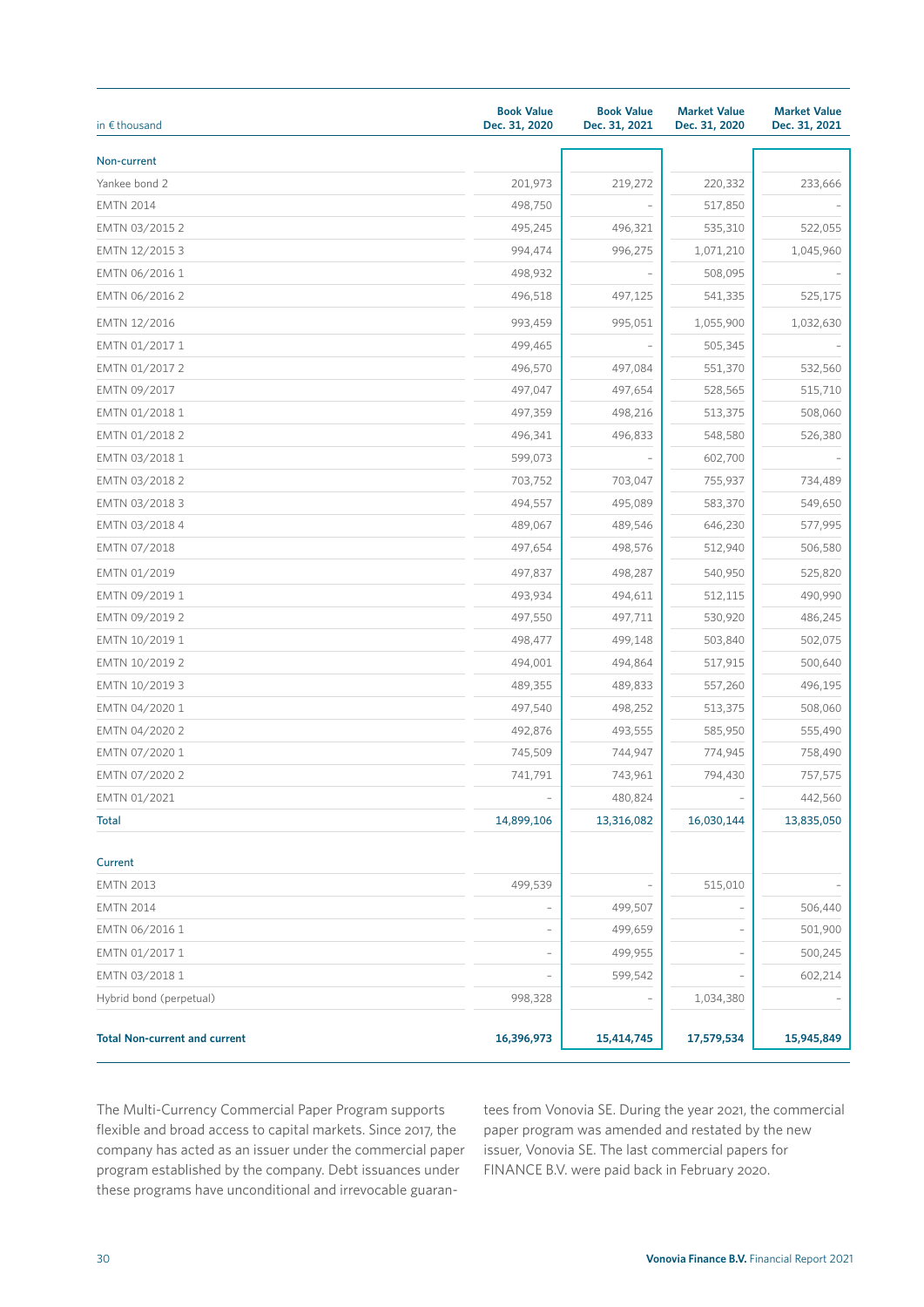| in $\epsilon$ thousand               | <b>Book Value</b><br>Dec. 31, 2020 | <b>Book Value</b><br>Dec. 31, 2021 | <b>Market Value</b><br>Dec. 31, 2020 | <b>Market Value</b><br>Dec. 31, 2021 |
|--------------------------------------|------------------------------------|------------------------------------|--------------------------------------|--------------------------------------|
| Non-current                          |                                    |                                    |                                      |                                      |
| Yankee bond 2                        | 201,973                            | 219,272                            | 220,332                              | 233,666                              |
| <b>EMTN 2014</b>                     | 498,750                            |                                    | 517,850                              |                                      |
| EMTN 03/2015 2                       | 495,245                            | 496,321                            | 535,310                              | 522,055                              |
| EMTN 12/2015 3                       | 994,474                            | 996,275                            | 1,071,210                            | 1,045,960                            |
| EMTN 06/2016 1                       | 498,932                            |                                    | 508,095                              |                                      |
| EMTN 06/2016 2                       | 496,518                            | 497,125                            | 541,335                              | 525,175                              |
| EMTN 12/2016                         | 993,459                            | 995,051                            | 1,055,900                            | 1,032,630                            |
| EMTN 01/2017 1                       | 499,465                            |                                    | 505,345                              |                                      |
| EMTN 01/2017 2                       | 496,570                            | 497,084                            | 551,370                              | 532,560                              |
| EMTN 09/2017                         | 497,047                            | 497,654                            | 528,565                              | 515,710                              |
| EMTN 01/2018 1                       | 497,359                            | 498,216                            | 513,375                              | 508,060                              |
| EMTN 01/2018 2                       | 496,341                            | 496,833                            | 548,580                              | 526,380                              |
| EMTN 03/2018 1                       | 599,073                            |                                    | 602,700                              |                                      |
| EMTN 03/2018 2                       | 703,752                            | 703,047                            | 755,937                              | 734,489                              |
| EMTN 03/2018 3                       | 494,557                            | 495,089                            | 583,370                              | 549,650                              |
| EMTN 03/2018 4                       | 489,067                            | 489,546                            | 646,230                              | 577,995                              |
| EMTN 07/2018                         | 497,654                            | 498,576                            | 512,940                              | 506,580                              |
| EMTN 01/2019                         | 497,837                            | 498,287                            | 540,950                              | 525,820                              |
| EMTN 09/2019 1                       | 493,934                            | 494,611                            | 512,115                              | 490,990                              |
| EMTN 09/2019 2                       | 497,550                            | 497,711                            | 530,920                              | 486,245                              |
| EMTN 10/2019 1                       | 498,477                            | 499,148                            | 503,840                              | 502,075                              |
| EMTN 10/2019 2                       | 494,001                            | 494,864                            | 517,915                              | 500,640                              |
| EMTN 10/2019 3                       | 489,355                            | 489,833                            | 557,260                              | 496,195                              |
| EMTN 04/2020 1                       | 497,540                            | 498,252                            | 513,375                              | 508,060                              |
| EMTN 04/2020 2                       | 492,876                            | 493,555                            | 585,950                              | 555,490                              |
| EMTN 07/2020 1                       | 745,509                            | 744,947                            | 774,945                              | 758,490                              |
| EMTN 07/2020 2                       | 741,791                            | 743,961                            | 794,430                              | 757,575                              |
| EMTN 01/2021                         |                                    | 480,824                            |                                      | 442,560                              |
| <b>Total</b>                         | 14,899,106                         | 13,316,082                         | 16,030,144                           | 13,835,050                           |
| Current                              |                                    |                                    |                                      |                                      |
| <b>EMTN 2013</b>                     | 499,539                            |                                    | 515,010                              |                                      |
| <b>EMTN 2014</b>                     |                                    | 499,507                            |                                      | 506,440                              |
| EMTN 06/2016 1                       |                                    | 499,659                            |                                      | 501,900                              |
| EMTN 01/2017 1                       |                                    | 499,955                            |                                      | 500,245                              |
| EMTN 03/2018 1                       |                                    | 599,542                            |                                      | 602,214                              |
| Hybrid bond (perpetual)              | 998,328                            |                                    | 1,034,380                            |                                      |
| <b>Total Non-current and current</b> | 16,396,973                         | 15,414,745                         | 17,579,534                           | 15,945,849                           |

The Multi-Currency Commercial Paper Program supports flexible and broad access to capital markets. Since 2017, the company has acted as an issuer under the commercial paper program established by the company. Debt issuances under these programs have unconditional and irrevocable guarantees from Vonovia SE. During the year 2021, the commercial paper program was amended and restated by the new issuer, Vonovia SE. The last commercial papers for FINANCE B.V. were paid back in February 2020.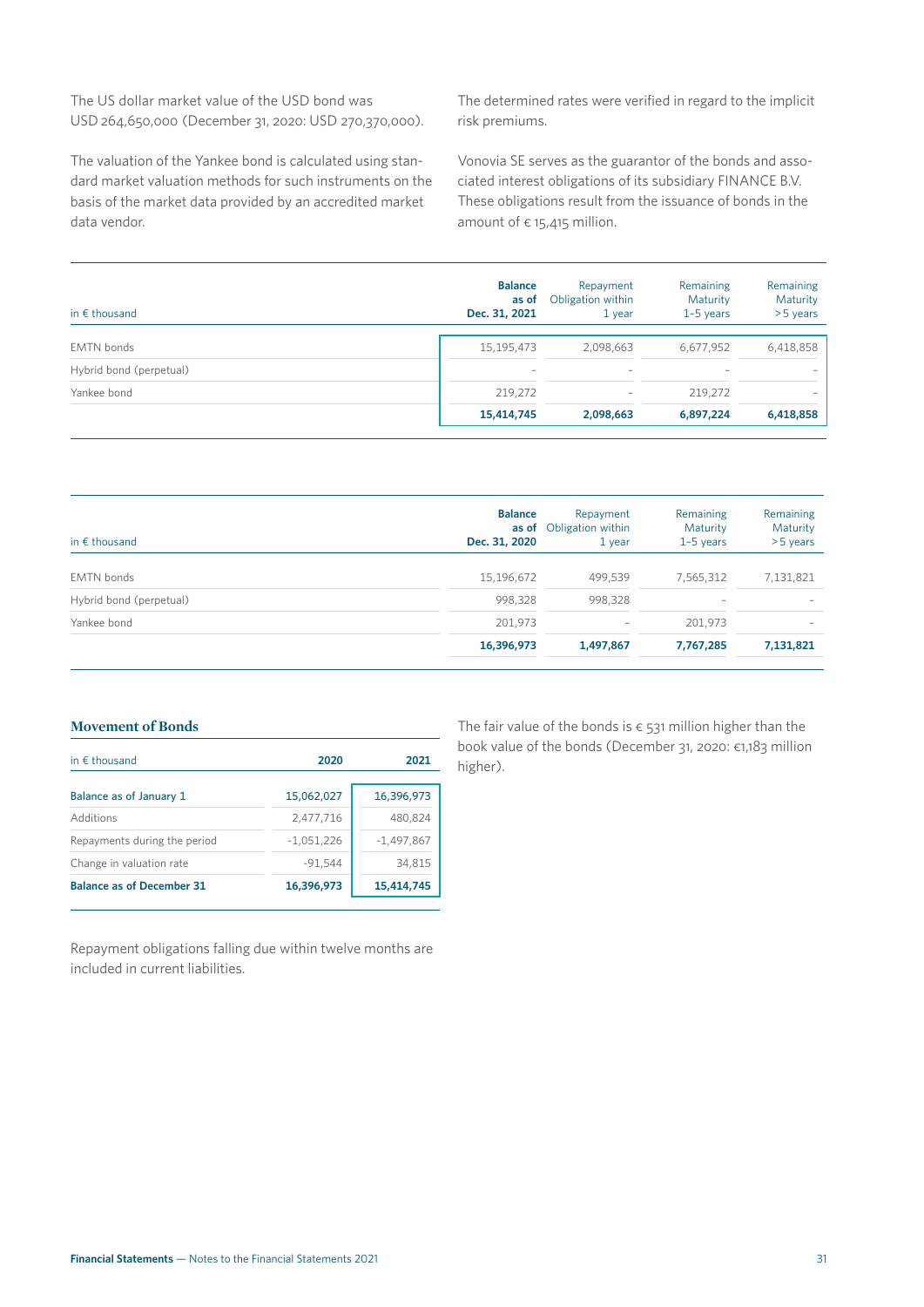The US dollar market value of the USD bond was USD 264,650,000 (December 31, 2020: USD 270,370,000).

The valuation of the Yankee bond is calculated using standard market valuation methods for such instruments on the basis of the market data provided by an accredited market data vendor.

The determined rates were verified in regard to the implicit risk premiums.

Vonovia SE serves as the guarantor of the bonds and associated interest obligations of its subsidiary FINANCE B.V. These obligations result from the issuance of bonds in the amount of  $\epsilon$  15,415 million.

| in $\epsilon$ thousand  | <b>Balance</b><br>as of<br>Dec. 31, 2021 | Repayment<br>Obligation within<br>$1$ year | Remaining<br>Maturity<br>$1-5$ years | Remaining<br>Maturity<br>$>5$ years |
|-------------------------|------------------------------------------|--------------------------------------------|--------------------------------------|-------------------------------------|
| <b>EMTN</b> bonds       | 15,195,473                               | 2,098,663                                  | 6,677,952                            | 6,418,858                           |
| Hybrid bond (perpetual) | $\overline{\phantom{0}}$                 | $\overline{\phantom{a}}$                   | $\hspace{0.1mm}-\hspace{0.1mm}$      |                                     |
| Yankee bond             | 219.272                                  | $\overline{\phantom{a}}$                   | 219,272                              |                                     |
|                         | 15,414,745                               | 2,098,663                                  | 6,897,224                            | 6,418,858                           |

| in $\epsilon$ thousand  | <b>Balance</b><br>Dec. 31, 2020 | Repayment<br><b>as of</b> Obligation within<br>$1$ year | Remaining<br>Maturity<br>$1-5$ years | Remaining<br>Maturity<br>>5 years |
|-------------------------|---------------------------------|---------------------------------------------------------|--------------------------------------|-----------------------------------|
| <b>EMTN</b> bonds       | 15,196,672                      | 499,539                                                 | 7,565,312                            | 7,131,821                         |
| Hybrid bond (perpetual) | 998,328                         | 998,328                                                 |                                      |                                   |
| Yankee bond             | 201.973                         | $\overline{\phantom{a}}$                                | 201.973                              |                                   |
|                         | 16,396,973                      | 1,497,867                                               | 7,767,285                            | 7,131,821                         |

#### **Movement of Bonds**

| in $\epsilon$ thousand           | 2020         | 2021         |
|----------------------------------|--------------|--------------|
| Balance as of January 1          | 15,062,027   | 16,396,973   |
| Additions                        | 2,477,716    | 480,824      |
| Repayments during the period     | $-1,051,226$ | $-1,497,867$ |
| Change in valuation rate         | $-91,544$    | 34,815       |
| <b>Balance as of December 31</b> | 16,396,973   | 15,414,745   |

Repayment obligations falling due within twelve months are included in current liabilities.

The fair value of the bonds is  $\epsilon$  531 million higher than the book value of the bonds (December 31, 2020: €1,183 million higher).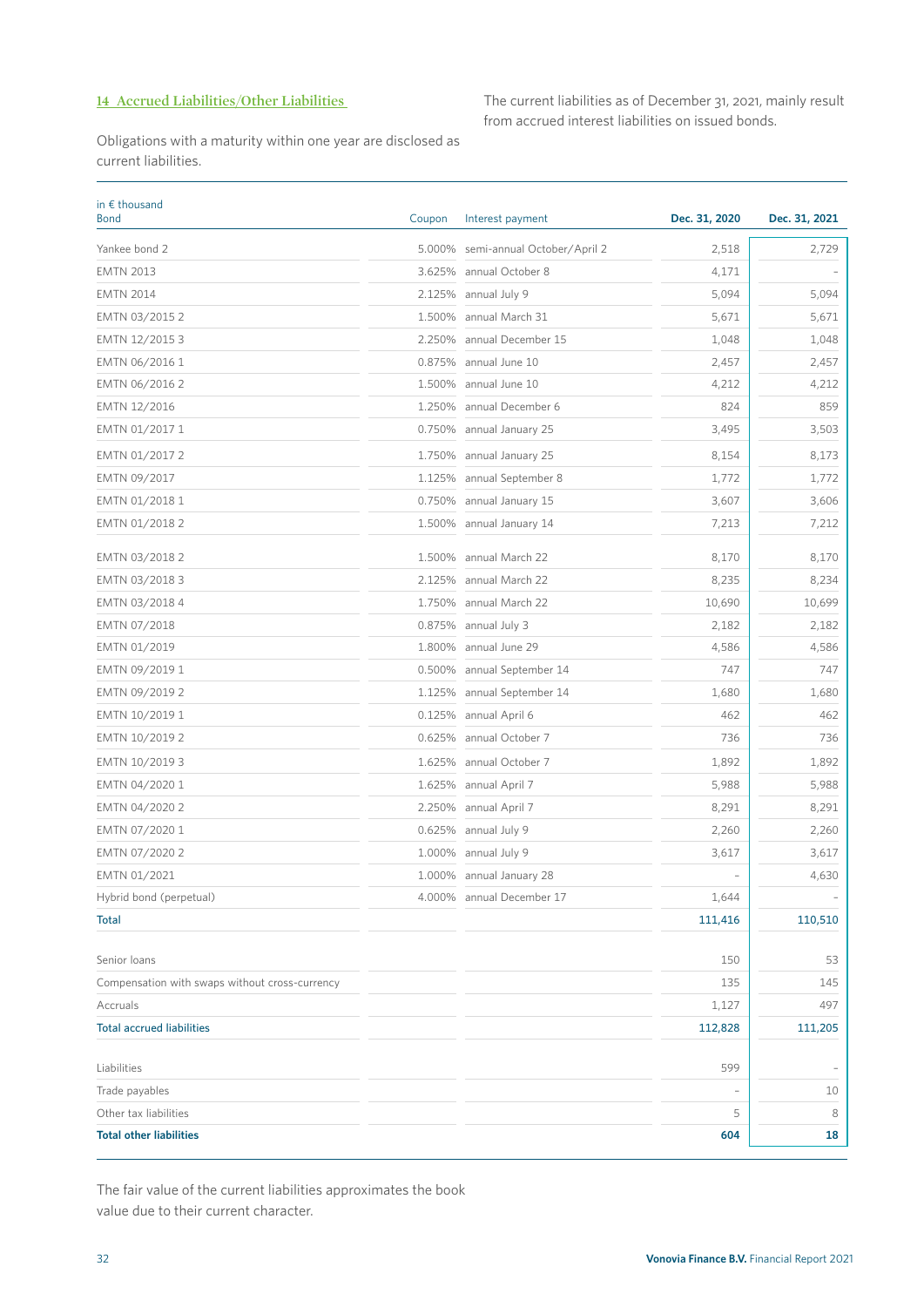#### **14 Accrued Liabilities/Other Liabilities**

The current liabilities as of December 31, 2021, mainly result from accrued interest liabilities on issued bonds.

Obligations with a maturity within one year are disclosed as current liabilities.

| in $\epsilon$ thousand<br><b>Bond</b>          | Coupon | Interest payment            | Dec. 31, 2020 | Dec. 31, 2021 |
|------------------------------------------------|--------|-----------------------------|---------------|---------------|
| Yankee bond 2                                  | 5.000% | semi-annual October/April 2 | 2,518         | 2,729         |
| <b>EMTN 2013</b>                               | 3.625% | annual October 8            | 4,171         |               |
| <b>EMTN 2014</b>                               | 2.125% | annual July 9               | 5,094         | 5,094         |
| EMTN 03/2015 2                                 | 1.500% | annual March 31             | 5,671         | 5,671         |
| EMTN 12/2015 3                                 | 2.250% | annual December 15          | 1,048         | 1,048         |
| EMTN 06/2016 1                                 | 0.875% | annual June 10              | 2,457         | 2,457         |
| EMTN 06/2016 2                                 | 1.500% | annual June 10              | 4,212         | 4,212         |
| EMTN 12/2016                                   | 1.250% | annual December 6           | 824           | 859           |
| EMTN 01/2017 1                                 | 0.750% | annual January 25           | 3,495         | 3,503         |
| EMTN 01/2017 2                                 | 1.750% | annual January 25           | 8,154         | 8,173         |
| EMTN 09/2017                                   | 1.125% | annual September 8          | 1,772         | 1,772         |
| EMTN 01/2018 1                                 | 0.750% | annual January 15           | 3,607         | 3,606         |
| EMTN 01/2018 2                                 |        | 1.500% annual January 14    | 7,213         | 7,212         |
| EMTN 03/2018 2                                 | 1.500% | annual March 22             | 8,170         | 8,170         |
| EMTN 03/2018 3                                 | 2.125% | annual March 22             | 8,235         | 8,234         |
| EMTN 03/2018 4                                 | 1.750% | annual March 22             | 10,690        | 10,699        |
| EMTN 07/2018                                   | 0.875% | annual July 3               | 2,182         | 2,182         |
| EMTN 01/2019                                   | 1.800% | annual June 29              | 4,586         | 4,586         |
| EMTN 09/2019 1                                 | 0.500% | annual September 14         | 747           | 747           |
| EMTN 09/2019 2                                 | 1.125% | annual September 14         | 1,680         | 1,680         |
| EMTN 10/2019 1                                 | 0.125% | annual April 6              | 462           | 462           |
| EMTN 10/2019 2                                 | 0.625% | annual October 7            | 736           | 736           |
| EMTN 10/2019 3                                 | 1.625% | annual October 7            | 1,892         | 1,892         |
| EMTN 04/2020 1                                 | 1.625% | annual April 7              | 5,988         | 5,988         |
| EMTN 04/2020 2                                 | 2.250% | annual April 7              | 8,291         | 8,291         |
| EMTN 07/2020 1                                 | 0.625% | annual July 9               | 2,260         | 2,260         |
| EMTN 07/2020 2                                 | 1.000% | annual July 9               | 3,617         | 3,617         |
| EMTN 01/2021                                   |        | 1.000% annual January 28    |               | 4,630         |
| Hybrid bond (perpetual)                        |        | 4.000% annual December 17   | 1,644         |               |
| <b>Total</b>                                   |        |                             | 111,416       | 110,510       |
| Senior Ioans                                   |        |                             | 150           | 53            |
| Compensation with swaps without cross-currency |        |                             | 135           | 145           |
| Accruals                                       |        |                             | 1,127         | 497           |
| <b>Total accrued liabilities</b>               |        |                             | 112,828       | 111,205       |
|                                                |        |                             |               |               |
| Liabilities                                    |        |                             | 599           |               |
| Trade payables                                 |        |                             |               | 10            |
| Other tax liabilities                          |        |                             | 5             | 8             |
| <b>Total other liabilities</b>                 |        |                             | 604           | 18            |

The fair value of the current liabilities approximates the book value due to their current character.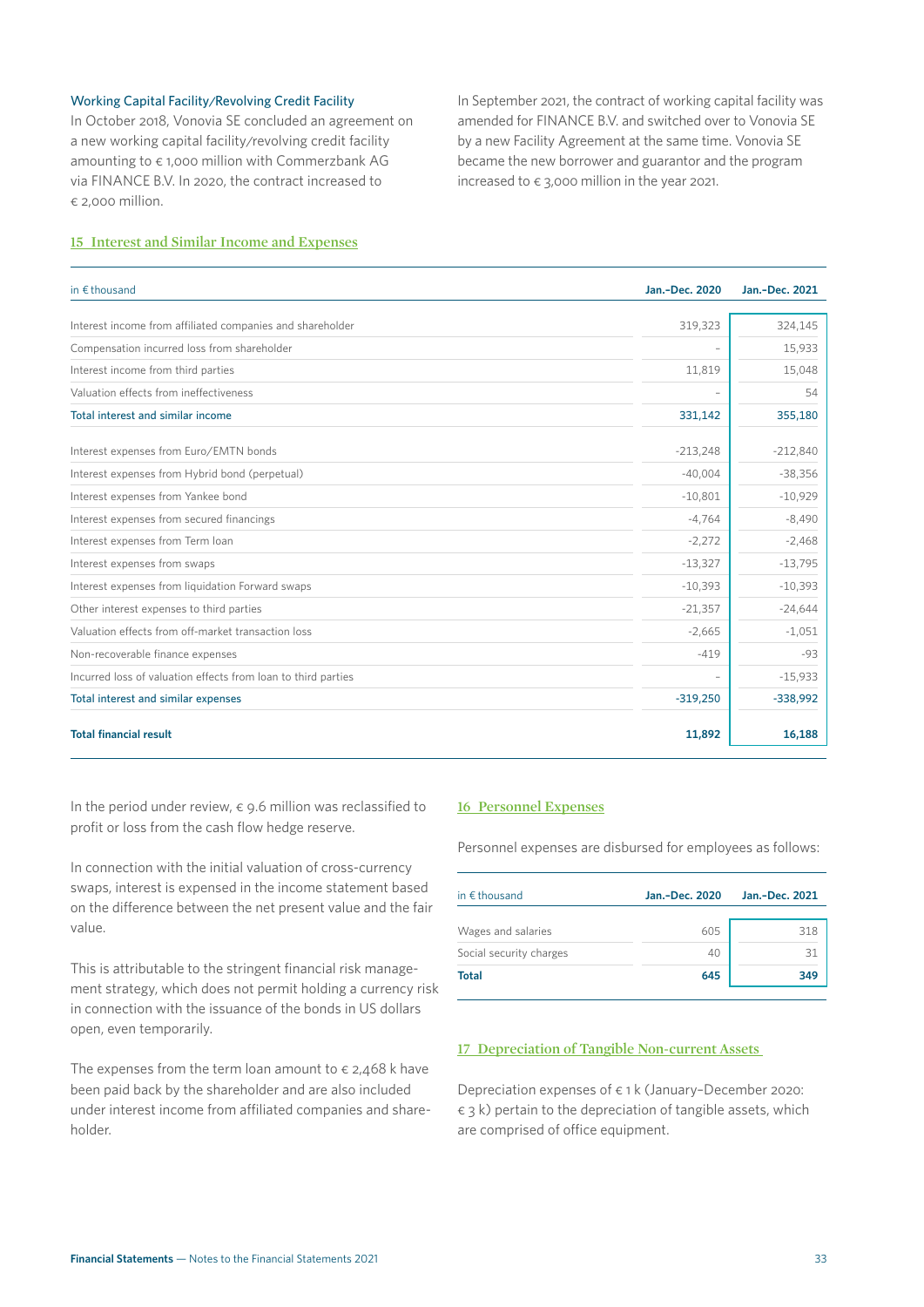#### Working Capital Facility/Revolving Credit Facility

In October 2018, Vonovia SE concluded an agreement on a new working capital facility/revolving credit facility amounting to  $\epsilon$  1,000 million with Commerzbank AG via FINANCE B.V. In 2020, the contract increased to € 2,000 million.

In September 2021, the contract of working capital facility was amended for FINANCE B.V. and switched over to Vonovia SE by a new Facility Agreement at the same time. Vonovia SE became the new borrower and guarantor and the program increased to  $\epsilon$  3,000 million in the year 2021.

#### **15 Interest and Similar Income and Expenses**

| in $€$ thousand                                               | Jan.-Dec. 2020 | Jan.-Dec. 2021 |
|---------------------------------------------------------------|----------------|----------------|
| Interest income from affiliated companies and shareholder     | 319,323        | 324,145        |
|                                                               |                |                |
| Compensation incurred loss from shareholder                   |                | 15,933         |
| Interest income from third parties                            | 11,819         | 15,048         |
| Valuation effects from ineffectiveness                        |                | 54             |
| Total interest and similar income                             | 331,142        | 355,180        |
| Interest expenses from Euro/EMTN bonds                        | $-213,248$     | $-212,840$     |
| Interest expenses from Hybrid bond (perpetual)                | $-40,004$      | $-38,356$      |
| Interest expenses from Yankee bond                            | $-10,801$      | $-10,929$      |
| Interest expenses from secured financings                     | $-4,764$       | $-8,490$       |
| Interest expenses from Term loan                              | $-2,272$       | $-2,468$       |
| Interest expenses from swaps                                  | $-13,327$      | $-13,795$      |
| Interest expenses from liquidation Forward swaps              | $-10,393$      | $-10,393$      |
| Other interest expenses to third parties                      | $-21,357$      | $-24,644$      |
| Valuation effects from off-market transaction loss            | $-2,665$       | $-1,051$       |
| Non-recoverable finance expenses                              | $-419$         | $-93$          |
| Incurred loss of valuation effects from loan to third parties |                | $-15,933$      |
| Total interest and similar expenses                           | $-319,250$     | $-338,992$     |
| <b>Total financial result</b>                                 | 11,892         | 16,188         |

In the period under review,  $\epsilon$  9.6 million was reclassified to profit or loss from the cash flow hedge reserve.

In connection with the initial valuation of cross-currency swaps, interest is expensed in the income statement based on the difference between the net present value and the fair value.

This is attributable to the stringent financial risk management strategy, which does not permit holding a currency risk in connection with the issuance of the bonds in US dollars open, even temporarily.

The expenses from the term loan amount to  $\epsilon$  2,468 k have been paid back by the shareholder and are also included under interest income from affiliated companies and shareholder.

#### **16 Personnel Expenses**

Personnel expenses are disbursed for employees as follows:

| Jan.-Dec. 2020 | Jan.-Dec. 2021 |
|----------------|----------------|
|                |                |
| 605            | 318            |
| 40             | 31             |
| 645            | 349            |
|                |                |

#### **17 Depreciation of Tangible Non-current Assets**

Depreciation expenses of € 1 k (January–December 2020:  $\epsilon$  3 k) pertain to the depreciation of tangible assets, which are comprised of office equipment.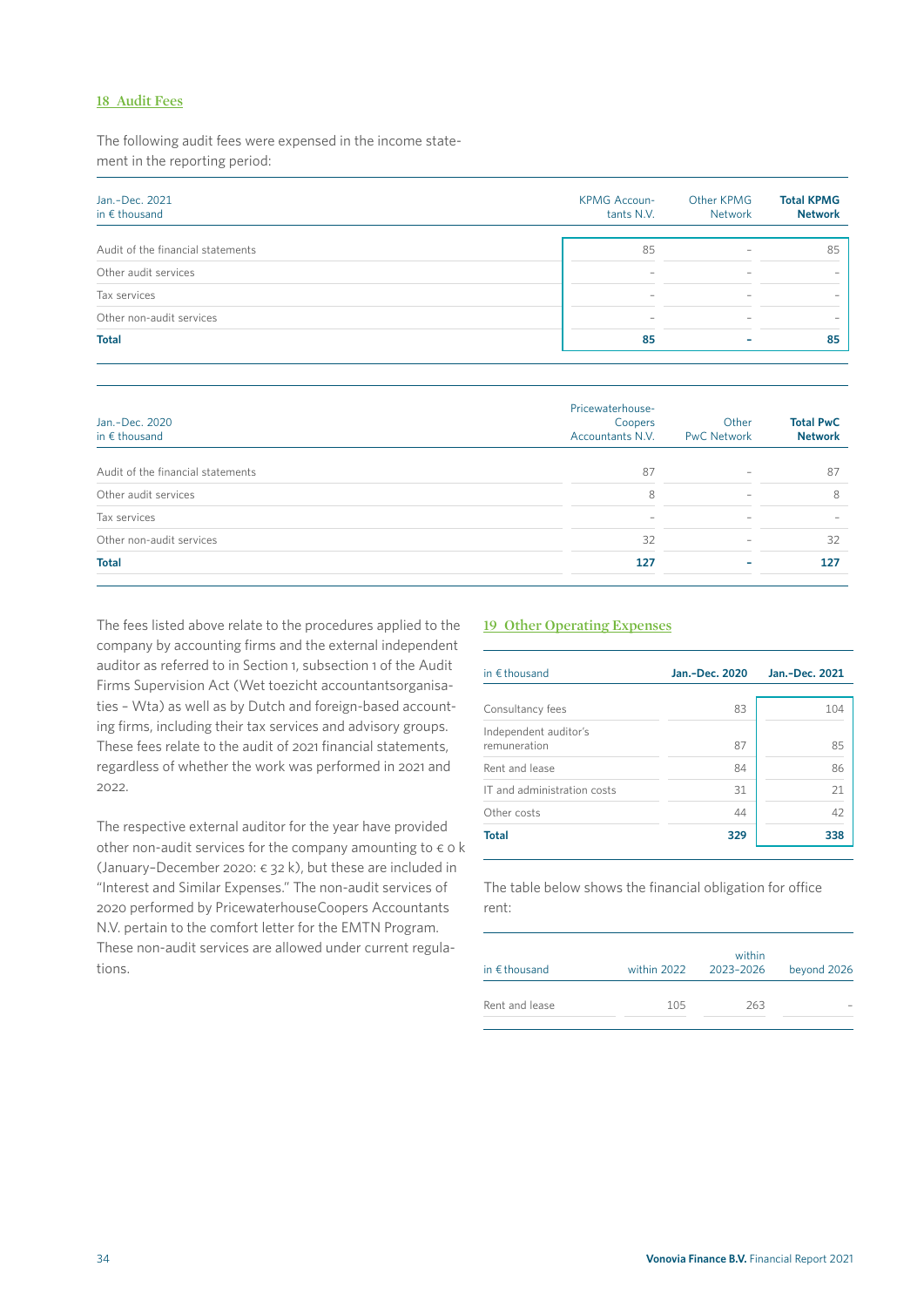#### **18 Audit Fees**

The following audit fees were expensed in the income statement in the reporting period:

| Jan.-Dec. 2021<br>in $\epsilon$ thousand | <b>KPMG Accoun-</b><br>tants N.V. | Other KPMG<br>Network | <b>Total KPMG</b><br><b>Network</b> |  |
|------------------------------------------|-----------------------------------|-----------------------|-------------------------------------|--|
| Audit of the financial statements        | 85                                |                       | 85                                  |  |
| Other audit services                     |                                   |                       |                                     |  |
| Tax services                             |                                   |                       |                                     |  |
| Other non-audit services                 |                                   |                       |                                     |  |
| <b>Total</b>                             | 85                                |                       | 85                                  |  |
|                                          |                                   |                       |                                     |  |

| Jan.-Dec. 2020<br>in $\epsilon$ thousand | Pricewaterhouse-<br>Coopers<br>Accountants N.V. | Other<br><b>PwC Network</b> | <b>Total PwC</b><br><b>Network</b> |  |
|------------------------------------------|-------------------------------------------------|-----------------------------|------------------------------------|--|
| Audit of the financial statements        | 87                                              | $\overline{\phantom{0}}$    | 87                                 |  |
| Other audit services                     | 8                                               | $\overline{\phantom{0}}$    | 8                                  |  |
| Tax services                             | $\overline{\phantom{0}}$                        |                             |                                    |  |
| Other non-audit services                 | 32                                              | $\overline{\phantom{0}}$    | 32                                 |  |
| <b>Total</b>                             | 127                                             |                             | 127                                |  |

The fees listed above relate to the procedures applied to the company by accounting firms and the external independent auditor as referred to in Section 1, subsection 1 of the Audit Firms Supervision Act (Wet toezicht accountantsorganisaties – Wta) as well as by Dutch and foreign-based accounting firms, including their tax services and advisory groups. These fees relate to the audit of 2021 financial statements, regardless of whether the work was performed in 2021 and 2022.

The respective external auditor for the year have provided other non-audit services for the company amounting to  $\epsilon$  o k (January-December 2020:  $\epsilon$  32 k), but these are included in "Interest and Similar Expenses." The non-audit services of 2020 performed by PricewaterhouseCoopers Accountants N.V. pertain to the comfort letter for the EMTN Program. These non-audit services are allowed under current regulations.

#### **19 Other Operating Expenses**

| in $€$ thousand                       | Jan.-Dec. 2020 | Jan.-Dec. 2021 |
|---------------------------------------|----------------|----------------|
| Consultancy fees                      | 83             | 104            |
| Independent auditor's<br>remuneration | 87             | 85             |
| Rent and lease                        | 84             | 86             |
| IT and administration costs           | 31             | 21             |
| Other costs                           | 44             | 42             |
| <b>Total</b>                          | 329            | 338            |

The table below shows the financial obligation for office rent:

| in $\epsilon$ thousand | within 2022 | within<br>2023-2026 | beyond 2026 |
|------------------------|-------------|---------------------|-------------|
| Rent and lease         | 105         | 263                 |             |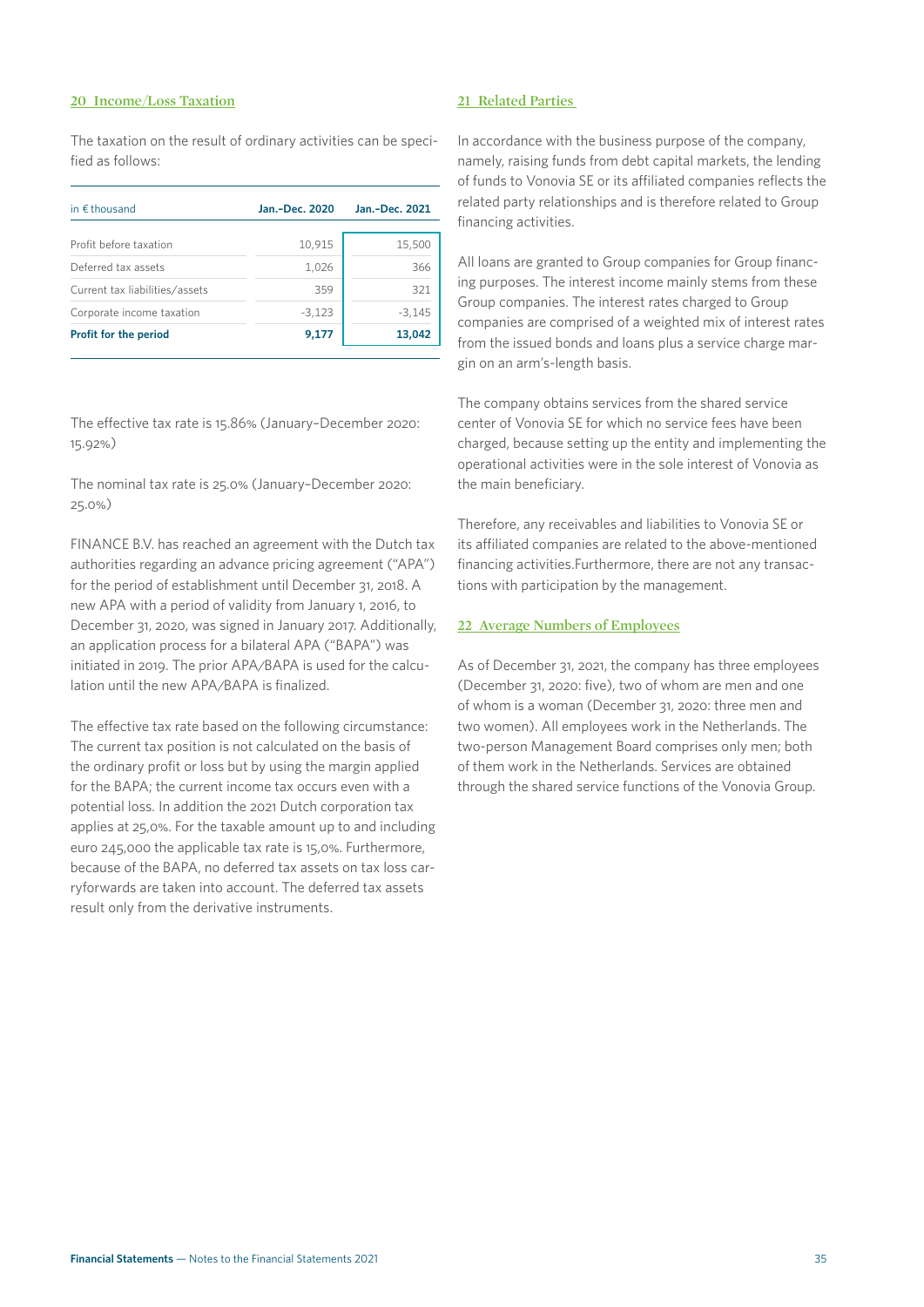#### **20 Income/Loss Taxation**

The taxation on the result of ordinary activities can be specified as follows:

| in $\epsilon$ thousand         | Jan.-Dec. 2020 | Jan.-Dec. 2021 |
|--------------------------------|----------------|----------------|
| Profit before taxation         | 10,915         | 15,500         |
| Deferred tax assets            | 1,026          | 366            |
| Current tax liabilities/assets | 359            | 321            |
| Corporate income taxation      | $-3,123$       | $-3,145$       |
| Profit for the period          | 9,177          | 13,042         |

The effective tax rate is 15.86% (January–December 2020: 15.92%)

The nominal tax rate is 25.0% (January–December 2020: 25.0%)

FINANCE B.V. has reached an agreement with the Dutch tax authorities regarding an advance pricing agreement ("APA") for the period of establishment until December 31, 2018. A new APA with a period of validity from January 1, 2016, to December 31, 2020, was signed in January 2017. Additionally, an application process for a bilateral APA ("BAPA") was initiated in 2019. The prior APA/BAPA is used for the calculation until the new APA/BAPA is finalized.

The effective tax rate based on the following circumstance: The current tax position is not calculated on the basis of the ordinary profit or loss but by using the margin applied for the BAPA; the current income tax occurs even with a potential loss. In addition the 2021 Dutch corporation tax applies at 25,0%. For the taxable amount up to and including euro 245,000 the applicable tax rate is 15,0%. Furthermore, because of the BAPA, no deferred tax assets on tax loss carryforwards are taken into account. The deferred tax assets result only from the derivative instruments.

#### **21 Related Parties**

In accordance with the business purpose of the company, namely, raising funds from debt capital markets, the lending of funds to Vonovia SE or its affiliated companies reflects the related party relationships and is therefore related to Group financing activities.

All loans are granted to Group companies for Group financing purposes. The interest income mainly stems from these Group companies. The interest rates charged to Group companies are comprised of a weighted mix of interest rates from the issued bonds and loans plus a service charge margin on an arm's-length basis.

The company obtains services from the shared service center of Vonovia SE for which no service fees have been charged, because setting up the entity and implementing the operational activities were in the sole interest of Vonovia as the main beneficiary.

Therefore, any receivables and liabilities to Vonovia SE or its affiliated companies are related to the above-mentioned financing activities.Furthermore, there are not any transactions with participation by the management.

#### **22 Average Numbers of Employees**

As of December 31, 2021, the company has three employees (December 31, 2020: five), two of whom are men and one of whom is a woman (December 31, 2020: three men and two women). All employees work in the Netherlands. The two-person Management Board comprises only men; both of them work in the Netherlands. Services are obtained through the shared service functions of the Vonovia Group.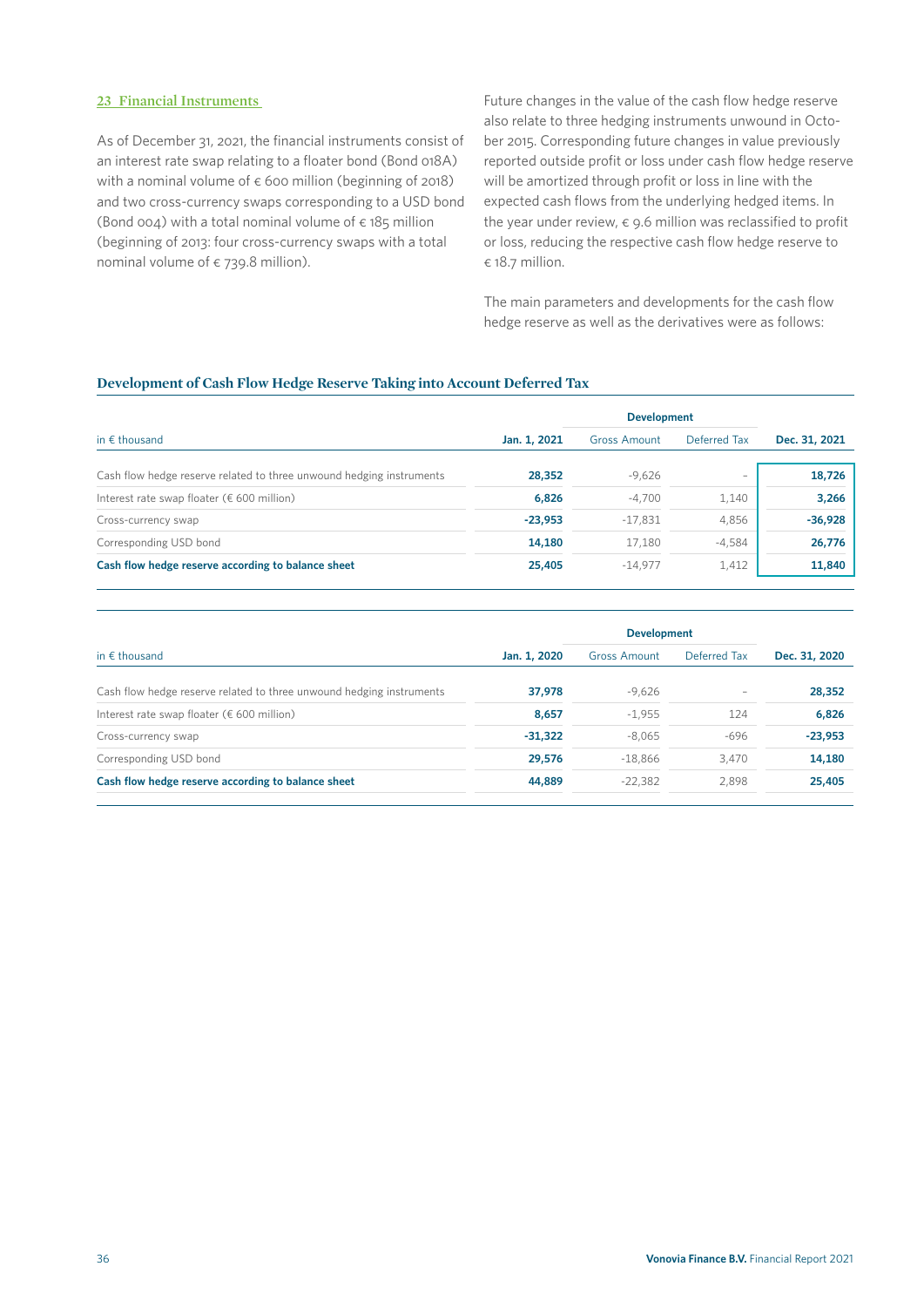#### **23 Financial Instruments**

As of December 31, 2021, the financial instruments consist of an interest rate swap relating to a floater bond (Bond 018A) with a nominal volume of  $\epsilon$  600 million (beginning of 2018) and two cross-currency swaps corresponding to a USD bond (Bond 004) with a total nominal volume of  $\epsilon$  185 million (beginning of 2013: four cross-currency swaps with a total nominal volume of  $\epsilon$  739.8 million).

Future changes in the value of the cash flow hedge reserve also relate to three hedging instruments unwound in October 2015. Corresponding future changes in value previously reported outside profit or loss under cash flow hedge reserve will be amortized through profit or loss in line with the expected cash flows from the underlying hedged items. In the year under review,  $\epsilon$  9.6 million was reclassified to profit or loss, reducing the respective cash flow hedge reserve to € 18.7 million.

The main parameters and developments for the cash flow hedge reserve as well as the derivatives were as follows:

#### **Development of Cash Flow Hedge Reserve Taking into Account Deferred Tax**

|                                                                      |              | <b>Development</b>  |                          |               |
|----------------------------------------------------------------------|--------------|---------------------|--------------------------|---------------|
| in $\epsilon$ thousand                                               | Jan. 1, 2021 | <b>Gross Amount</b> | Deferred Tax             | Dec. 31, 2021 |
| Cash flow hedge reserve related to three unwound hedging instruments | 28,352       | $-9,626$            | $\overline{\phantom{0}}$ | 18,726        |
| Interest rate swap floater ( $\epsilon$ 600 million)                 | 6,826        | $-4,700$            | 1,140                    | 3,266         |
| Cross-currency swap                                                  | $-23,953$    | $-17,831$           | 4,856                    | $-36,928$     |
| Corresponding USD bond                                               | 14,180       | 17,180              | $-4,584$                 | 26,776        |
| Cash flow hedge reserve according to balance sheet                   | 25,405       | $-14.977$           | 1,412                    | 11,840        |

|                                                                      |              | <b>Development</b>  |              |               |
|----------------------------------------------------------------------|--------------|---------------------|--------------|---------------|
| in $\epsilon$ thousand                                               | Jan. 1, 2020 | <b>Gross Amount</b> | Deferred Tax | Dec. 31, 2020 |
| Cash flow hedge reserve related to three unwound hedging instruments | 37,978       | $-9,626$            |              | 28,352        |
| Interest rate swap floater ( $\epsilon$ 600 million)                 | 8,657        | $-1,955$            | 124          | 6,826         |
| Cross-currency swap                                                  | $-31,322$    | $-8.065$            | $-696$       | $-23,953$     |
| Corresponding USD bond                                               | 29,576       | $-18.866$           | 3.470        | 14,180        |
| Cash flow hedge reserve according to balance sheet                   | 44,889       | $-22,382$           | 2.898        | 25,405        |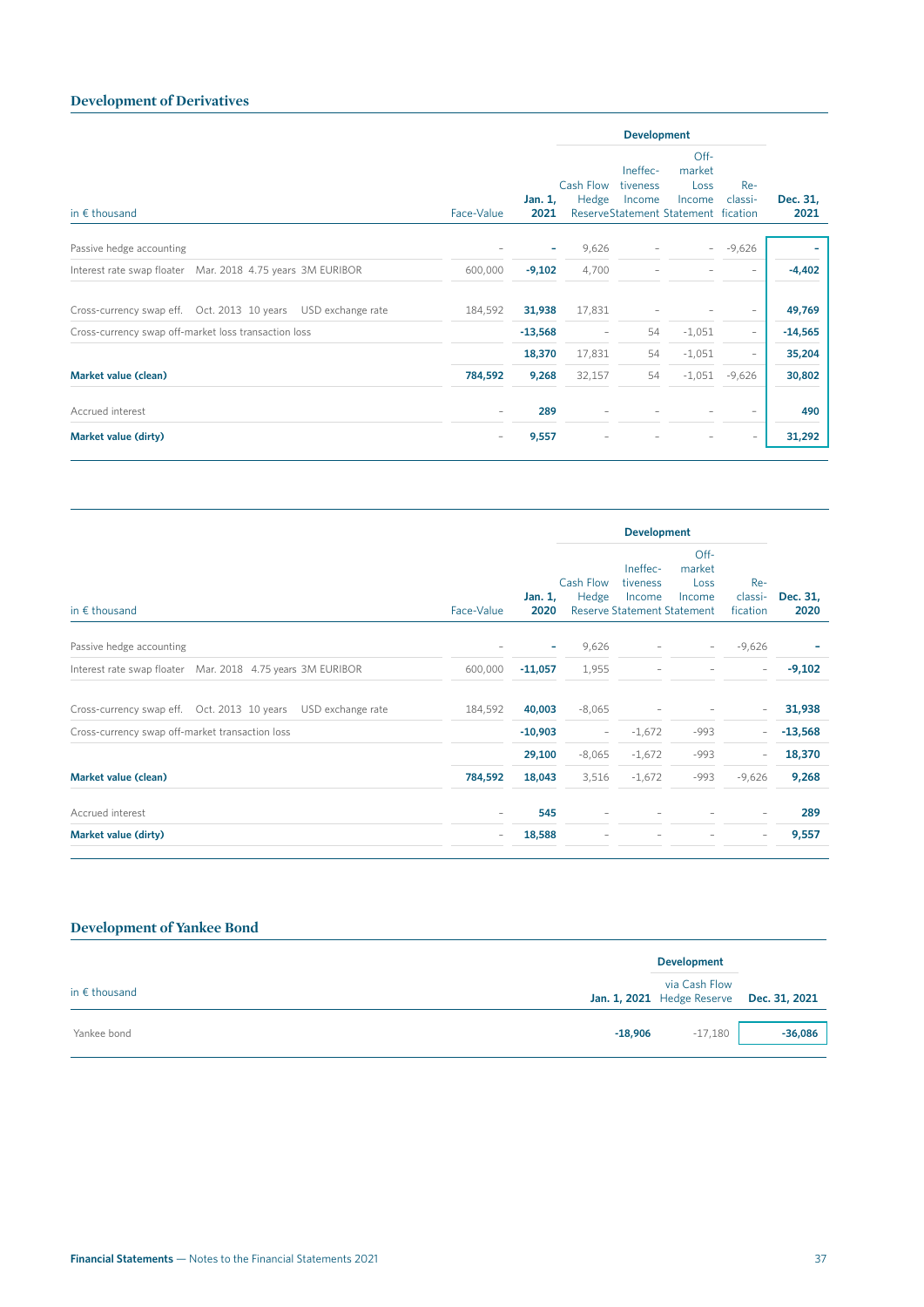### **Development of Derivatives**

| in $\epsilon$ thousand                                           |                          |                          | <b>Development</b>       |                                |                                                                           |                          |                  |  |
|------------------------------------------------------------------|--------------------------|--------------------------|--------------------------|--------------------------------|---------------------------------------------------------------------------|--------------------------|------------------|--|
|                                                                  | Face-Value               | Jan. 1,<br>2021          | Cash Flow<br>Hedge       | Ineffec-<br>tiveness<br>Income | $Off-$<br>market<br>Loss<br>Income<br>ReserveStatement Statement fication | $Re-$<br>classi-         | Dec. 31,<br>2021 |  |
| Passive hedge accounting                                         | ٠                        | $\overline{\phantom{a}}$ | 9,626                    |                                | $\sim$                                                                    | $-9,626$                 |                  |  |
| Interest rate swap floater Mar. 2018 4.75 years 3M EURIBOR       | 600,000                  | $-9,102$                 | 4,700                    |                                |                                                                           |                          | $-4,402$         |  |
| Cross-currency swap eff.  Oct. 2013  10 years  USD exchange rate | 184,592                  | 31,938                   | 17,831                   |                                |                                                                           |                          | 49,769           |  |
| Cross-currency swap off-market loss transaction loss             |                          | $-13,568$                | $\overline{\phantom{a}}$ | 54                             | $-1,051$                                                                  | $\overline{\phantom{a}}$ | $-14,565$        |  |
|                                                                  |                          | 18,370                   | 17,831                   | 54                             | $-1,051$                                                                  | $\qquad \qquad -$        | 35,204           |  |
| Market value (clean)                                             | 784,592                  | 9,268                    | 32,157                   | 54                             | $-1,051$                                                                  | $-9,626$                 | 30,802           |  |
| Accrued interest                                                 | $\overline{\phantom{a}}$ | 289                      |                          |                                |                                                                           |                          | 490              |  |
| Market value (dirty)                                             | $\overline{\phantom{a}}$ | 9,557                    |                          |                                |                                                                           |                          | 31,292           |  |

| Face-Value               |                 | <b>Development</b>       |                                |                                  |                                    |                  |
|--------------------------|-----------------|--------------------------|--------------------------------|----------------------------------|------------------------------------|------------------|
|                          | Jan. 1,<br>2020 | Hedge                    | Ineffec-<br>tiveness<br>Income | Off-<br>market<br>Loss<br>Income | Re-<br>classi-<br>fication         | Dec. 31,<br>2020 |
| ۰                        | ٠               | 9,626                    | $\overline{\phantom{0}}$       | $\sim$                           | $-9,626$                           |                  |
| 600,000                  | $-11,057$       | 1,955                    |                                |                                  | $\overline{\phantom{a}}$           | $-9,102$         |
| 184,592                  | 40,003          | $-8,065$                 |                                |                                  | $\overline{\phantom{0}}$           | 31,938           |
|                          | $-10,903$       | $\overline{\phantom{a}}$ | $-1,672$                       | $-993$                           | $\overline{\phantom{0}}$           | $-13,568$        |
|                          | 29,100          | $-8,065$                 | $-1,672$                       | $-993$                           | $\overline{\phantom{0}}$           | 18,370           |
| 784,592                  | 18,043          | 3,516                    | $-1,672$                       | $-993$                           | $-9,626$                           | 9,268            |
| $\qquad \qquad -$        | 545             | $\overline{\phantom{a}}$ |                                |                                  | $\overline{\phantom{a}}$           | 289              |
| $\overline{\phantom{a}}$ | 18,588          | $\overline{\phantom{0}}$ |                                |                                  | $\overline{\phantom{a}}$           | 9,557            |
|                          |                 |                          | Cash Flow                      |                                  | <b>Reserve Statement Statement</b> |                  |

# **Development of Yankee Bond**

|                        |           | <b>Development</b>                                        |           |
|------------------------|-----------|-----------------------------------------------------------|-----------|
| in $\epsilon$ thousand |           | via Cash Flow<br>Jan. 1, 2021 Hedge Reserve Dec. 31, 2021 |           |
| Yankee bond            | $-18,906$ | $-17,180$                                                 | $-36,086$ |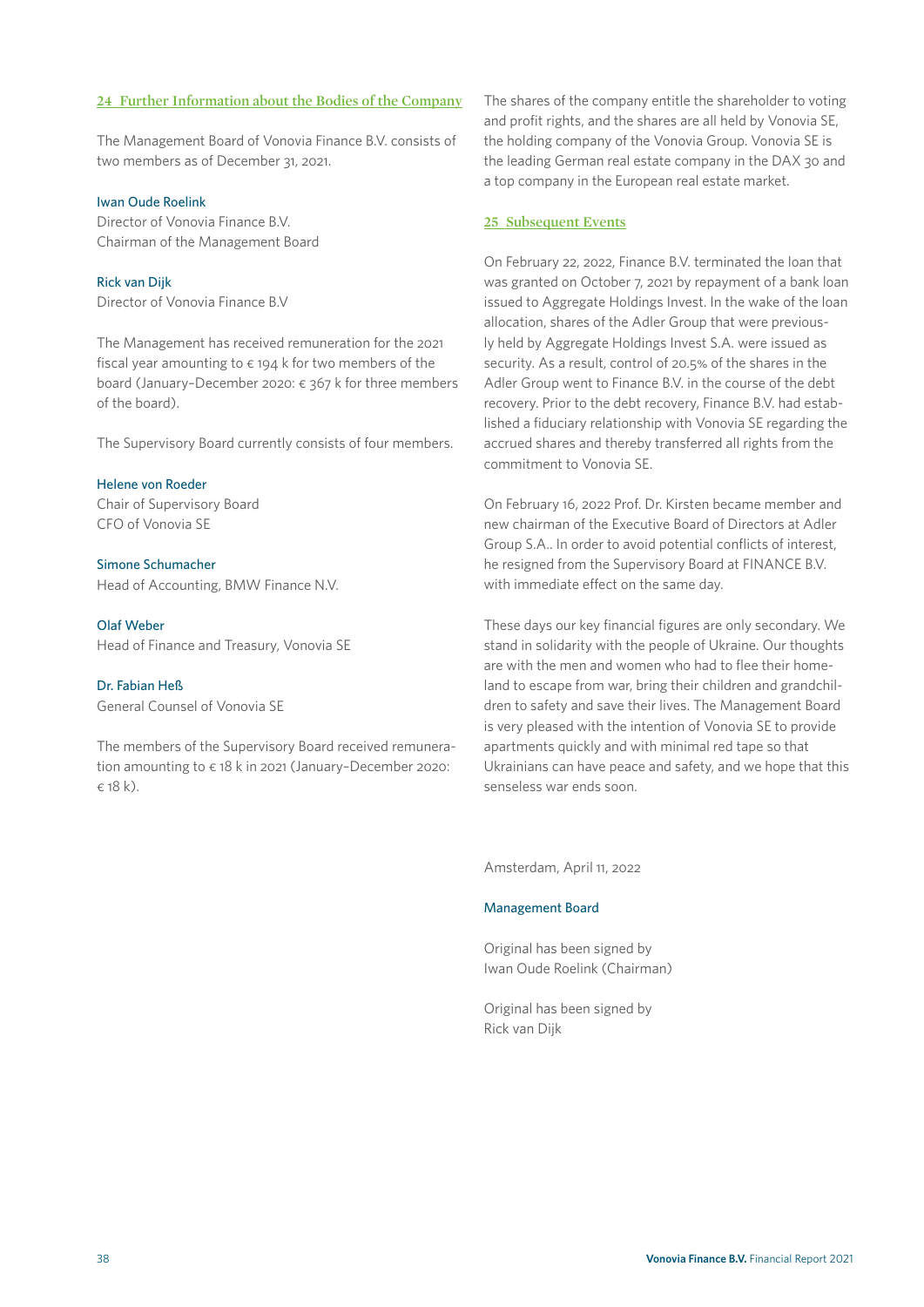#### **24 Further Information about the Bodies of the Company**

The Management Board of Vonovia Finance B.V. consists of two members as of December 31, 2021.

#### Iwan Oude Roelink

Director of Vonovia Finance B.V. Chairman of the Management Board

Rick van Dijk Director of Vonovia Finance B.V

The Management has received remuneration for the 2021 fiscal year amounting to  $\epsilon$  194 k for two members of the board (January–December 2020: € 367 k for three members of the board).

The Supervisory Board currently consists of four members.

#### Helene von Roeder

Chair of Supervisory Board CFO of Vonovia SE

Simone Schumacher Head of Accounting, BMW Finance N.V.

#### Olaf Weber

Head of Finance and Treasury, Vonovia SE

#### Dr. Fabian Heß

General Counsel of Vonovia SE

The members of the Supervisory Board received remuneration amounting to € 18 k in 2021 (January–December 2020: € 18 k).

The shares of the company entitle the shareholder to voting and profit rights, and the shares are all held by Vonovia SE, the holding company of the Vonovia Group. Vonovia SE is the leading German real estate company in the DAX 30 and a top company in the European real estate market.

#### **25 Subsequent Events**

On February 22, 2022, Finance B.V. terminated the loan that was granted on October 7, 2021 by repayment of a bank loan issued to Aggregate Holdings Invest. In the wake of the loan allocation, shares of the Adler Group that were previously held by Aggregate Holdings Invest S.A. were issued as security. As a result, control of 20.5% of the shares in the Adler Group went to Finance B.V. in the course of the debt recovery. Prior to the debt recovery, Finance B.V. had established a fiduciary relationship with Vonovia SE regarding the accrued shares and thereby transferred all rights from the commitment to Vonovia SE.

On February 16, 2022 Prof. Dr. Kirsten became member and new chairman of the Executive Board of Directors at Adler Group S.A.. In order to avoid potential conflicts of interest, he resigned from the Supervisory Board at FINANCE B.V. with immediate effect on the same day.

These days our key financial figures are only secondary. We stand in solidarity with the people of Ukraine. Our thoughts are with the men and women who had to flee their homeland to escape from war, bring their children and grandchildren to safety and save their lives. The Management Board is very pleased with the intention of Vonovia SE to provide apartments quickly and with minimal red tape so that Ukrainians can have peace and safety, and we hope that this senseless war ends soon.

Amsterdam, April 11, 2022

#### Management Board

Original has been signed by Iwan Oude Roelink (Chairman)

Original has been signed by Rick van Dijk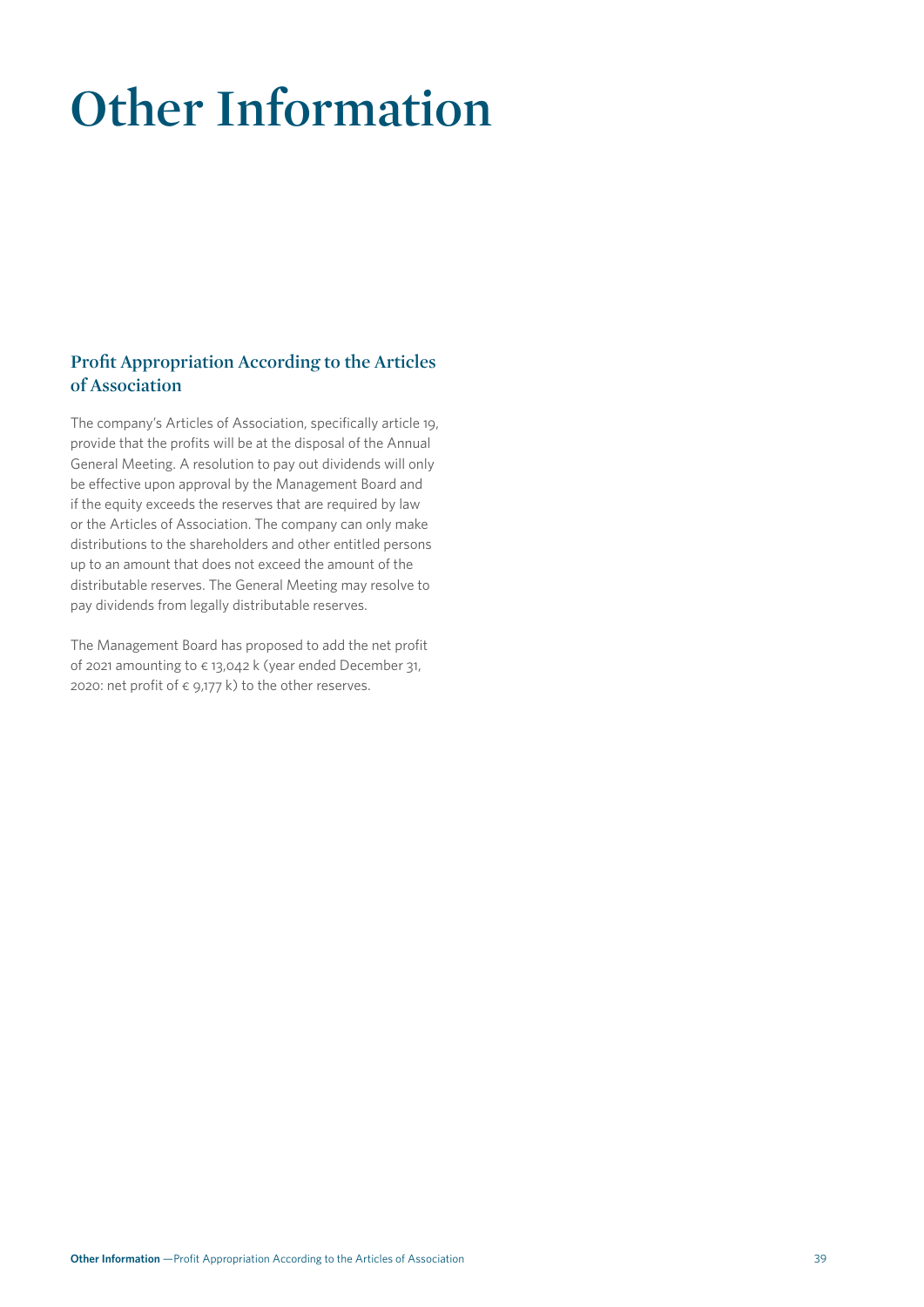# **Other Information**

# **Profit Appropriation According to the Articles of Association**

The company's Articles of Association, specifically article 19, provide that the profits will be at the disposal of the Annual General Meeting. A resolution to pay out dividends will only be effective upon approval by the Management Board and if the equity exceeds the reserves that are required by law or the Articles of Association. The company can only make distributions to the shareholders and other entitled persons up to an amount that does not exceed the amount of the distributable reserves. The General Meeting may resolve to pay dividends from legally distributable reserves.

The Management Board has proposed to add the net profit of 2021 amounting to  $\epsilon$  13,042 k (year ended December 31, 2020: net profit of  $\epsilon$  9,177 k) to the other reserves.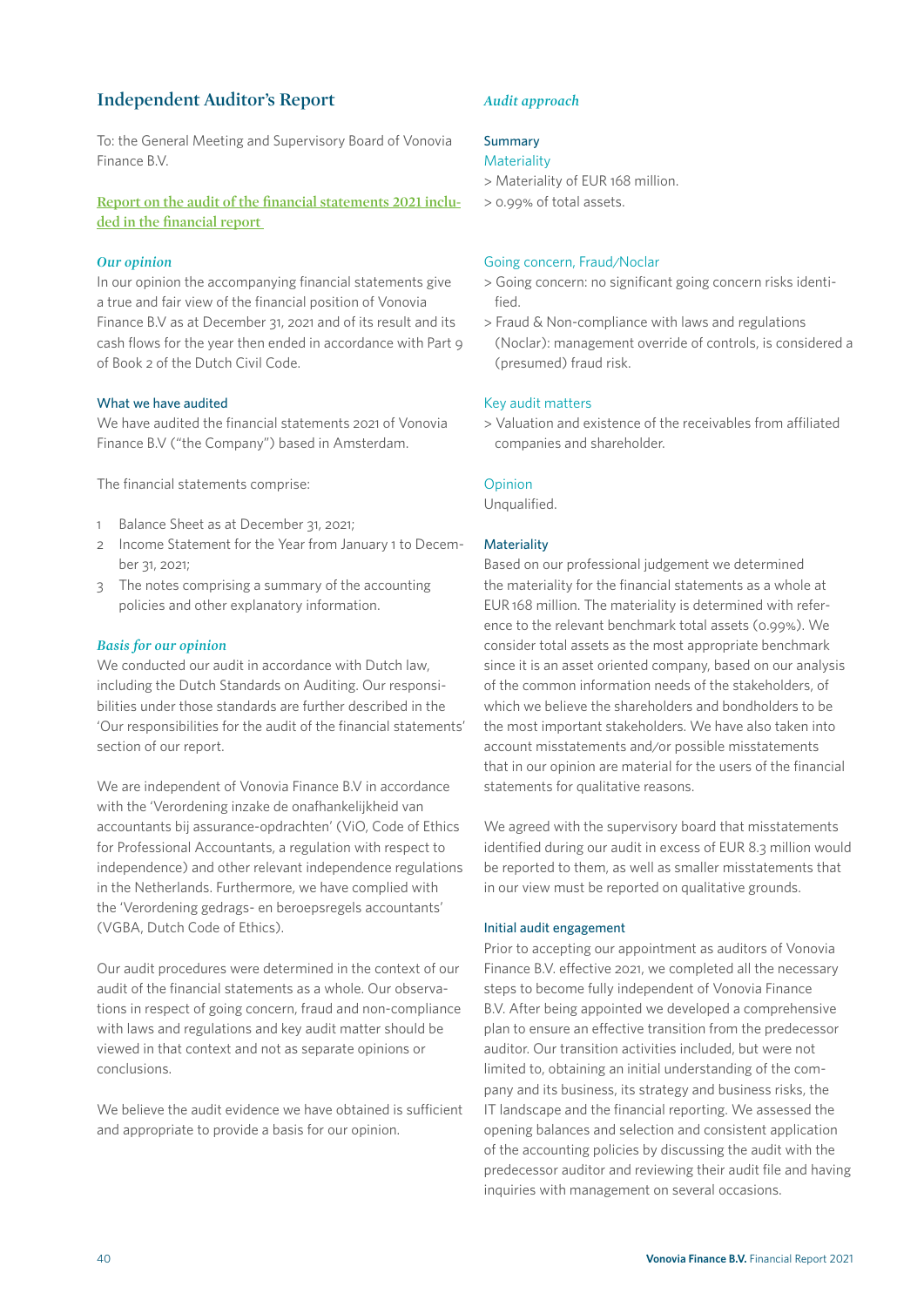# **Independent Auditor's Report**

To: the General Meeting and Supervisory Board of Vonovia Finance B.V.

**Report on the audit of the financial statements 2021 included in the financial report** 

#### *Our opinion*

In our opinion the accompanying financial statements give a true and fair view of the financial position of Vonovia Finance B.V as at December 31, 2021 and of its result and its cash flows for the year then ended in accordance with Part 9 of Book 2 of the Dutch Civil Code.

#### What we have audited

We have audited the financial statements 2021 of Vonovia Finance B.V ("the Company") based in Amsterdam.

The financial statements comprise:

- 1 Balance Sheet as at December 31, 2021;
- 2 Income Statement for the Year from January 1 to December 31, 2021;
- 3 The notes comprising a summary of the accounting policies and other explanatory information.

#### *Basis for our opinion*

We conducted our audit in accordance with Dutch law. including the Dutch Standards on Auditing. Our responsibilities under those standards are further described in the 'Our responsibilities for the audit of the financial statements' section of our report.

We are independent of Vonovia Finance B.V in accordance with the 'Verordening inzake de onafhankelijkheid van accountants bij assurance-opdrachten' (ViO, Code of Ethics for Professional Accountants, a regulation with respect to independence) and other relevant independence regulations in the Netherlands. Furthermore, we have complied with the 'Verordening gedrags- en beroepsregels accountants' (VGBA, Dutch Code of Ethics).

Our audit procedures were determined in the context of our audit of the financial statements as a whole. Our observations in respect of going concern, fraud and non-compliance with laws and regulations and key audit matter should be viewed in that context and not as separate opinions or conclusions.

We believe the audit evidence we have obtained is sufficient and appropriate to provide a basis for our opinion.

#### *Audit approach*

#### Summary

#### **Materiality**

- > Materiality of EUR 168 million.
- > 0.99% of total assets.

#### Going concern, Fraud/Noclar

- > Going concern: no significant going concern risks identified.
- > Fraud & Non-compliance with laws and regulations (Noclar): management override of controls, is considered a (presumed) fraud risk.

#### Key audit matters

> Valuation and existence of the receivables from affiliated companies and shareholder.

#### Opinion

Unqualified.

#### **Materiality**

Based on our professional judgement we determined the materiality for the financial statements as a whole at EUR 168 million. The materiality is determined with reference to the relevant benchmark total assets (0.99%). We consider total assets as the most appropriate benchmark since it is an asset oriented company, based on our analysis of the common information needs of the stakeholders, of which we believe the shareholders and bondholders to be the most important stakeholders. We have also taken into account misstatements and/or possible misstatements that in our opinion are material for the users of the financial statements for qualitative reasons.

We agreed with the supervisory board that misstatements identified during our audit in excess of EUR 8.3 million would be reported to them, as well as smaller misstatements that in our view must be reported on qualitative grounds.

#### Initial audit engagement

Prior to accepting our appointment as auditors of Vonovia Finance B.V. effective 2021, we completed all the necessary steps to become fully independent of Vonovia Finance B.V. After being appointed we developed a comprehensive plan to ensure an effective transition from the predecessor auditor. Our transition activities included, but were not limited to, obtaining an initial understanding of the company and its business, its strategy and business risks, the IT landscape and the financial reporting. We assessed the opening balances and selection and consistent application of the accounting policies by discussing the audit with the predecessor auditor and reviewing their audit file and having inquiries with management on several occasions.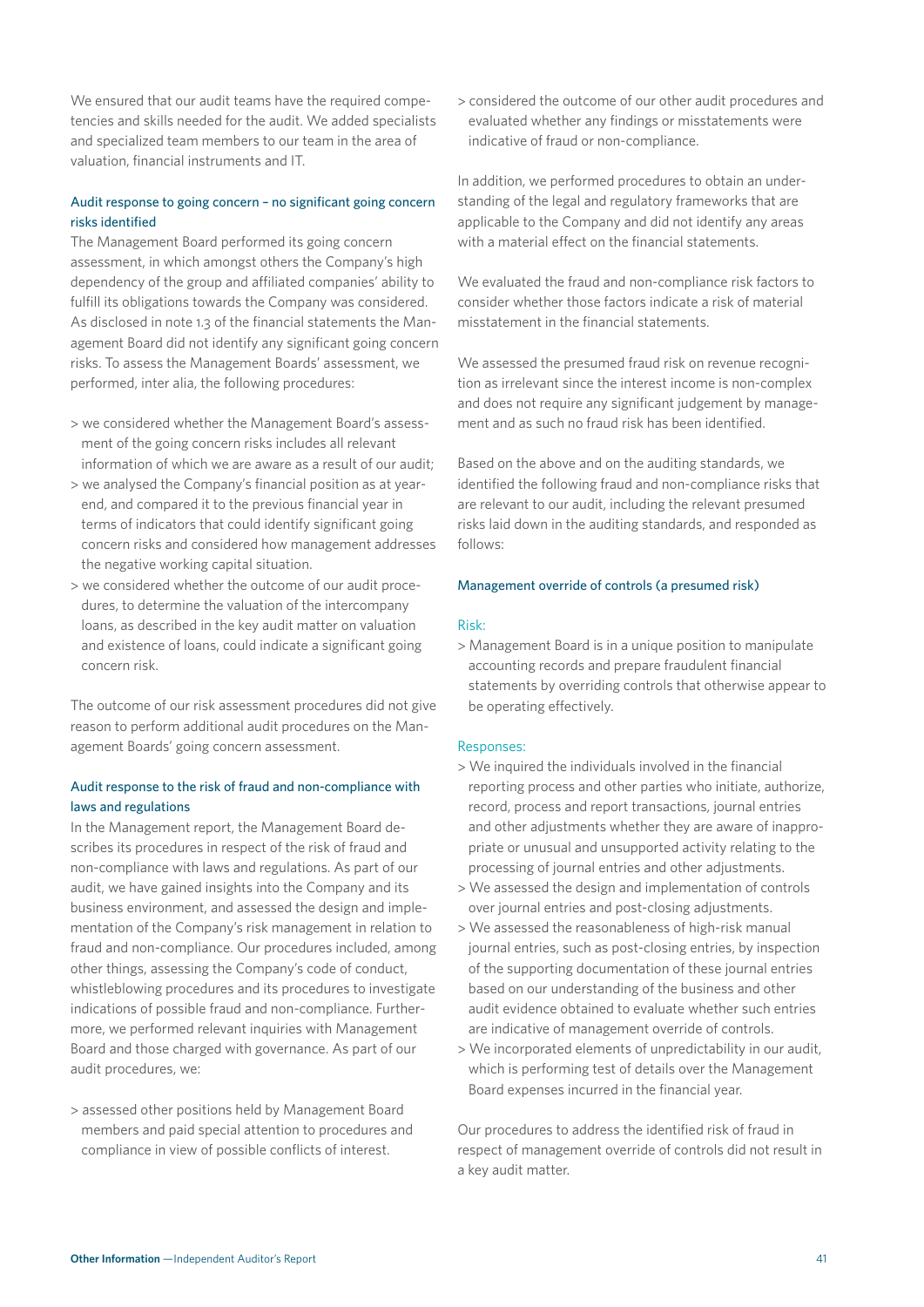We ensured that our audit teams have the required competencies and skills needed for the audit. We added specialists and specialized team members to our team in the area of valuation, financial instruments and IT.

#### Audit response to going concern – no significant going concern risks identified

The Management Board performed its going concern assessment, in which amongst others the Company's high dependency of the group and affiliated companies' ability to fulfill its obligations towards the Company was considered. As disclosed in note 1.3 of the financial statements the Management Board did not identify any significant going concern risks. To assess the Management Boards' assessment, we performed, inter alia, the following procedures:

- > we considered whether the Management Board's assessment of the going concern risks includes all relevant information of which we are aware as a result of our audit;
- > we analysed the Company's financial position as at yearend, and compared it to the previous financial year in terms of indicators that could identify significant going concern risks and considered how management addresses the negative working capital situation.
- > we considered whether the outcome of our audit procedures, to determine the valuation of the intercompany loans, as described in the key audit matter on valuation and existence of loans, could indicate a significant going concern risk.

The outcome of our risk assessment procedures did not give reason to perform additional audit procedures on the Management Boards' going concern assessment.

#### Audit response to the risk of fraud and non-compliance with laws and regulations

In the Management report, the Management Board describes its procedures in respect of the risk of fraud and non-compliance with laws and regulations. As part of our audit, we have gained insights into the Company and its business environment, and assessed the design and implementation of the Company's risk management in relation to fraud and non-compliance. Our procedures included, among other things, assessing the Company's code of conduct, whistleblowing procedures and its procedures to investigate indications of possible fraud and non-compliance. Furthermore, we performed relevant inquiries with Management Board and those charged with governance. As part of our audit procedures, we:

> assessed other positions held by Management Board members and paid special attention to procedures and compliance in view of possible conflicts of interest.

> considered the outcome of our other audit procedures and evaluated whether any findings or misstatements were indicative of fraud or non-compliance.

In addition, we performed procedures to obtain an understanding of the legal and regulatory frameworks that are applicable to the Company and did not identify any areas with a material effect on the financial statements.

We evaluated the fraud and non-compliance risk factors to consider whether those factors indicate a risk of material misstatement in the financial statements.

We assessed the presumed fraud risk on revenue recognition as irrelevant since the interest income is non-complex and does not require any significant judgement by management and as such no fraud risk has been identified.

Based on the above and on the auditing standards, we identified the following fraud and non-compliance risks that are relevant to our audit, including the relevant presumed risks laid down in the auditing standards, and responded as follows:

#### Management override of controls (a presumed risk)

#### Risk:

> Management Board is in a unique position to manipulate accounting records and prepare fraudulent financial statements by overriding controls that otherwise appear to be operating effectively.

#### Responses:

- > We inquired the individuals involved in the financial reporting process and other parties who initiate, authorize, record, process and report transactions, journal entries and other adjustments whether they are aware of inappropriate or unusual and unsupported activity relating to the processing of journal entries and other adjustments.
- > We assessed the design and implementation of controls over journal entries and post-closing adjustments.
- > We assessed the reasonableness of high-risk manual journal entries, such as post-closing entries, by inspection of the supporting documentation of these journal entries based on our understanding of the business and other audit evidence obtained to evaluate whether such entries are indicative of management override of controls.
- > We incorporated elements of unpredictability in our audit, which is performing test of details over the Management Board expenses incurred in the financial year.

Our procedures to address the identified risk of fraud in respect of management override of controls did not result in a key audit matter.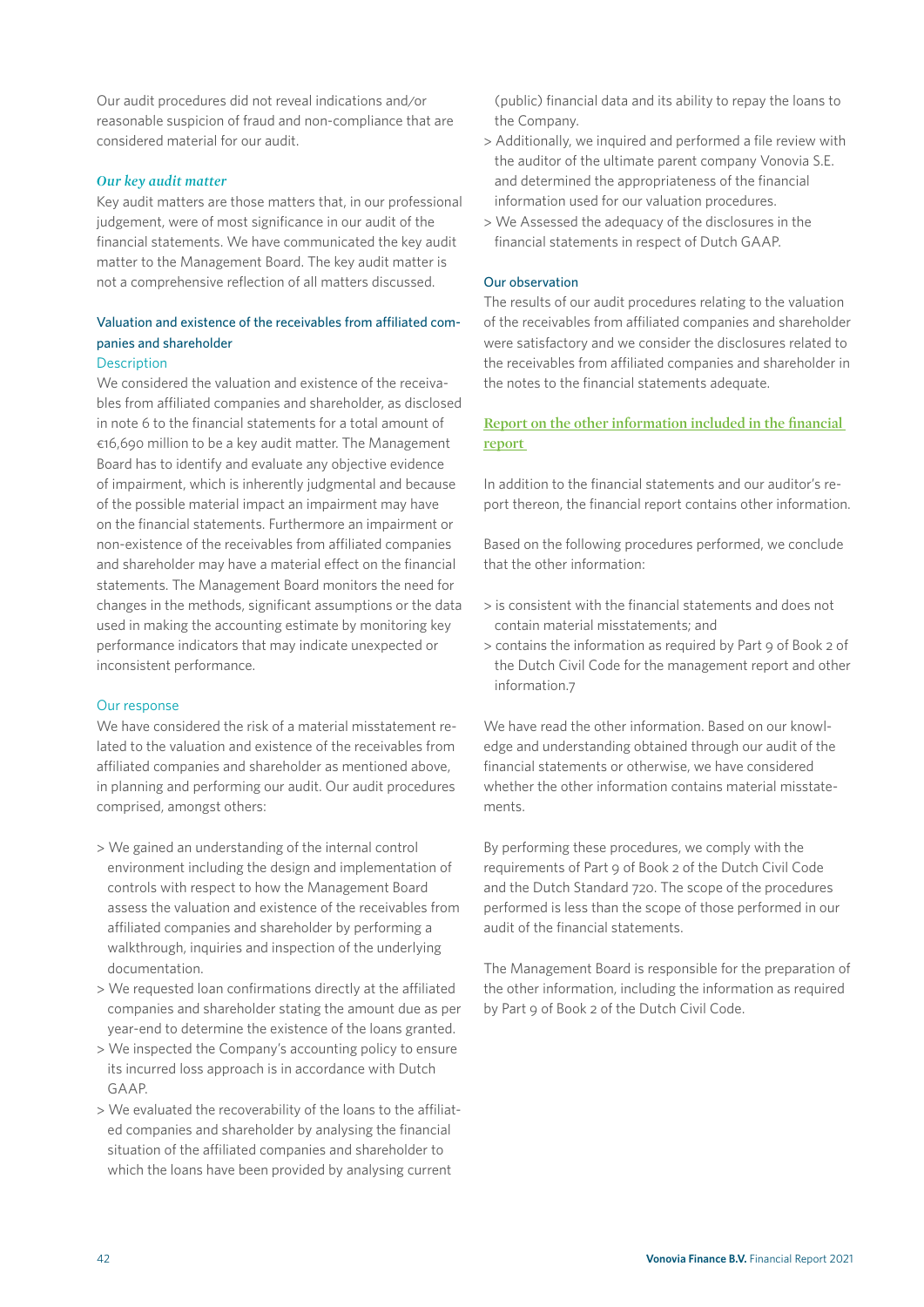Our audit procedures did not reveal indications and/or reasonable suspicion of fraud and non-compliance that are considered material for our audit.

#### *Our key audit matter*

Key audit matters are those matters that, in our professional judgement, were of most significance in our audit of the financial statements. We have communicated the key audit matter to the Management Board. The key audit matter is not a comprehensive reflection of all matters discussed.

# Valuation and existence of the receivables from affiliated companies and shareholder

#### **Description**

We considered the valuation and existence of the receivables from affiliated companies and shareholder, as disclosed in note 6 to the financial statements for a total amount of €16,690 million to be a key audit matter. The Management Board has to identify and evaluate any objective evidence of impairment, which is inherently judgmental and because of the possible material impact an impairment may have on the financial statements. Furthermore an impairment or non-existence of the receivables from affiliated companies and shareholder may have a material effect on the financial statements. The Management Board monitors the need for changes in the methods, significant assumptions or the data used in making the accounting estimate by monitoring key performance indicators that may indicate unexpected or inconsistent performance.

#### Our response

We have considered the risk of a material misstatement related to the valuation and existence of the receivables from affiliated companies and shareholder as mentioned above, in planning and performing our audit. Our audit procedures comprised, amongst others:

- > We gained an understanding of the internal control environment including the design and implementation of controls with respect to how the Management Board assess the valuation and existence of the receivables from affiliated companies and shareholder by performing a walkthrough, inquiries and inspection of the underlying documentation.
- > We requested loan confirmations directly at the affiliated companies and shareholder stating the amount due as per year-end to determine the existence of the loans granted.
- > We inspected the Company's accounting policy to ensure its incurred loss approach is in accordance with Dutch GAAP.
- > We evaluated the recoverability of the loans to the affiliated companies and shareholder by analysing the financial situation of the affiliated companies and shareholder to which the loans have been provided by analysing current

(public) financial data and its ability to repay the loans to the Company.

- > Additionally, we inquired and performed a file review with the auditor of the ultimate parent company Vonovia S.E. and determined the appropriateness of the financial information used for our valuation procedures.
- > We Assessed the adequacy of the disclosures in the financial statements in respect of Dutch GAAP.

#### Our observation

The results of our audit procedures relating to the valuation of the receivables from affiliated companies and shareholder were satisfactory and we consider the disclosures related to the receivables from affiliated companies and shareholder in the notes to the financial statements adequate.

#### **Report on the other information included in the financial report**

In addition to the financial statements and our auditor's report thereon, the financial report contains other information.

Based on the following procedures performed, we conclude that the other information:

- > is consistent with the financial statements and does not contain material misstatements; and
- > contains the information as required by Part 9 of Book 2 of the Dutch Civil Code for the management report and other information.7

We have read the other information. Based on our knowledge and understanding obtained through our audit of the financial statements or otherwise, we have considered whether the other information contains material misstatements.

By performing these procedures, we comply with the requirements of Part 9 of Book 2 of the Dutch Civil Code and the Dutch Standard 720. The scope of the procedures performed is less than the scope of those performed in our audit of the financial statements.

The Management Board is responsible for the preparation of the other information, including the information as required by Part 9 of Book 2 of the Dutch Civil Code.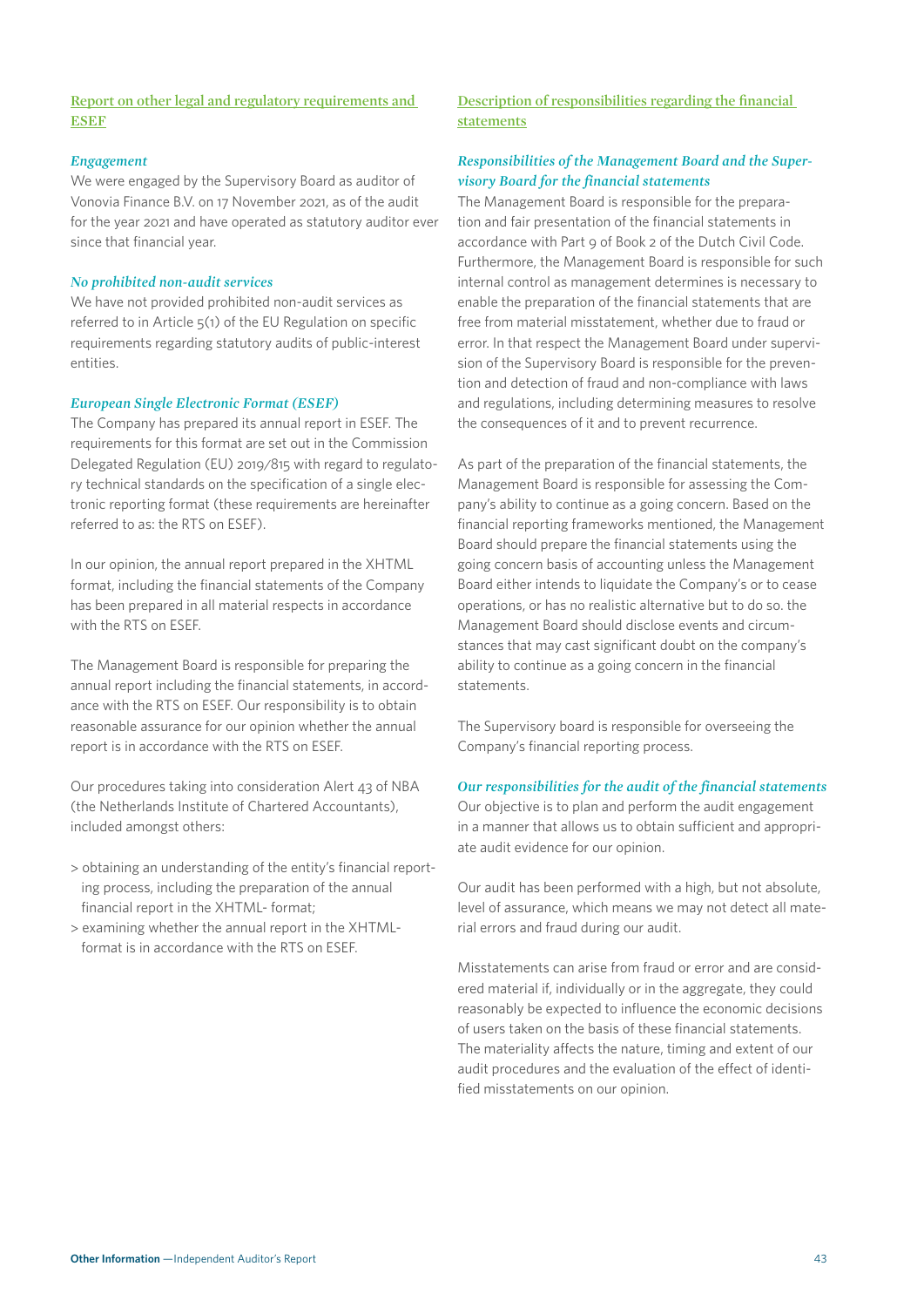#### **Report on other legal and regulatory requirements and ESEF**

#### *Engagement*

We were engaged by the Supervisory Board as auditor of Vonovia Finance B.V. on 17 November 2021, as of the audit for the year 2021 and have operated as statutory auditor ever since that financial year.

#### *No prohibited non-audit services*

We have not provided prohibited non-audit services as referred to in Article 5(1) of the EU Regulation on specific requirements regarding statutory audits of public-interest entities.

#### *European Single Electronic Format (ESEF)*

The Company has prepared its annual report in ESEF. The requirements for this format are set out in the Commission Delegated Regulation (EU) 2019/815 with regard to regulatory technical standards on the specification of a single electronic reporting format (these requirements are hereinafter referred to as: the RTS on ESEF).

In our opinion, the annual report prepared in the XHTML format, including the financial statements of the Company has been prepared in all material respects in accordance with the RTS on ESEF.

The Management Board is responsible for preparing the annual report including the financial statements, in accordance with the RTS on ESEF. Our responsibility is to obtain reasonable assurance for our opinion whether the annual report is in accordance with the RTS on ESEF.

Our procedures taking into consideration Alert 43 of NBA (the Netherlands Institute of Chartered Accountants), included amongst others:

- > obtaining an understanding of the entity's financial reporting process, including the preparation of the annual financial report in the XHTML- format;
- > examining whether the annual report in the XHTMLformat is in accordance with the RTS on ESEF.

## **Description of responsibilities regarding the financial statements**

#### *Responsibilities of the Management Board and the Supervisory Board for the financial statements*

The Management Board is responsible for the preparation and fair presentation of the financial statements in accordance with Part 9 of Book 2 of the Dutch Civil Code. Furthermore, the Management Board is responsible for such internal control as management determines is necessary to enable the preparation of the financial statements that are free from material misstatement, whether due to fraud or error. In that respect the Management Board under supervision of the Supervisory Board is responsible for the prevention and detection of fraud and non-compliance with laws and regulations, including determining measures to resolve the consequences of it and to prevent recurrence.

As part of the preparation of the financial statements, the Management Board is responsible for assessing the Company's ability to continue as a going concern. Based on the financial reporting frameworks mentioned, the Management Board should prepare the financial statements using the going concern basis of accounting unless the Management Board either intends to liquidate the Company's or to cease operations, or has no realistic alternative but to do so. the Management Board should disclose events and circumstances that may cast significant doubt on the company's ability to continue as a going concern in the financial statements.

The Supervisory board is responsible for overseeing the Company's financial reporting process.

#### *Our responsibilities for the audit of the financial statements*

Our objective is to plan and perform the audit engagement in a manner that allows us to obtain sufficient and appropriate audit evidence for our opinion.

Our audit has been performed with a high, but not absolute, level of assurance, which means we may not detect all material errors and fraud during our audit.

Misstatements can arise from fraud or error and are considered material if, individually or in the aggregate, they could reasonably be expected to influence the economic decisions of users taken on the basis of these financial statements. The materiality affects the nature, timing and extent of our audit procedures and the evaluation of the effect of identified misstatements on our opinion.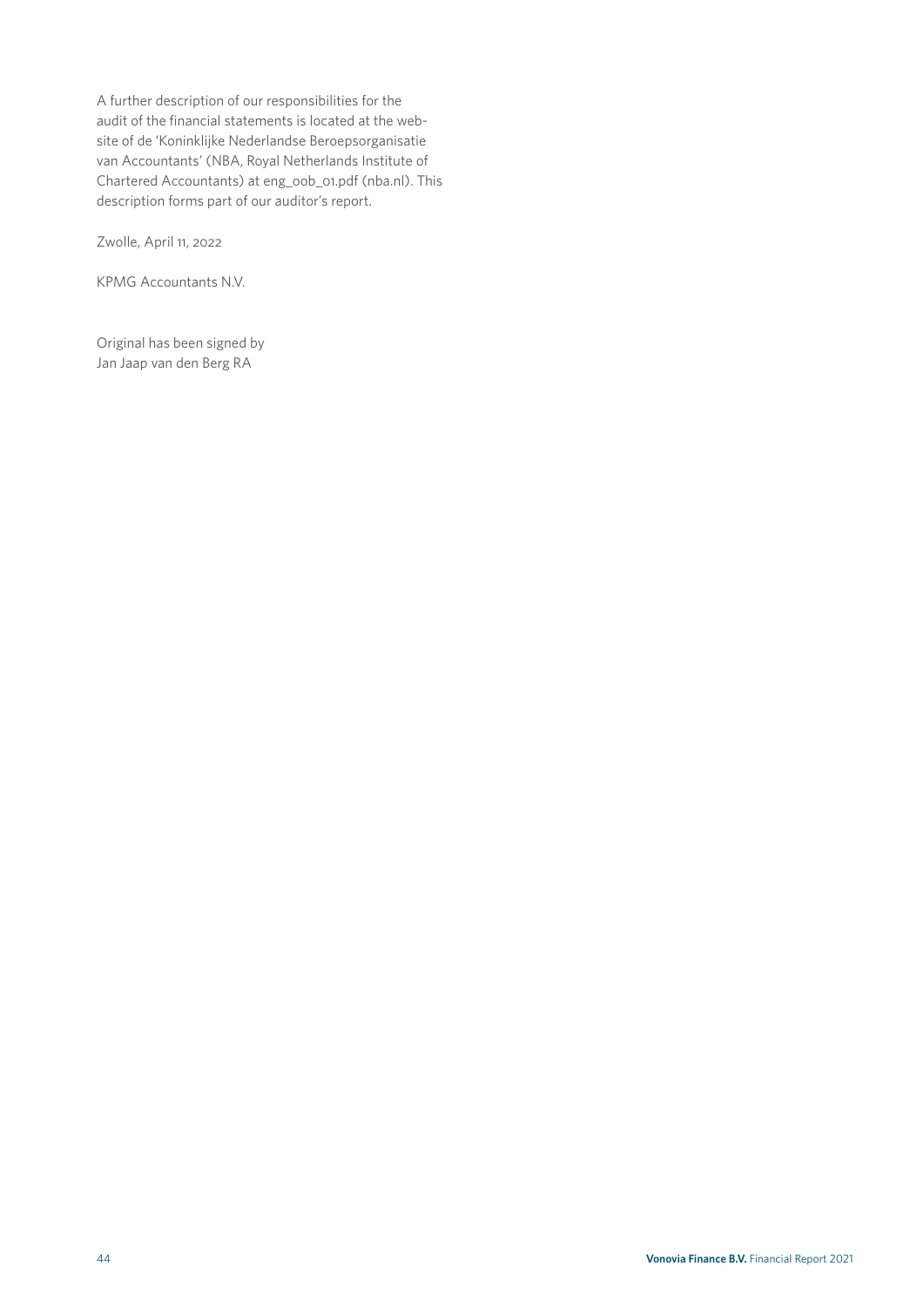A further description of our responsibilities for the audit of the financial statements is located at the website of de 'Koninklijke Nederlandse Beroepsorganisatie van Accountants' (NBA, Royal Netherlands Institute of Chartered Accountants) at eng\_oob\_01.pdf (nba.nl). This description forms part of our auditor's report.

Zwolle, April 11, 2022

KPMG Accountants N.V.

Original has been signed by Jan Jaap van den Berg RA